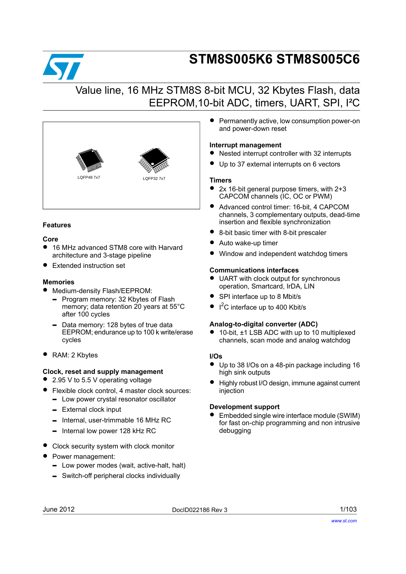

# **STM8S005K6 STM8S005C6**

## Value line, 16 MHz STM8S 8-bit MCU, 32 Kbytes Flash, data EEPROM,10-bit ADC, timers, UART, SPI, I²C



#### **Features**

#### **Core**

- <sup>16</sup> MHz advanced STM8 core with Harvard architecture and 3-stage pipeline
- Extended instruction set

#### **Memories**

- Medium-density Flash/EEPROM:
	- Program memory: 32 Kbytes of Flash memory; data retention 20 years at 55°C after 100 cycles
	- Data memory: 128 bytes of true data EEPROM; endurance up to 100 k write/erase cycles
- RAM: 2 Kbytes

#### **Clock, reset and supply management**

- 2.95 V to 5.5 V operating voltage
- Flexible clock control, <sup>4</sup> master clock sources:
	- Low power crystal resonator oscillator
	- External clock input
	- Internal, user-trimmable 16 MHz RC
	- Internal low power 128 kHz RC
- Clock security system with clock monitor
- Power management:
	- Low power modes (wait, active-halt, halt)
	- Switch-off peripheral clocks individually

Permanently active, low consumption power-on and power-down reset

#### **Interrupt management**

- Nested interrupt controller with <sup>32</sup> interrupts
- Up to 37 external interrupts on 6 vectors

#### **Timers**

- 2x 16-bit general purpose timers, with 2+3 CAPCOM channels (IC, OC or PWM)
- Advanced control timer: 16-bit, <sup>4</sup> CAPCOM channels, 3 complementary outputs, dead-time insertion and flexible synchronization
- 8-bit basic timer with 8-bit prescaler
- Auto wake-up timer
- Window and independent watchdog timers

#### **Communications interfaces**

- UART with clock output for synchronous operation, Smartcard, IrDA, LIN
- SPI interface up to <sup>8</sup> Mbit/s
- $\bullet$  I<sup>2</sup>C interface up to 400 Kbit/s

#### **Analog-to-digital converter (ADC)**

● 10-bit, ±1 LSB ADC with up to 10 multiplexed channels, scan mode and analog watchdog

#### **I/Os**

- Up to <sup>38</sup> I/Os on <sup>a</sup> 48-pin package including <sup>16</sup> high sink outputs
- Highly robust I/O design, immune against current injection

#### **Development support**

• Embedded single wire interface module (SWIM) for fast on-chip programming and non intrusive debugging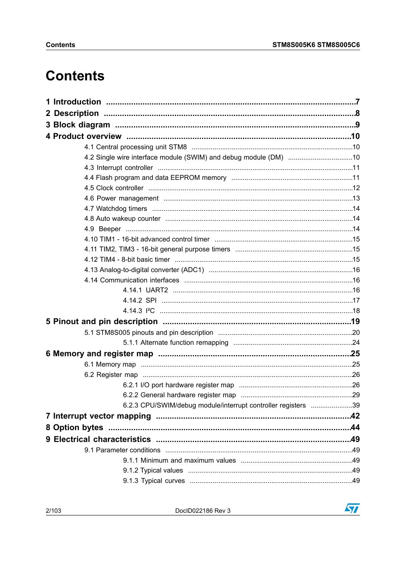# **Contents**

| 4.2 Single wire interface module (SWIM) and debug module (DM) 10 |  |
|------------------------------------------------------------------|--|
|                                                                  |  |
|                                                                  |  |
|                                                                  |  |
|                                                                  |  |
|                                                                  |  |
|                                                                  |  |
|                                                                  |  |
|                                                                  |  |
|                                                                  |  |
|                                                                  |  |
|                                                                  |  |
|                                                                  |  |
|                                                                  |  |
|                                                                  |  |
|                                                                  |  |
|                                                                  |  |
|                                                                  |  |
|                                                                  |  |
|                                                                  |  |
|                                                                  |  |
|                                                                  |  |
|                                                                  |  |
|                                                                  |  |
| 6.2.3 CPU/SWIM/debug module/interrupt controller registers 39    |  |
|                                                                  |  |
|                                                                  |  |
|                                                                  |  |
|                                                                  |  |
|                                                                  |  |
|                                                                  |  |
|                                                                  |  |

DoclD022186 Rev 3

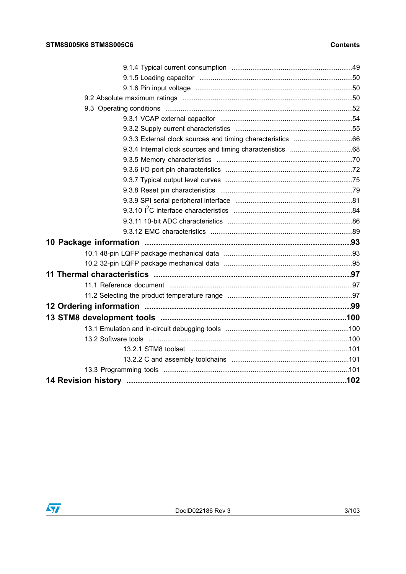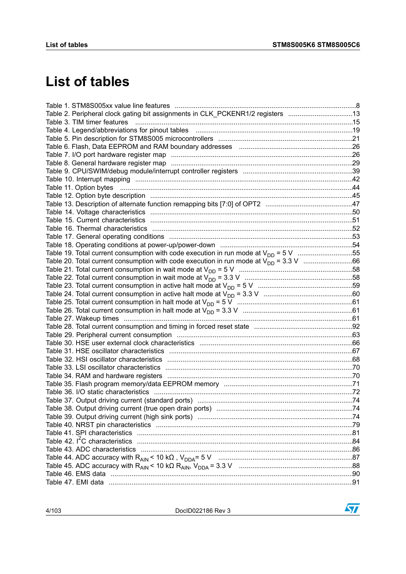# **List of tables**

| Table 2. Peripheral clock gating bit assignments in CLK_PCKENR1/2 registers 13                                 |  |
|----------------------------------------------------------------------------------------------------------------|--|
|                                                                                                                |  |
|                                                                                                                |  |
|                                                                                                                |  |
|                                                                                                                |  |
|                                                                                                                |  |
|                                                                                                                |  |
|                                                                                                                |  |
|                                                                                                                |  |
|                                                                                                                |  |
|                                                                                                                |  |
|                                                                                                                |  |
|                                                                                                                |  |
|                                                                                                                |  |
|                                                                                                                |  |
|                                                                                                                |  |
| Table 18. Operating conditions at power-up/power-down manufactured content transmitted and Table 18. Operating |  |
| Table 19. Total current consumption with code execution in run mode at $V_{DD} = 5 V$ 55                       |  |
|                                                                                                                |  |
|                                                                                                                |  |
|                                                                                                                |  |
|                                                                                                                |  |
|                                                                                                                |  |
|                                                                                                                |  |
|                                                                                                                |  |
|                                                                                                                |  |
|                                                                                                                |  |
|                                                                                                                |  |
|                                                                                                                |  |
|                                                                                                                |  |
|                                                                                                                |  |
|                                                                                                                |  |
|                                                                                                                |  |
|                                                                                                                |  |
|                                                                                                                |  |
|                                                                                                                |  |
|                                                                                                                |  |
|                                                                                                                |  |
|                                                                                                                |  |
|                                                                                                                |  |
|                                                                                                                |  |
|                                                                                                                |  |
|                                                                                                                |  |
|                                                                                                                |  |
|                                                                                                                |  |
|                                                                                                                |  |

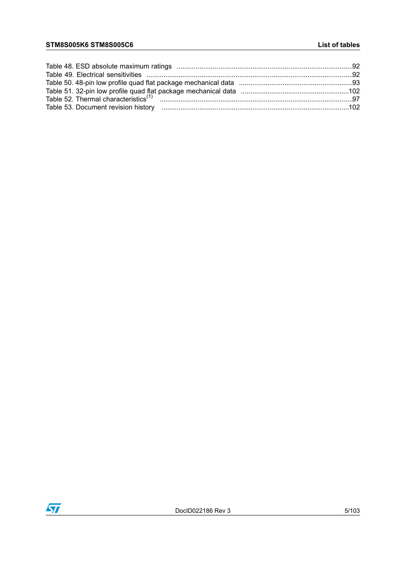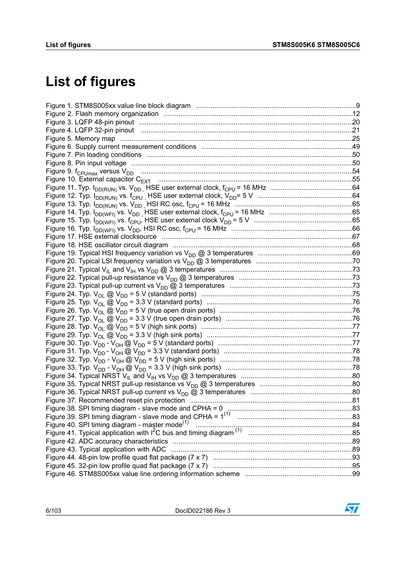# **List of figures**

| Figure 40. SPI timing diagram - master mode <sup>(1)</sup> |  |
|------------------------------------------------------------|--|
|                                                            |  |
|                                                            |  |
|                                                            |  |
|                                                            |  |
|                                                            |  |
|                                                            |  |

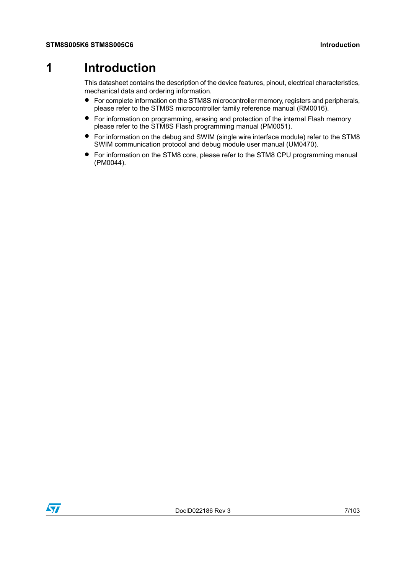## <span id="page-6-0"></span>**1 Introduction**

This datasheet contains the description of the device features, pinout, electrical characteristics, mechanical data and ordering information.

- For complete information on the STM8S microcontroller memory, registers and peripherals, please refer to the STM8S microcontroller family reference manual (RM0016).
- For information on programming, erasing and protection of the internal Flash memory please refer to the STM8S Flash programming manual (PM0051).
- For information on the debug and SWIM (single wire interface module) refer to the STM8 SWIM communication protocol and debug module user manual (UM0470).
- For information on the STM8 core, please refer to the STM8 CPU programming manual (PM0044).

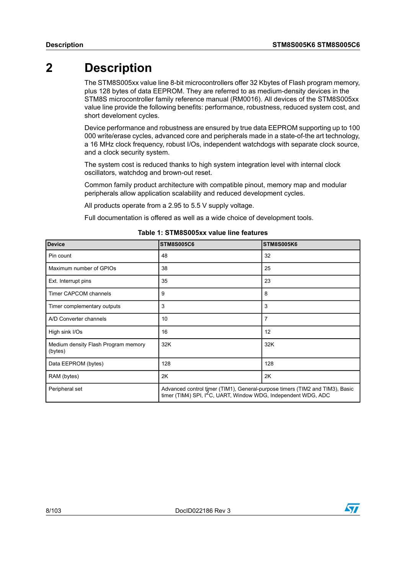## <span id="page-7-0"></span>**2 Description**

The STM8S005xx value line 8-bit microcontrollers offer 32 Kbytes of Flash program memory, plus 128 bytes of data EEPROM. They are referred to as medium-density devices in the STM8S microcontroller family reference manual (RM0016). All devices of the STM8S005xx value line provide the following benefits: performance, robustness, reduced system cost, and short develoment cycles.

Device performance and robustness are ensured by true data EEPROM supporting up to 100 000 write/erase cycles, advanced core and peripherals made in a state-of-the art technology, a 16 MHz clock frequency, robust I/Os, independent watchdogs with separate clock source, and a clock security system.

The system cost is reduced thanks to high system integration level with internal clock oscillators, watchdog and brown-out reset.

Common family product architecture with compatible pinout, memory map and modular peripherals allow application scalability and reduced development cycles.

All products operate from a 2.95 to 5.5 V supply voltage.

Full documentation is offered as well as a wide choice of development tools.

<span id="page-7-1"></span>

| <b>Device</b>                                  | <b>STM8S005C6</b>                                                                                                                                          | <b>STM8S005K6</b> |  |
|------------------------------------------------|------------------------------------------------------------------------------------------------------------------------------------------------------------|-------------------|--|
| Pin count                                      | 48                                                                                                                                                         | 32                |  |
| Maximum number of GPIOs                        | 38                                                                                                                                                         | 25                |  |
| Ext. Interrupt pins                            | 35                                                                                                                                                         | 23                |  |
| <b>Timer CAPCOM channels</b>                   | 9                                                                                                                                                          | 8                 |  |
| Timer complementary outputs                    | 3                                                                                                                                                          | 3                 |  |
| A/D Converter channels                         | 10                                                                                                                                                         | 7                 |  |
| High sink I/Os                                 | 16                                                                                                                                                         | 12                |  |
| Medium density Flash Program memory<br>(bytes) | 32K                                                                                                                                                        | 32K               |  |
| Data EEPROM (bytes)                            | 128                                                                                                                                                        | 128               |  |
| RAM (bytes)                                    | 2K                                                                                                                                                         | 2K                |  |
| Peripheral set                                 | Advanced control timer (TIM1), General-purpose timers (TIM2 and TIM3), Basic<br>timer (TIM4) SPI, I <sup>2</sup> C, UART, Window WDG, Independent WDG, ADC |                   |  |

#### **Table 1: STM8S005xx value line features**

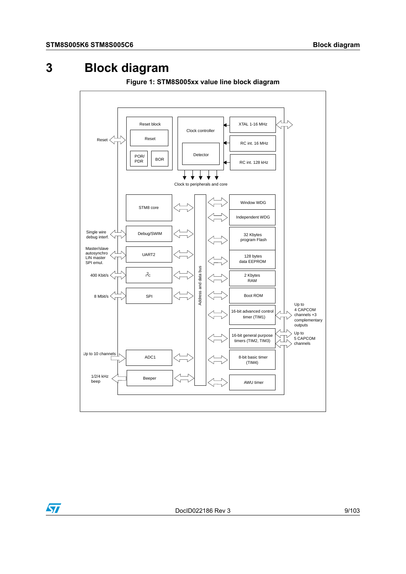## <span id="page-8-0"></span>**3 Block diagram**

 $\bm{\varpi}$ 

<span id="page-8-1"></span>

**Figure 1: STM8S005xx value line block diagram**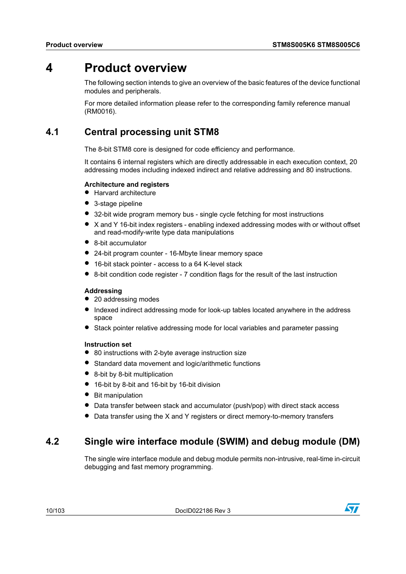## <span id="page-9-0"></span>**4 Product overview**

The following section intends to give an overview of the basic features of the device functional modules and peripherals.

For more detailed information please refer to the corresponding family reference manual (RM0016).

## <span id="page-9-1"></span>**4.1 Central processing unit STM8**

The 8-bit STM8 core is designed for code efficiency and performance.

It contains 6 internal registers which are directly addressable in each execution context, 20 addressing modes including indexed indirect and relative addressing and 80 instructions.

#### **Architecture and registers**

- Harvard architecture
- 3-stage pipeline
- 32-bit wide program memory bus single cycle fetching for most instructions
- <sup>X</sup> and <sup>Y</sup> 16-bit index registers enabling indexed addressing modes with or without offset and read-modify-write type data manipulations
- 8-bit accumulator
- 24-bit program counter 16-Mbyte linear memory space
- 16-bit stack pointer access to <sup>a</sup> <sup>64</sup> K-level stack
- 8-bit condition code register <sup>7</sup> condition flags for the result of the last instruction

#### **Addressing**

- 20 addressing modes
- Indexed indirect addressing mode for look-up tables located anywhere in the address space
- Stack pointer relative addressing mode for local variables and parameter passing

#### **Instruction set**

- 80 instructions with 2-byte average instruction size
- Standard data movement and logic/arithmetic functions
- 8-bit by 8-bit multiplication
- <span id="page-9-2"></span>• 16-bit by 8-bit and 16-bit by 16-bit division
- Bit manipulation
- Data transfer between stack and accumulator (push/pop) with direct stack access
- Data transfer using the <sup>X</sup> and <sup>Y</sup> registers or direct memory-to-memory transfers

### **4.2 Single wire interface module (SWIM) and debug module (DM)**

The single wire interface module and debug module permits non-intrusive, real-time in-circuit debugging and fast memory programming.

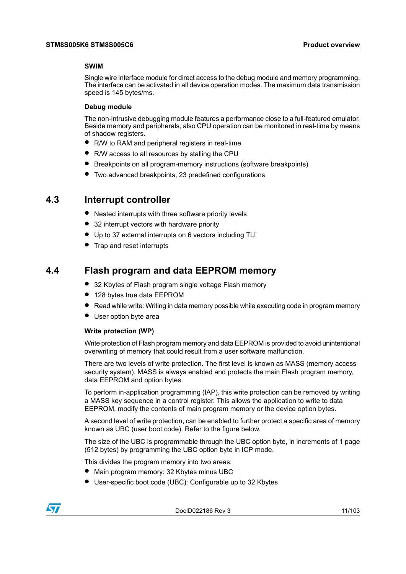#### **SWIM**

Single wire interface module for direct access to the debug module and memory programming. The interface can be activated in all device operation modes. The maximum data transmission speed is 145 bytes/ms.

#### **Debug module**

The non-intrusive debugging module features a performance close to a full-featured emulator. Beside memory and peripherals, also CPU operation can be monitored in real-time by means of shadow registers.

- R/W to RAM and peripheral registers in real-time
- R/W access to all resources by stalling the CPU
- Breakpoints on all program-memory instructions (software breakpoints)
- Two advanced breakpoints, <sup>23</sup> predefined configurations

#### <span id="page-10-0"></span>**4.3 Interrupt controller**

- Nested interrupts with three software priority levels
- 32 interrupt vectors with hardware priority
- Up to <sup>37</sup> external interrupts on <sup>6</sup> vectors including TLI
- Trap and reset interrupts

#### <span id="page-10-1"></span>**4.4 Flash program and data EEPROM memory**

- 32 Kbytes of Flash program single voltage Flash memory
- 128 bytes true data EEPROM
- $\bullet$  Read while write: Writing in data memory possible while executing code in program memory
- User option byte area

#### **Write protection (WP)**

Write protection of Flash program memory and data EEPROM is provided to avoid unintentional overwriting of memory that could result from a user software malfunction.

There are two levels of write protection. The first level is known as MASS (memory access security system). MASS is always enabled and protects the main Flash program memory, data EEPROM and option bytes.

To perform in-application programming (IAP), this write protection can be removed by writing a MASS key sequence in a control register. This allows the application to write to data EEPROM, modify the contents of main program memory or the device option bytes.

A second level of write protection, can be enabled to further protect a specific area of memory known as UBC (user boot code). Refer to the figure below.

The size of the UBC is programmable through the UBC option byte, in increments of 1 page (512 bytes) by programming the UBC option byte in ICP mode.

This divides the program memory into two areas:

- Main program memory: <sup>32</sup> Kbytes minus UBC
- User-specific boot code (UBC): Configurable up to <sup>32</sup> Kbytes

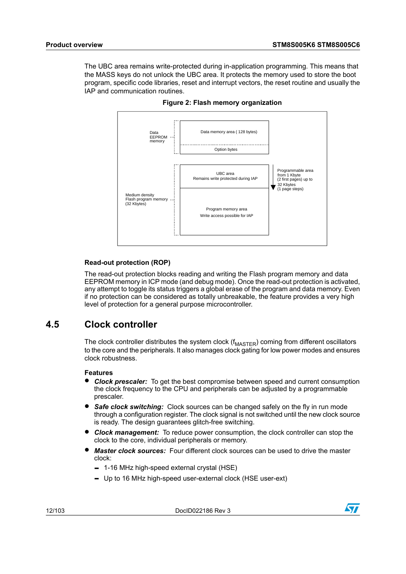<span id="page-11-1"></span>The UBC area remains write-protected during in-application programming. This means that the MASS keys do not unlock the UBC area. It protects the memory used to store the boot program, specific code libraries, reset and interrupt vectors, the reset routine and usually the IAP and communication routines.



**Figure 2: Flash memory organization**

#### **Read-out protection (ROP)**

The read-out protection blocks reading and writing the Flash program memory and data EEPROM memory in ICP mode (and debug mode). Once the read-out protection is activated, any attempt to toggle its status triggers a global erase of the program and data memory. Even if no protection can be considered as totally unbreakable, the feature provides a very high level of protection for a general purpose microcontroller.

### <span id="page-11-0"></span>**4.5 Clock controller**

The clock controller distributes the system clock  $(f_{\text{MASTER}})$  coming from different oscillators to the core and the peripherals. It also manages clock gating for low power modes and ensures clock robustness.

#### **Features**

- *Clock prescaler:* To get the best compromise between speed and current consumption the clock frequency to the CPU and peripherals can be adjusted by a programmable prescaler.
- *Safe clock switching:* Clock sources can be changed safely on the fly in run mode through a configuration register. The clock signal is not switched until the new clock source is ready. The design guarantees glitch-free switching.
- *Clock management:* To reduce power consumption, the clock controller can stop the clock to the core, individual peripherals or memory.
- *Master clock sources:* Four different clock sources can be used to drive the master clock:
	- 1-16 MHz high-speed external crystal (HSE)
	- Up to 16 MHz high-speed user-external clock (HSE user-ext)

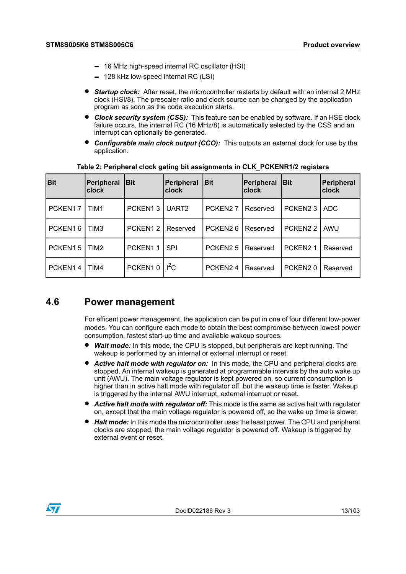- 16 MHz high-speed internal RC oscillator (HSI)
- 128 kHz low-speed internal RC (LSI)
- *Startup clock:* After reset, the microcontroller restarts by default with an internal <sup>2</sup> MHz clock (HSI/8). The prescaler ratio and clock source can be changed by the application program as soon as the code execution starts.
- *Clock security system (CSS):* This feature can be enabled by software. If an HSE clock failure occurs, the internal RC (16 MHz/8) is automatically selected by the CSS and an interrupt can optionally be generated.
- *Configurable main clock output (CCO):* This outputs an external clock for use by the application.

<span id="page-12-1"></span>

| <b>Bit</b> | Peripheral<br>lclock | <b>Bit</b> | Peripheral<br><b>clock</b> | <b>Bit</b>          | <b>Peripheral</b><br>clock | <b>Bit</b>           | Peripheral<br><b>clock</b> |
|------------|----------------------|------------|----------------------------|---------------------|----------------------------|----------------------|----------------------------|
| PCKEN17    | l TIM1               | PCKEN13    | UART <sub>2</sub>          | PCKEN <sub>27</sub> | Reserved                   | PCKEN <sub>23</sub>  | ADC.                       |
| PCKEN16    | TIM3                 | PCKEN12    | Reserved                   | PCKEN <sub>26</sub> | Reserved                   | PCKEN <sub>22</sub>  | AWU                        |
| PCKEN15    | TIM <sub>2</sub>     | PCKEN11    | <b>SPI</b>                 | PCKEN <sub>25</sub> | Reserved                   | PCKEN <sub>2</sub> 1 | Reserved                   |
| PCKEN14    | TIM4                 | PCKEN10    | $I^2C$                     | PCKEN24             | Reserved                   | PCKEN <sub>20</sub>  | Reserved                   |

**Table 2: Peripheral clock gating bit assignments in CLK\_PCKENR1/2 registers**

### <span id="page-12-0"></span>**4.6 Power management**

For efficent power management, the application can be put in one of four different low-power modes. You can configure each mode to obtain the best compromise between lowest power consumption, fastest start-up time and available wakeup sources.

- *Wait mode:* In this mode, the CPU is stopped, but peripherals are kept running. The wakeup is performed by an internal or external interrupt or reset.
- *Active halt mode with regulator on:* In this mode, the CPU and peripheral clocks are stopped. An internal wakeup is generated at programmable intervals by the auto wake up unit (AWU). The main voltage regulator is kept powered on, so current consumption is higher than in active halt mode with regulator off, but the wakeup time is faster. Wakeup is triggered by the internal AWU interrupt, external interrupt or reset.
- *Active halt mode with regulator off:* This mode is the same as active halt with regulator on, except that the main voltage regulator is powered off, so the wake up time is slower.
- *Halt mode:* In this mode the microcontroller uses the least power. The CPU and peripheral clocks are stopped, the main voltage regulator is powered off. Wakeup is triggered by external event or reset.

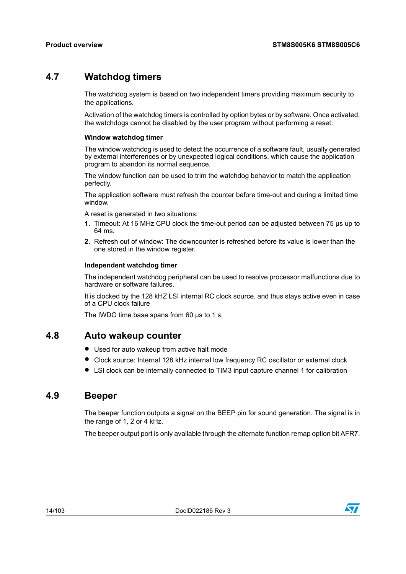### <span id="page-13-0"></span>**4.7 Watchdog timers**

The watchdog system is based on two independent timers providing maximum security to the applications.

Activation of the watchdog timers is controlled by option bytes or by software. Once activated, the watchdogs cannot be disabled by the user program without performing a reset.

#### **Window watchdog timer**

The window watchdog is used to detect the occurrence of a software fault, usually generated by external interferences or by unexpected logical conditions, which cause the application program to abandon its normal sequence.

The window function can be used to trim the watchdog behavior to match the application perfectly.

The application software must refresh the counter before time-out and during a limited time window.

A reset is generated in two situations:

- **1.** Timeout: At 16 MHz CPU clock the time-out period can be adjusted between 75 µs up to 64 ms.
- **2.** Refresh out of window: The downcounter is refreshed before its value is lower than the one stored in the window register.

#### **Independent watchdog timer**

The independent watchdog peripheral can be used to resolve processor malfunctions due to hardware or software failures.

It is clocked by the 128 kHZ LSI internal RC clock source, and thus stays active even in case of a CPU clock failure

The IWDG time base spans from 60  $\mu$ s to 1 s.

#### <span id="page-13-2"></span><span id="page-13-1"></span>**4.8 Auto wakeup counter**

- Used for auto wakeup from active halt mode
- Clock source: Internal <sup>128</sup> kHz internal low frequency RC oscillator or external clock
- LSI clock can be internally connected to TIM3 input capture channel <sup>1</sup> for calibration

#### **4.9 Beeper**

The beeper function outputs a signal on the BEEP pin for sound generation. The signal is in the range of 1, 2 or 4 kHz.

The beeper output port is only available through the alternate function remap option bit AFR7.

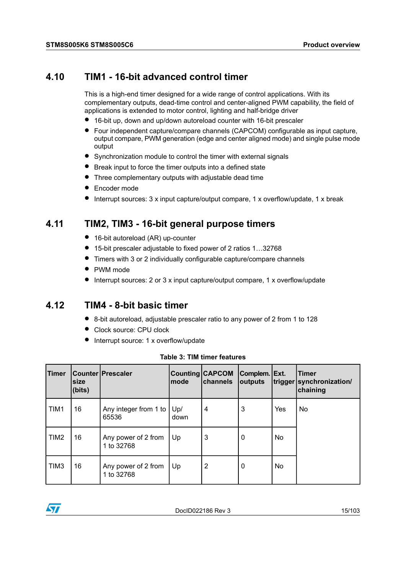#### <span id="page-14-0"></span>**4.10 TIM1 - 16-bit advanced control timer**

This is a high-end timer designed for a wide range of control applications. With its complementary outputs, dead-time control and center-aligned PWM capability, the field of applications is extended to motor control, lighting and half-bridge driver

- 16-bit up, down and up/down autoreload counter with 16-bit prescaler
- Four independent capture/compare channels (CAPCOM) configurable as input capture, output compare, PWM generation (edge and center aligned mode) and single pulse mode output
- Synchronization module to control the timer with external signals
- Break input to force the timer outputs into <sup>a</sup> defined state
- Three complementary outputs with adjustable dead time
- Encoder mode
- Interrupt sources: <sup>3</sup> <sup>x</sup> input capture/output compare, <sup>1</sup> <sup>x</sup> overflow/update, <sup>1</sup> <sup>x</sup> break

#### <span id="page-14-1"></span>**4.11 TIM2, TIM3 - 16-bit general purpose timers**

- 16-bit autoreload (AR) up-counter
- 15-bit prescaler adjustable to fixed power of <sup>2</sup> ratios 1…32768
- Timers with <sup>3</sup> or <sup>2</sup> individually configurable capture/compare channels
- PWM mode
- Interrupt sources: <sup>2</sup> or <sup>3</sup> <sup>x</sup> input capture/output compare, <sup>1</sup> <sup>x</sup> overflow/update

#### <span id="page-14-3"></span><span id="page-14-2"></span>**4.12 TIM4 - 8-bit basic timer**

- 8-bit autoreload, adjustable prescaler ratio to any power of <sup>2</sup> from <sup>1</sup> to <sup>128</sup>
- Clock source: CPU clock
- Interrupt source: 1 x overflow/update

| Timer            | size<br>(bits) | Counter   Prescaler               | lmode       | Counting CAPCOM<br>channels | Complem. Ext.<br>outputs |                | <b>Timer</b><br>trigger synchronization/<br>chaining |
|------------------|----------------|-----------------------------------|-------------|-----------------------------|--------------------------|----------------|------------------------------------------------------|
| TIM1             | 16             | Any integer from 1 to<br>65536    | Up/<br>down | 4                           | 3                        | Yes            | No                                                   |
| TIM <sub>2</sub> | 16             | Any power of 2 from<br>1 to 32768 | Up          | 3                           | 0                        | N <sub>o</sub> |                                                      |
| TIM <sub>3</sub> | 16             | Any power of 2 from<br>1 to 32768 | Up          | 2                           | 0                        | No.            |                                                      |

|  |  |  |  | Table 3: TIM timer features |
|--|--|--|--|-----------------------------|
|--|--|--|--|-----------------------------|

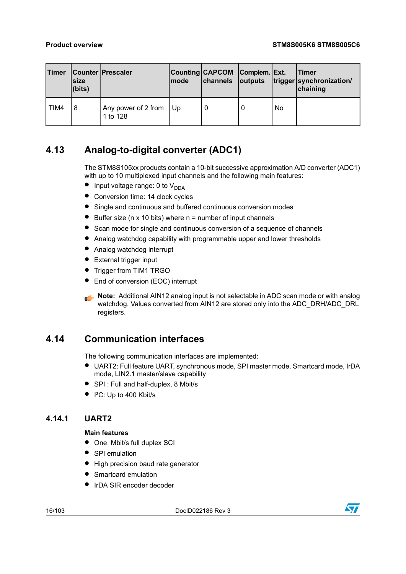| Timer | Isize<br>(bits) | Counter   Prescaler                | <b>Imode</b> | Counting CAPCOM   Complem.   Ext. |   |           | lTimer<br>channels outputs trigger synchronization/<br>chaining |
|-------|-----------------|------------------------------------|--------------|-----------------------------------|---|-----------|-----------------------------------------------------------------|
| TIM4  | 8               | Any power of 2 from Up<br>1 to 128 |              | 0                                 | 0 | <b>No</b> |                                                                 |

### <span id="page-15-0"></span>**4.13 Analog-to-digital converter (ADC1)**

The STM8S105xx products contain a 10-bit successive approximation A/D converter (ADC1) with up to 10 multiplexed input channels and the following main features:

- Input voltage range: 0 to  $V_{DDA}$
- Conversion time: 14 clock cycles
- Single and continuous and buffered continuous conversion modes
- Buffer size (n  $\times$  10 bits) where  $n =$  number of input channels
- Scan mode for single and continuous conversion of a sequence of channels
- Analog watchdog capability with programmable upper and lower thresholds
- Analog watchdog interrupt
- External trigger input
- Trigger from TIM1 TRGO
- End of conversion (EOC) interrupt

**Note:** Additional AIN12 analog input is not selectable in ADC scan mode or with analog watchdog. Values converted from AIN12 are stored only into the ADC\_DRH/ADC\_DRL registers.

### <span id="page-15-2"></span><span id="page-15-1"></span>**4.14 Communication interfaces**

The following communication interfaces are implemented:

- UART2: Full feature UART, synchronous mode, SPI master mode, Smartcard mode, IrDA mode, LIN2.1 master/slave capability
- SPI : Full and half-duplex, 8 Mbit/s
- $\bullet$  | <sup>2</sup>C: Up to 400 Kbit/s

#### **4.14.1 UART2**

#### **Main features**

- One Mbit/s full duplex SCI
- SPI emulation
- High precision baud rate generator
- Smartcard emulation
- IrDA SIR encoder decoder

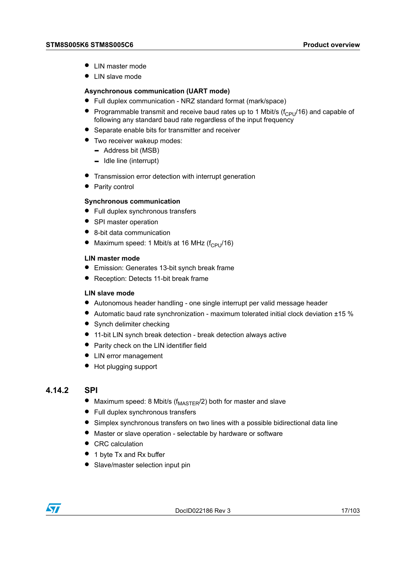- LIN master mode
- LIN slave mode

#### **Asynchronous communication (UART mode)**

- Full duplex communication NRZ standard format (mark/space)
- Programmable transmit and receive baud rates up to 1 Mbit/s ( $f_{\text{CPI}}/16$ ) and capable of following any standard baud rate regardless of the input frequency
- Separate enable bits for transmitter and receiver
- Two receiver wakeup modes:
	- Address bit (MSB)
	- Idle line (interrupt)
- Transmission error detection with interrupt generation
- Parity control

#### **Synchronous communication**

- Full duplex synchronous transfers
- SPI master operation
- 8-bit data communication
- Maximum speed: 1 Mbit/s at 16 MHz  $(f_{\text{CPI}}/16)$

#### **LIN master mode**

- Emission: Generates 13-bit synch break frame
- Reception: Detects 11-bit break frame

#### **LIN slave mode**

- Autonomous header handling one single interrupt per valid message header
- Automatic baud rate synchronization maximum tolerated initial clock deviation  $±15$  %
- Synch delimiter checking
- 11-bit LIN synch break detection break detection always active
- <span id="page-16-0"></span>• Parity check on the LIN identifier field
- LIN error management
- Hot plugging support

#### **4.14.2 SPI**

- Maximum speed: 8 Mbit/s ( $f_{\text{MASTER}}/2$ ) both for master and slave
- Full duplex synchronous transfers
- Simplex synchronous transfers on two lines with <sup>a</sup> possible bidirectional data line
- Master or slave operation selectable by hardware or software
- CRC calculation
- 1 byte Tx and Rx buffer
- Slave/master selection input pin

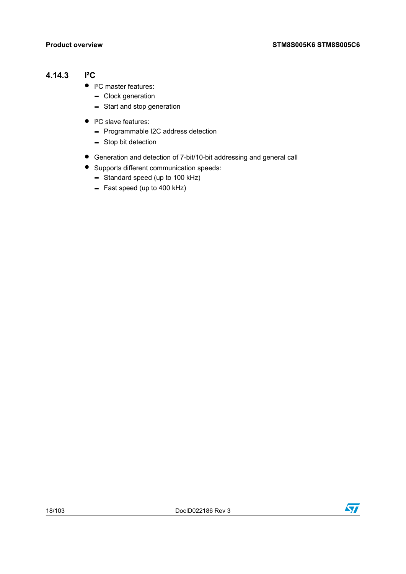#### <span id="page-17-0"></span>**4.14.3 I²C**

- I<sup>2</sup>C master features:
	- Clock generation
	- Start and stop generation
- I<sup>2</sup>C slave features:
	- Programmable I2C address detection
	- Stop bit detection
- Generation and detection of 7-bit/10-bit addressing and general call
- Supports different communication speeds:
	- Standard speed (up to 100 kHz)
	- Fast speed (up to 400 kHz)

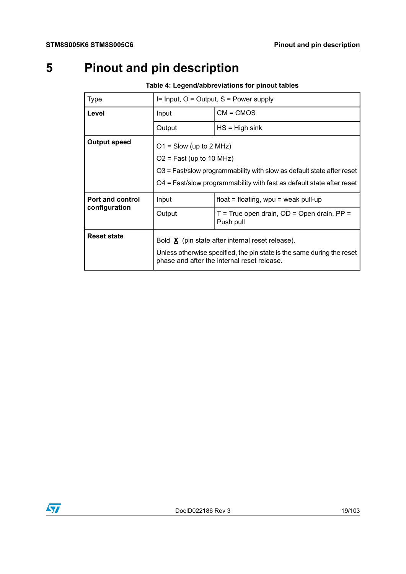# <span id="page-18-0"></span>**5 Pinout and pin description**

<span id="page-18-1"></span>

| <b>Type</b>             | $I = Input, O = Output, S = Power supply$                                                                                                                                                                 |                                                           |  |  |  |
|-------------------------|-----------------------------------------------------------------------------------------------------------------------------------------------------------------------------------------------------------|-----------------------------------------------------------|--|--|--|
| Level                   | Input                                                                                                                                                                                                     | $CM = CMOS$                                               |  |  |  |
|                         | Output                                                                                                                                                                                                    | $HS = High sink$                                          |  |  |  |
| <b>Output speed</b>     | $O1 =$ Slow (up to 2 MHz)<br>$O2$ = Fast (up to 10 MHz)<br>O3 = Fast/slow programmability with slow as default state after reset<br>O4 = Fast/slow programmability with fast as default state after reset |                                                           |  |  |  |
| <b>Port and control</b> | Input                                                                                                                                                                                                     | float = floating, $wpu = weak pull-up$                    |  |  |  |
| configuration           | Output                                                                                                                                                                                                    | $T = True$ open drain, OD = Open drain, PP =<br>Push pull |  |  |  |
| <b>Reset state</b>      | Bold $\underline{X}$ (pin state after internal reset release).<br>Unless otherwise specified, the pin state is the same during the reset<br>phase and after the internal reset release.                   |                                                           |  |  |  |

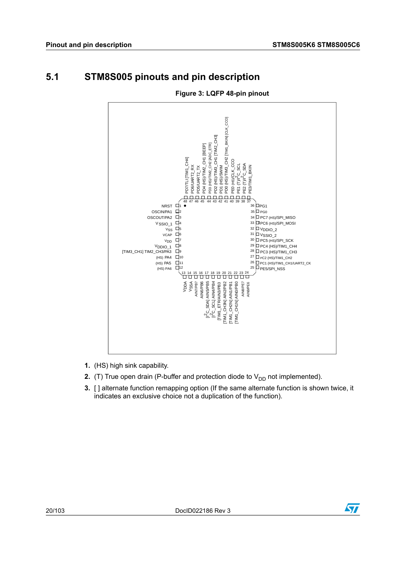## <span id="page-19-0"></span>**5.1 STM8S005 pinouts and pin description**

<span id="page-19-1"></span>

#### **Figure 3: LQFP 48-pin pinout**

- **1.** (HS) high sink capability.
- **2.** (T) True open drain (P-buffer and protection diode to  $V_{DD}$  not implemented).
- **3.** [ ] alternate function remapping option (If the same alternate function is shown twice, it indicates an exclusive choice not a duplication of the function).

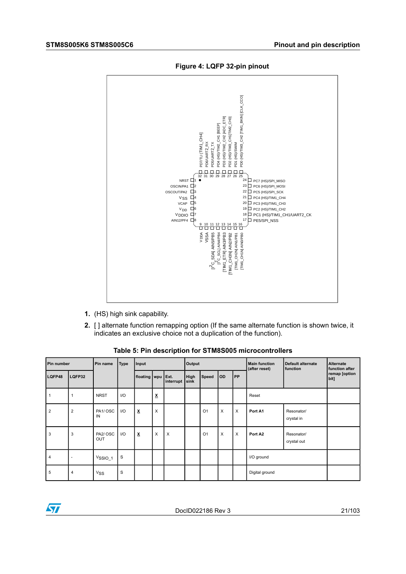<span id="page-20-1"></span>

**Figure 4: LQFP 32-pin pinout**

- <span id="page-20-0"></span>**1.** (HS) high sink capability.
- **2.** [ ] alternate function remapping option (If the same alternate function is shown twice, it indicates an exclusive choice not a duplication of the function).

| Pin number     |                          | Pin name              | <b>Type</b> | Input                    |   |                   | Output       |                |     |           | <b>Main function</b><br>(after reset) | <b>Default alternate</b><br>function | <b>Alternate</b><br>function after |
|----------------|--------------------------|-----------------------|-------------|--------------------------|---|-------------------|--------------|----------------|-----|-----------|---------------------------------------|--------------------------------------|------------------------------------|
| LQFP48         | LQFP32                   |                       |             | floating wpu             |   | Ext.<br>interrupt | High<br>sink | Speed          | OD. | <b>PP</b> |                                       |                                      | remap [option<br>bit]              |
|                | 1                        | <b>NRST</b>           | I/O         |                          | X |                   |              |                |     |           | Reset                                 |                                      |                                    |
| $\overline{2}$ | $\overline{2}$           | PA1/OSC<br>IN         | 1/O         | $\underline{\textbf{x}}$ | X |                   |              | O <sub>1</sub> | X   | X         | Port A1                               | Resonator/<br>crystal in             |                                    |
| 3              | 3                        | PA2/OSC<br><b>OUT</b> | I/O         | $\pmb{\underline{x}}$    | X | X                 |              | O <sub>1</sub> | X   | $\times$  | Port A2                               | Resonator/<br>crystal out            |                                    |
| 4              | $\overline{\phantom{a}}$ | $V$ SSIO_1            | S           |                          |   |                   |              |                |     |           | I/O ground                            |                                      |                                    |
| 5              | 4                        | <b>V<sub>SS</sub></b> | S           |                          |   |                   |              |                |     |           | Digital ground                        |                                      |                                    |

**Table 5: Pin description for STM8S005 microcontrollers**

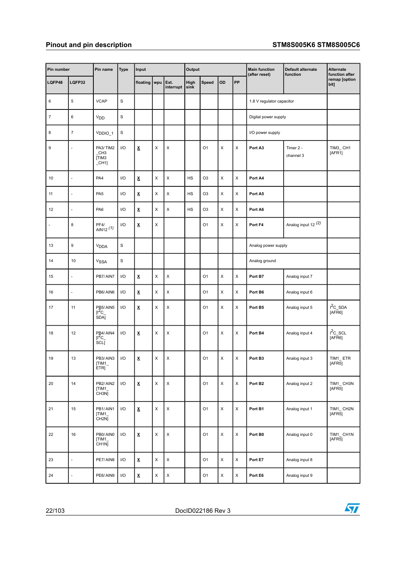| Pin number       |                          | Pin name                                                           | <b>Type</b>             | Input                          |             |                   | Output       |                |                |             | <b>Main function</b><br>(after reset) | Default alternate<br>function  | Alternate<br>function after |
|------------------|--------------------------|--------------------------------------------------------------------|-------------------------|--------------------------------|-------------|-------------------|--------------|----------------|----------------|-------------|---------------------------------------|--------------------------------|-----------------------------|
| LQFP48           | LQFP32                   |                                                                    |                         | floating                       | wpu         | Ext.<br>interrupt | High<br>sink | Speed          | OD             | PP          |                                       |                                | remap [option<br>bit]       |
| 6                | $\,$ 5 $\,$              | <b>VCAP</b>                                                        | $\mathbf S$             |                                |             |                   |              |                |                |             | 1.8 V regulator capacitor             |                                |                             |
| $\boldsymbol{7}$ | 6                        | V <sub>DD</sub>                                                    | $\mathbf S$             |                                |             |                   |              |                |                |             | Digital power supply                  |                                |                             |
| 8                | $\overline{\mathbf{7}}$  | $V_{DDIO_1}$                                                       | $\mathbf S$             |                                |             |                   |              |                |                |             | I/O power supply                      |                                |                             |
| 9                |                          | PA3/TIM2<br>CH <sub>3</sub><br>[TIM3<br>$_C$ CH <sub>1</sub>       | I/O                     | $\underline{\textbf{x}}$       | X           | X                 |              | O <sub>1</sub> | X              | X           | Port A3                               | Timer 2 -<br>channel 3         | TIM3_CH1<br>[AFR1]          |
| 10               | L                        | PA4                                                                | I/O                     | $\pmb{\underline{\mathsf{x}}}$ | X           | X                 | <b>HS</b>    | O <sub>3</sub> | X              | X           | Port A4                               |                                |                             |
| 11               | ä,                       | PA <sub>5</sub>                                                    | I/O                     | $\underline{\mathbf{x}}$       | X           | X                 | <b>HS</b>    | O <sub>3</sub> | X              | X           | Port A5                               |                                |                             |
| 12               | L                        | PA6                                                                | I/O                     | x                              | X           | X                 | HS           | O <sub>3</sub> | X              | X           | Port A6                               |                                |                             |
| $\blacksquare$   | 8                        | PF4/<br>$AIN12$ <sup>(1)</sup>                                     | I/O                     | $\underline{\mathsf{x}}$       | X           |                   |              | O <sub>1</sub> | X              | X           | Port F4                               | Analog input 12 <sup>(2)</sup> |                             |
| 13               | 9                        | V <sub>DDA</sub>                                                   | $\mathbf S$             |                                |             |                   |              |                |                |             | Analog power supply                   |                                |                             |
| 14               | 10                       | <b>VSSA</b>                                                        | $\mathbf S$             |                                |             |                   |              |                |                |             | Analog ground                         |                                |                             |
| 15               | L                        | PB7/AIN7                                                           | I/O                     | $\underline{\textbf{x}}$       | X           | X                 |              | O1             | X              | X           | Port B7                               | Analog input 7                 |                             |
| 16               | ä,                       | PB6/AIN6                                                           | I/O                     | х                              | X           | X                 |              | O <sub>1</sub> | X              | X           | Port B6                               | Analog input 6                 |                             |
| 17               | 11                       | PB <sub>5</sub> /AIN <sub>5</sub><br>$I^{2}C$<br>SDAJ              | I/O                     | $\underline{\mathbf{x}}$       | X           | $\pmb{\times}$    |              | O <sub>1</sub> | X              | X           | Port B5                               | Analog input 5                 | $12C$ _SDA<br>[AFR6]        |
| 18               | 12                       | PB4/AIN4<br>$\frac{1}{2}$ reporting $\frac{2}{3}$ cm $\frac{2}{3}$ | I/O                     | х                              | X           | $\pmb{\times}$    |              | O <sub>1</sub> | X              | X           | Port B4                               | Analog input 4                 | $12C$ _SCL<br>[AFR6]        |
| 19               | 13                       | PB3/AIN3<br>[TIM1<br>ETRJ                                          | I/O                     | x                              | X           | X                 |              | O <sub>1</sub> | X              | X           | Port B3                               | Analog input 3                 | TIM1_ETR<br>[AFR5]          |
| 20               | 14                       | PB2/AIN2<br>[TIM1<br>CH <sub>3N</sub>                              | I/O                     | $\underline{\mathbf{x}}$       | $\mathsf X$ | $\mathsf X$       |              | O <sub>1</sub> | $\pmb{\times}$ | $\mathsf X$ | Port B <sub>2</sub>                   | Analog input 2                 | TIM1_CH3N<br>[AFR5]         |
| 21               | 15                       | PB1/AIN1<br>[TIM1<br>CH2N]                                         | 1/O                     | $\underline{\textbf{x}}$       | X           | $\mathsf X$       |              | O <sub>1</sub> | $\mathsf X$    | X           | Port B1                               | Analog input 1                 | TIM1_CH2N<br>[AFR5]         |
| 22               | 16                       | PB0/AIN0<br>[TIM1_<br>CH1N                                         | I/O                     | $\pmb{\underline{\mathsf{X}}}$ | X           | $\mathsf X$       |              | O1             | $\mathsf X$    | X           | Port B0                               | Analog input 0                 | TIM1_CH1N<br>[AFR5]         |
| 23               | ä,                       | PE7/AIN8                                                           | $\mathsf{I}/\mathsf{O}$ | $\pmb{\underline{x}}$          | X           | $\mathsf X$       |              | O <sub>1</sub> | X              | X           | Port E7                               | Analog input 8                 |                             |
| 24               | $\overline{\phantom{a}}$ | PE6/AIN9                                                           | $\mathsf{I}/\mathsf{O}$ | $\underline{\textbf{x}}$       | $\mathsf X$ | $\mathsf X$       |              | O <sub>1</sub> | $\mathsf X$    | $\mathsf X$ | Port E6                               | Analog input 9                 |                             |

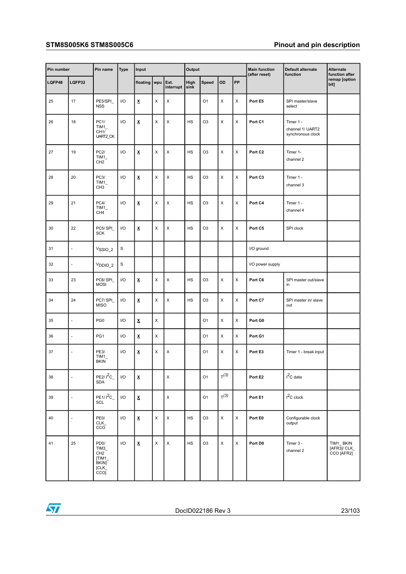#### **STM8S005K6 STM8S005C6 Pinout and pin description**

| Pin number |        | Pin name                                                                                       | <b>Type</b>             | Input                          |     |                         | Output    |                |                  |           | <b>Main function</b><br>(after reset) | Default alternate<br>function                      | Alternate<br>function after               |
|------------|--------|------------------------------------------------------------------------------------------------|-------------------------|--------------------------------|-----|-------------------------|-----------|----------------|------------------|-----------|---------------------------------------|----------------------------------------------------|-------------------------------------------|
| LQFP48     | LQFP32 |                                                                                                |                         | floating                       | wpu | Ext.<br>$interval$ sink | High      | Speed          | OD               | <b>PP</b> |                                       |                                                    | remap [option<br>bit]                     |
| 25         | 17     | PE5/SPI<br><b>NSS</b>                                                                          | I/O                     | Χ                              | X   | Χ                       |           | O <sub>1</sub> | X                | X         | Port E5                               | SPI master/slave<br>select                         |                                           |
| 26         | 18     | PC1/<br>TIM1<br>CH <sub>1</sub> /<br>UART2_CK                                                  | 1/O                     | Χ                              | X   | X                       | HS        | O <sub>3</sub> | X                | X         | Port C1                               | Timer 1 -<br>channel 1/ UART2<br>synchronous clock |                                           |
| 27         | 19     | PC2/<br>$TIM_$<br>CH <sub>2</sub>                                                              | 1/O                     | X                              | X   | X                       | <b>HS</b> | O <sub>3</sub> | X                | X         | Port C <sub>2</sub>                   | Timer 1-<br>channel 2                              |                                           |
| 28         | 20     | PC3/<br>$TIM_$<br>CH <sub>3</sub>                                                              | 1/O                     | $\underline{\mathbf{x}}$       | X   | X                       | <b>HS</b> | O <sub>3</sub> | X                | X         | Port C3                               | Timer 1 -<br>channel 3                             |                                           |
| 29         | 21     | PC4/<br>$TIM_$<br>CH4                                                                          | 1/O                     | Χ                              | X   | X                       | HS        | O <sub>3</sub> | X                | X         | Port C4                               | Timer 1 -<br>channel 4                             |                                           |
| 30         | 22     | PC5/SPI<br><b>SCK</b>                                                                          | I/O                     | X                              | X   | X                       | HS        | O <sub>3</sub> | X                | X         | Port C5                               | SPI clock                                          |                                           |
| 31         | ÷,     | V <sub>SSIO_2</sub>                                                                            | $\mathbf S$             |                                |     |                         |           |                |                  |           | I/O ground                            |                                                    |                                           |
| 32         | ÷,     | V <sub>DDIO_2</sub>                                                                            | $\mathbf S$             |                                |     |                         |           |                |                  |           | I/O power supply                      |                                                    |                                           |
| 33         | 23     | PC6/SPI<br><b>MOSI</b>                                                                         | 1/O                     | X                              | X   | Χ                       | <b>HS</b> | O <sub>3</sub> | Χ                | X         | Port C6                               | SPI master out/slave<br>in                         |                                           |
| 34         | 24     | PC7/SPI<br><b>MISO</b>                                                                         | I/O                     | X                              | X   | X                       | <b>HS</b> | O <sub>3</sub> | X                | X         | Port C7                               | SPI master in/ slave<br>out                        |                                           |
| 35         | L,     | PG <sub>0</sub>                                                                                | I/O                     | x                              | X   |                         |           | O <sub>1</sub> | Χ                | X         | Port G0                               |                                                    |                                           |
| 36         | ÷,     | PG1                                                                                            | I/O                     | $\underline{\mathsf{x}}$       | X   |                         |           | O <sub>1</sub> | X                | X         | Port G1                               |                                                    |                                           |
| 37         | ä,     | <b>PE3/</b><br>$TIM_$<br><b>BKIN</b>                                                           | I/O                     | X                              | X   | X                       |           | O <sub>1</sub> | X                | X         | Port E3                               | Timer 1 - break input                              |                                           |
| 38         | ä,     | $PE2/I^2C_$<br><b>SDA</b>                                                                      | $\mathsf{I}/\mathsf{O}$ | $\pmb{\underline{\mathsf{x}}}$ |     | X                       |           | O <sub>1</sub> | T <sup>(3)</sup> |           | Port E2                               | $I^2C$ data                                        |                                           |
| 39         | ÷,     | $PE1/I^2C_$<br>SCL                                                                             | $\mathsf{I}/\mathsf{O}$ | $\pmb{\underline{\mathsf{x}}}$ |     | X                       |           | O <sub>1</sub> | T <sup>(3)</sup> |           | Port E1                               | $I^2C$ clock                                       |                                           |
| 40         | ÷,     | PE <sub>0</sub> /<br>CLK<br>cco                                                                | 1/O                     | X                              | X   | X                       | <b>HS</b> | O <sub>3</sub> | $\pmb{\times}$   | X         | Port E0                               | Configurable clock<br>output                       |                                           |
| 41         | 25     | PD <sub>0</sub> /<br>TIM3<br>CH <sub>2</sub><br>[TIM1]<br>BKIN]<br>[CLK]<br>$cco$ <sub>I</sub> | 1/O                     | $\pmb{\underline{\mathsf{x}}}$ | X   | $\mathsf X$             | HS        | O <sub>3</sub> | X                | X         | Port D0                               | Timer 3 -<br>channel 2                             | TIM1_BKIN<br>$[AFR3]$ /CLK_<br>CCO [AFR2] |

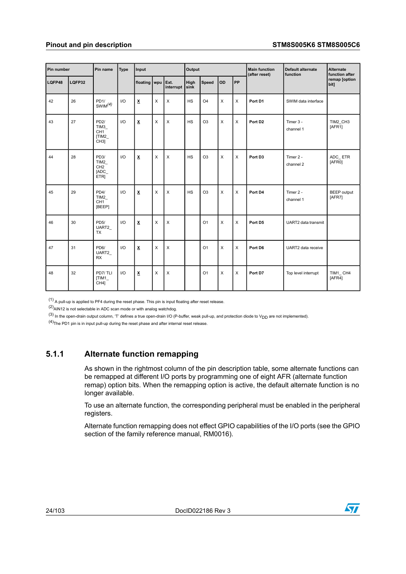| Pin number |        | Pin name                                                    | <b>Type</b> | Input                   |   |                        | Output    |                |          |           | <b>Main function</b><br>(after reset) | Default alternate<br>function | Alternate<br>function after  |
|------------|--------|-------------------------------------------------------------|-------------|-------------------------|---|------------------------|-----------|----------------|----------|-----------|---------------------------------------|-------------------------------|------------------------------|
| LQFP48     | LQFP32 |                                                             |             | floating wpu            |   | Ext.<br>interrupt sink | High      | Speed          | OD       | <b>PP</b> |                                       |                               | remap [option<br>bit]        |
| 42         | 26     | PD1/<br>$\frac{PDI}{SWIM}$ (4)                              | 1/O         | Χ                       | X | X                      | <b>HS</b> | O <sub>4</sub> | $\times$ | $\times$  | Port D1                               | SWIM data interface           |                              |
| 43         | 27     | PD2/<br>TIM3<br>CH <sub>1</sub><br>[TIM2<br>CH <sub>3</sub> | 1/O         | $\overline{\mathbf{X}}$ | X | X                      | HS        | O <sub>3</sub> | $\times$ | X         | Port D <sub>2</sub>                   | Timer 3 -<br>channel 1        | TIM2 CH3<br>[AFR1]           |
| 44         | 28     | PD3/<br>TIM2<br>CH <sub>2</sub><br>[ADC<br>ETR]             | 1/O         | x                       | X | X                      | <b>HS</b> | O <sub>3</sub> | $\times$ | $\times$  | Port D3                               | Timer 2 -<br>channel 2        | ADC ETR<br>[AFR0]            |
| 45         | 29     | PD4/<br>TIM2<br>CH <sub>1</sub><br>[BEEP]                   | 1/O         | X                       | X | X                      | HS        | O <sub>3</sub> | $\times$ | $\times$  | Port D4                               | Timer 2 -<br>channel 1        | <b>BEEP</b> output<br>[AFR7] |
| 46         | 30     | PD <sub>5</sub> /<br>UART2<br>TX                            | 1/O         | Χ                       | X | X                      |           | O <sub>1</sub> | $\times$ | X         | Port D5                               | UART2 data transmit           |                              |
| 47         | 31     | PD6/<br>UART2<br><b>RX</b>                                  | 1/O         | $\overline{\mathbf{x}}$ | X | X                      |           | O <sub>1</sub> | $\times$ | $\times$  | Port D6                               | UART2 data receive            |                              |
| 48         | 32     | PD7/TLI<br>[TIM1<br>CH4]                                    | 1/O         | x                       | X | X                      |           | O <sub>1</sub> | X        | X         | Port D7                               | Top level interrupt           | TIM1 CH4<br>[AFR4]           |

<span id="page-23-4"></span><span id="page-23-3"></span><span id="page-23-2"></span><span id="page-23-1"></span> $(1)$  A pull-up is applied to PF4 during the reset phase. This pin is input floating after reset release.

<span id="page-23-0"></span> $(2)$ AIN12 is not selectable in ADC scan mode or with analog watchdog.

 $(3)$  In the open-drain output column, 'T' defines a true open-drain I/O (P-buffer, weak pull-up, and protection diode to  $V<sub>DD</sub>$  are not implemented).

 $(4)$ The PD1 pin is in input pull-up during the reset phase and after internal reset release.

#### **5.1.1 Alternate function remapping**

As shown in the rightmost column of the pin description table, some alternate functions can be remapped at different I/O ports by programming one of eight AFR (alternate function remap) option bits. When the remapping option is active, the default alternate function is no longer available.

To use an alternate function, the corresponding peripheral must be enabled in the peripheral registers.

Alternate function remapping does not effect GPIO capabilities of the I/O ports (see the GPIO section of the family reference manual, RM0016).

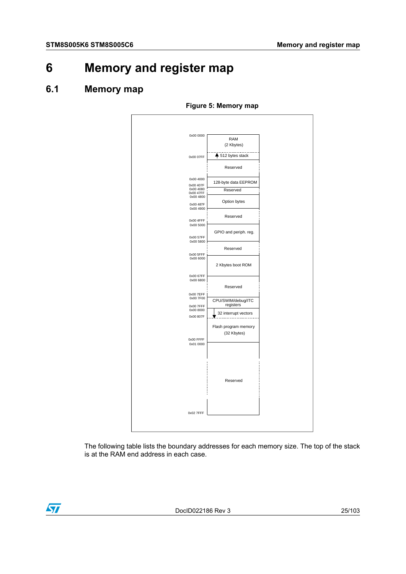## <span id="page-24-1"></span><span id="page-24-0"></span>**6 Memory and register map**

#### <span id="page-24-2"></span>**6.1 Memory map**



**Figure 5: Memory map**

The following table lists the boundary addresses for each memory size. The top of the stack is at the RAM end address in each case.

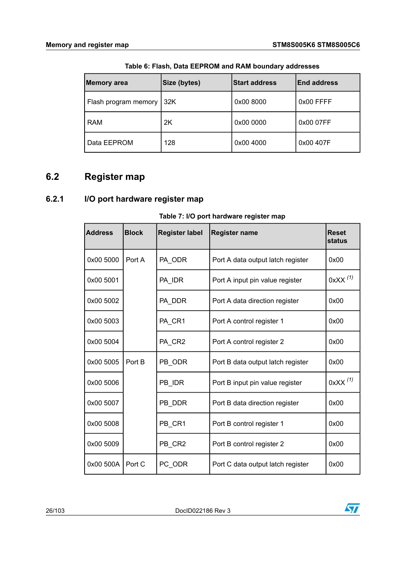<span id="page-25-2"></span>

| <b>Memory area</b>   | Size (bytes) | <b>Start address</b> | <b>End address</b> |
|----------------------|--------------|----------------------|--------------------|
| Flash program memory | 32K          | 0x00 8000            | 0x00 FFFF          |
| <b>RAM</b>           | 2K           | 0x00 0000            | 0x00 07FF          |
| Data EEPROM          | 128          | 0x00 4000            | 0x00 407F          |

**Table 6: Flash, Data EEPROM and RAM boundary addresses**

## <span id="page-25-1"></span><span id="page-25-0"></span>**6.2 Register map**

#### <span id="page-25-3"></span>**6.2.1 I/O port hardware register map**

| $1$ abic $1.1$ r $\sigma$ port Hardward register Hiap |              |                       |                                   |                        |  |  |  |  |  |  |  |
|-------------------------------------------------------|--------------|-----------------------|-----------------------------------|------------------------|--|--|--|--|--|--|--|
| <b>Address</b>                                        | <b>Block</b> | <b>Register label</b> | <b>Register name</b>              | <b>Reset</b><br>status |  |  |  |  |  |  |  |
| 0x00 5000                                             | Port A       | PA_ODR                | Port A data output latch register | 0x00                   |  |  |  |  |  |  |  |
| 0x00 5001                                             |              | PA_IDR                | Port A input pin value register   | $0$ xXX $(1)$          |  |  |  |  |  |  |  |
| 0x00 5002                                             |              | PA_DDR                | Port A data direction register    | 0x00                   |  |  |  |  |  |  |  |
| 0x00 5003                                             |              | PA_CR1                | Port A control register 1         | 0x00                   |  |  |  |  |  |  |  |
| 0x00 5004                                             |              | PA_CR2                | Port A control register 2         | 0x00                   |  |  |  |  |  |  |  |
| 0x00 5005                                             | Port B       | PB ODR                | Port B data output latch register | 0x00                   |  |  |  |  |  |  |  |
| 0x00 5006                                             |              | PB IDR                | Port B input pin value register   | $0$ xXX $(1)$          |  |  |  |  |  |  |  |
| 0x00 5007                                             |              | PB DDR                | Port B data direction register    | 0x00                   |  |  |  |  |  |  |  |
| 0x00 5008                                             |              | PB CR1                | Port B control register 1         | 0x00                   |  |  |  |  |  |  |  |
| 0x00 5009                                             |              | PB_CR2                | Port B control register 2         | 0x00                   |  |  |  |  |  |  |  |
| 0x00 500A   Port C                                    |              | PC ODR                | Port C data output latch register | 0x00                   |  |  |  |  |  |  |  |

**Table 7: I/O port hardware register map**

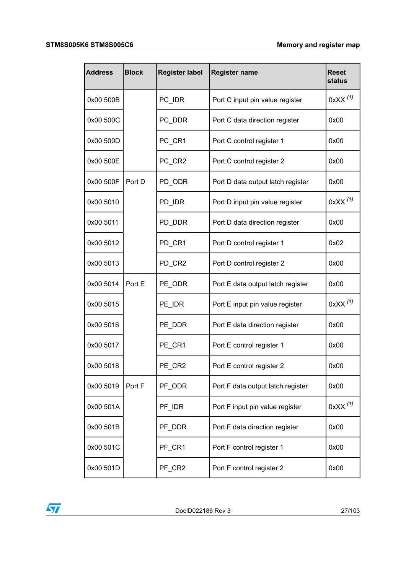| <b>Address</b> | <b>Block</b> | <b>Register label</b> | <b>Register name</b>              | <b>Reset</b><br>status |
|----------------|--------------|-----------------------|-----------------------------------|------------------------|
| 0x00 500B      |              | PC_IDR                | Port C input pin value register   | $0$ xXX $(1)$          |
| 0x00 500C      |              | PC DDR                | Port C data direction register    | 0x00                   |
| 0x00 500D      |              | PC_CR1                | Port C control register 1         | 0x00                   |
| 0x00 500E      |              | PC_CR2                | Port C control register 2         | 0x00                   |
| 0x00 500F      | Port D       | PD_ODR                | Port D data output latch register | 0x00                   |
| 0x00 5010      |              | PD_IDR                | Port D input pin value register   | $0$ xXX $(1)$          |
| 0x00 5011      |              | PD DDR                | Port D data direction register    | 0x00                   |
| 0x00 5012      |              | PD_CR1                | Port D control register 1         | 0x02                   |
| 0x00 5013      |              | PD CR2                | Port D control register 2         | 0x00                   |
| 0x00 5014      | Port E       | PE_ODR                | Port E data output latch register | 0x00                   |
| 0x00 5015      |              | PE_IDR                | Port E input pin value register   | $0$ xXX $(1)$          |
| 0x00 5016      |              | PE_DDR                | Port E data direction register    | 0x00                   |
| 0x00 5017      |              | PE_CR1                | Port E control register 1         | 0x00                   |
| 0x00 5018      |              | PE_CR2                | Port E control register 2         | 0x00                   |
| 0x00 5019      | Port F       | PF ODR                | Port F data output latch register | 0x00                   |
| 0x00 501A      |              | PF_IDR                | Port F input pin value register   | $0$ xXX $(1)$          |
| 0x00 501B      |              | PF_DDR                | Port F data direction register    | 0x00                   |
| 0x00 501C      |              | PF_CR1                | Port F control register 1         | 0x00                   |
| 0x00 501D      |              | PF_CR2                | Port F control register 2         | 0x00                   |

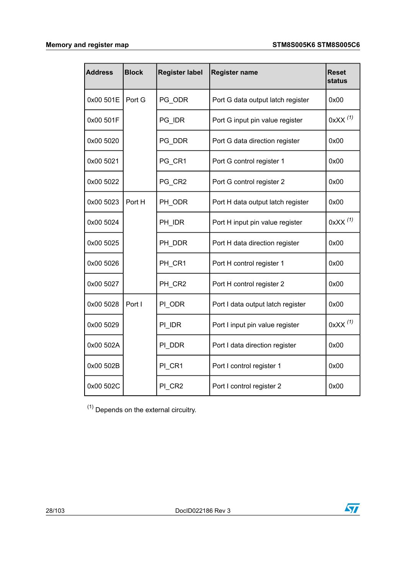| <b>Address</b> | <b>Block</b> | <b>Register label</b> | <b>Register name</b>              | <b>Reset</b><br>status |
|----------------|--------------|-----------------------|-----------------------------------|------------------------|
| 0x00 501E      | Port G       | PG ODR                | Port G data output latch register | 0x00                   |
| 0x00 501F      |              | PG IDR                | Port G input pin value register   | 0xXX <sup>(1)</sup>    |
| 0x00 5020      |              | PG DDR                | Port G data direction register    | 0x00                   |
| 0x00 5021      |              | PG_CR1                | Port G control register 1         | 0x00                   |
| 0x00 5022      |              | PG CR2                | Port G control register 2         | 0x00                   |
| 0x00 5023      | Port H       | PH ODR                | Port H data output latch register | 0x00                   |
| 0x00 5024      |              | PH IDR                | Port H input pin value register   | $0$ xXX $(1)$          |
| 0x00 5025      |              | PH DDR                | Port H data direction register    | 0x00                   |
| 0x00 5026      |              | PH CR1                | Port H control register 1         | 0x00                   |
| 0x00 5027      |              | PH_CR2                | Port H control register 2         | 0x00                   |
| 0x00 5028      | Port I       | PI_ODR                | Port I data output latch register | 0x00                   |
| 0x00 5029      |              | PI IDR                | Port I input pin value register   | $0$ xXX $(1)$          |
| 0x00 502A      |              | PI DDR                | Port I data direction register    | 0x00                   |
| 0x00 502B      |              | PI_CR1                | Port I control register 1         | 0x00                   |
| 0x00 502C      |              | PI_CR2                | Port I control register 2         | 0x00                   |

<span id="page-27-0"></span> $(1)$  Depends on the external circuitry.

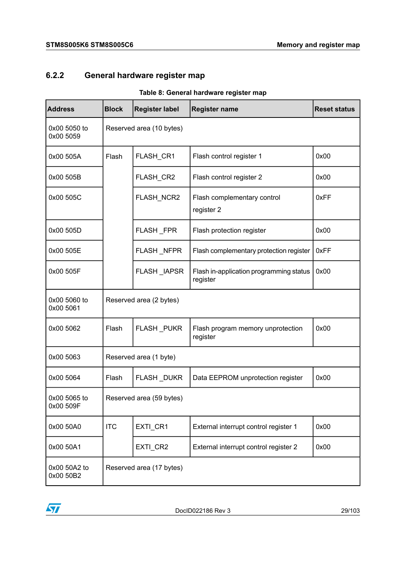### <span id="page-28-1"></span><span id="page-28-0"></span>**6.2.2 General hardware register map**

| rable 6. General naruware register map |              |                          |                                                     |                     |  |  |  |  |  |  |
|----------------------------------------|--------------|--------------------------|-----------------------------------------------------|---------------------|--|--|--|--|--|--|
| <b>Address</b>                         | <b>Block</b> | <b>Register label</b>    | <b>Register name</b>                                | <b>Reset status</b> |  |  |  |  |  |  |
| 0x00 5050 to<br>0x00 5059              |              | Reserved area (10 bytes) |                                                     |                     |  |  |  |  |  |  |
| 0x00 505A                              | Flash        | FLASH_CR1                | Flash control register 1                            | 0x00                |  |  |  |  |  |  |
| 0x00 505B                              |              | FLASH_CR2                | Flash control register 2                            | 0x00                |  |  |  |  |  |  |
| 0x00 505C                              |              | FLASH_NCR2               | Flash complementary control<br>register 2           | 0xFF                |  |  |  |  |  |  |
| 0x00 505D                              |              | FLASH_FPR                | Flash protection register                           | 0x00                |  |  |  |  |  |  |
| 0x00 505E                              |              | FLASH_NFPR               | Flash complementary protection register             | 0xFF                |  |  |  |  |  |  |
| 0x00 505F                              |              | FLASH IAPSR              | Flash in-application programming status<br>register | 0x00                |  |  |  |  |  |  |
| 0x00 5060 to<br>0x00 5061              |              | Reserved area (2 bytes)  |                                                     |                     |  |  |  |  |  |  |
| 0x00 5062                              | Flash        | FLASH_PUKR               | Flash program memory unprotection<br>register       | 0x00                |  |  |  |  |  |  |
| 0x00 5063                              |              | Reserved area (1 byte)   |                                                     |                     |  |  |  |  |  |  |
| 0x00 5064                              | Flash        | FLASH_DUKR               | Data EEPROM unprotection register                   | 0x00                |  |  |  |  |  |  |
| 0x00 5065 to<br>0x00 509F              |              | Reserved area (59 bytes) |                                                     |                     |  |  |  |  |  |  |
| 0x00 50A0                              | <b>ITC</b>   | EXTI_CR1                 | External interrupt control register 1               | 0x00                |  |  |  |  |  |  |
| 0x00 50A1                              |              | EXTI_CR2                 | External interrupt control register 2               | 0x00                |  |  |  |  |  |  |
| 0x00 50A2 to<br>0x00 50B2              |              | Reserved area (17 bytes) |                                                     |                     |  |  |  |  |  |  |

#### **Table 8: General hardware register map**

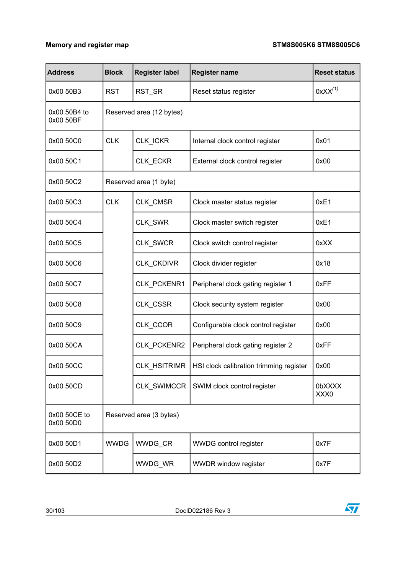| <b>Address</b>            | <b>Block</b> | <b>Register label</b>    | <b>Register name</b>                    | <b>Reset status</b> |  |  |  |  |
|---------------------------|--------------|--------------------------|-----------------------------------------|---------------------|--|--|--|--|
| 0x00 50B3                 | <b>RST</b>   | RST_SR                   | Reset status register                   | $0$ x $XX^{(1)}$    |  |  |  |  |
| 0x00 50B4 to<br>0x00 50BF |              | Reserved area (12 bytes) |                                         |                     |  |  |  |  |
| 0x00 50C0                 | <b>CLK</b>   | CLK_ICKR                 | Internal clock control register         | 0x01                |  |  |  |  |
| 0x00 50C1                 |              | CLK_ECKR                 | External clock control register         | 0x00                |  |  |  |  |
| 0x00 50C2                 |              | Reserved area (1 byte)   |                                         |                     |  |  |  |  |
| 0x00 50C3                 | <b>CLK</b>   | CLK CMSR                 | Clock master status register            | 0xE1                |  |  |  |  |
| 0x00 50C4                 |              | CLK_SWR                  | Clock master switch register            | 0xE1                |  |  |  |  |
| 0x00 50C5                 |              | CLK_SWCR                 | Clock switch control register           | 0xXX                |  |  |  |  |
| 0x00 50C6                 |              | CLK_CKDIVR               | Clock divider register                  | 0x18                |  |  |  |  |
| 0x00 50C7                 |              | CLK_PCKENR1              | Peripheral clock gating register 1      | 0xFF                |  |  |  |  |
| 0x00 50C8                 |              | CLK_CSSR                 | Clock security system register          | 0x00                |  |  |  |  |
| 0x00 50C9                 |              | CLK_CCOR                 | Configurable clock control register     | 0x00                |  |  |  |  |
| 0x00 50CA                 |              | CLK_PCKENR2              | Peripheral clock gating register 2      | 0xFF                |  |  |  |  |
| 0x00 50CC                 |              | CLK_HSITRIMR             | HSI clock calibration trimming register | 0x00                |  |  |  |  |
| 0x00 50CD                 |              | CLK SWIMCCR              | SWIM clock control register             | 0bXXXX<br>XXX0      |  |  |  |  |
| 0x00 50CE to<br>0x00 50D0 |              | Reserved area (3 bytes)  |                                         |                     |  |  |  |  |
| 0x00 50D1                 | <b>WWDG</b>  | WWDG_CR                  | WWDG control register                   | 0x7F                |  |  |  |  |
| 0x00 50D2                 |              | WWDG_WR                  | WWDR window register                    | 0x7F                |  |  |  |  |

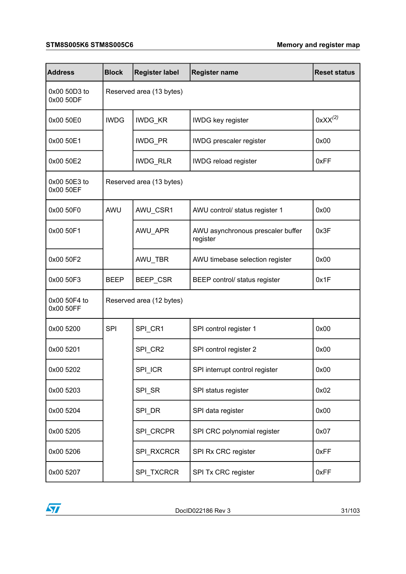#### **STM8S005K6 STM8S005C6 Memory and register map**

| <b>Address</b>            | <b>Block</b> | <b>Register label</b>    | <b>Register name</b>                          | <b>Reset status</b> |  |  |  |  |
|---------------------------|--------------|--------------------------|-----------------------------------------------|---------------------|--|--|--|--|
| 0x00 50D3 to<br>0x00 50DF |              | Reserved area (13 bytes) |                                               |                     |  |  |  |  |
| 0x00 50E0                 | <b>IWDG</b>  | IWDG_KR                  | <b>IWDG</b> key register                      | $0$ xXX $(2)$       |  |  |  |  |
| 0x00 50E1                 |              | IWDG_PR                  | IWDG prescaler register                       | 0x00                |  |  |  |  |
| 0x00 50E2                 |              | IWDG_RLR                 | <b>IWDG</b> reload register                   | 0xFF                |  |  |  |  |
| 0x00 50E3 to<br>0x00 50EF |              | Reserved area (13 bytes) |                                               |                     |  |  |  |  |
| 0x00 50F0                 | AWU          | AWU_CSR1                 | AWU control/ status register 1                | 0x00                |  |  |  |  |
| 0x00 50F1                 |              | AWU_APR                  | AWU asynchronous prescaler buffer<br>register | 0x3F                |  |  |  |  |
| 0x00 50F2                 |              | AWU_TBR                  | AWU timebase selection register               | 0x00                |  |  |  |  |
| 0x00 50F3                 | <b>BEEP</b>  | BEEP_CSR                 | BEEP control/ status register                 | 0x1F                |  |  |  |  |
| 0x00 50F4 to<br>0x00 50FF |              | Reserved area (12 bytes) |                                               |                     |  |  |  |  |
| 0x00 5200                 | <b>SPI</b>   | SPI_CR1                  | SPI control register 1                        | 0x00                |  |  |  |  |
| 0x00 5201                 |              | SPI_CR2                  | SPI control register 2                        | 0x00                |  |  |  |  |
| 0x00 5202                 |              | SPI_ICR                  | SPI interrupt control register                | 0x00                |  |  |  |  |
| 0x00 5203                 |              | SPI_SR                   | SPI status register                           | 0x02                |  |  |  |  |
| 0x00 5204                 |              | SPI_DR                   | SPI data register                             | 0x00                |  |  |  |  |
| 0x00 5205                 |              | SPI_CRCPR                | SPI CRC polynomial register                   | 0x07                |  |  |  |  |
| 0x00 5206                 |              | SPI_RXCRCR               | SPI Rx CRC register                           | 0xFF                |  |  |  |  |
| 0x00 5207                 |              | SPI_TXCRCR               | SPI Tx CRC register                           | 0xFF                |  |  |  |  |

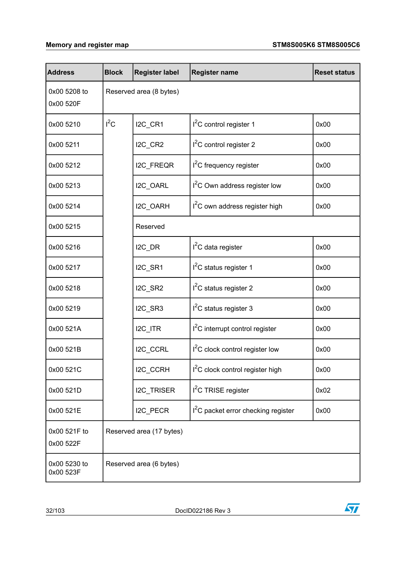| <b>Address</b>            | <b>Block</b> | <b>Register label</b>    | <b>Register name</b>                            | <b>Reset status</b> |  |  |  |  |
|---------------------------|--------------|--------------------------|-------------------------------------------------|---------------------|--|--|--|--|
| 0x00 5208 to<br>0x00 520F |              | Reserved area (8 bytes)  |                                                 |                     |  |  |  |  |
| 0x00 5210                 | $I^2C$       | I2C_CR1                  | $I2C$ control register 1                        | 0x00                |  |  |  |  |
| 0x00 5211                 |              | I2C_CR2                  | I <sup>2</sup> C control register 2             | 0x00                |  |  |  |  |
| 0x00 5212                 |              | I2C_FREQR                | I <sup>2</sup> C frequency register             | 0x00                |  |  |  |  |
| 0x00 5213                 |              | I2C_OARL                 | I <sup>2</sup> C Own address register low       | 0x00                |  |  |  |  |
| 0x00 5214                 |              | I2C_OARH                 | I <sup>2</sup> C own address register high      | 0x00                |  |  |  |  |
| 0x00 5215                 |              | Reserved                 |                                                 |                     |  |  |  |  |
| 0x00 5216                 |              | I2C_DR                   | l <sup>2</sup> C data register                  | 0x00                |  |  |  |  |
| 0x00 5217                 |              | I2C_SR1                  | I <sup>2</sup> C status register 1              | 0x00                |  |  |  |  |
| 0x00 5218                 |              | I2C_SR2                  | I <sup>2</sup> C status register 2              | 0x00                |  |  |  |  |
| 0x00 5219                 |              | I2C_SR3                  | I <sup>2</sup> C status register 3              | 0x00                |  |  |  |  |
| 0x00 521A                 |              | I2C_ITR                  | <sup>2</sup> C interrupt control register       | 0x00                |  |  |  |  |
| 0x00 521B                 |              | I2C_CCRL                 | I <sup>2</sup> C clock control register low     | 0x00                |  |  |  |  |
| 0x00 521C                 |              | I2C_CCRH                 | I <sup>2</sup> C clock control register high    | 0x00                |  |  |  |  |
| 0x00 521D                 |              | I2C_TRISER               | I <sup>2</sup> C TRISE register                 | 0x02                |  |  |  |  |
| 0x00 521E                 |              | I2C_PECR                 | I <sup>2</sup> C packet error checking register | 0x00                |  |  |  |  |
| 0x00 521F to<br>0x00 522F |              | Reserved area (17 bytes) |                                                 |                     |  |  |  |  |
| 0x00 5230 to<br>0x00 523F |              | Reserved area (6 bytes)  |                                                 |                     |  |  |  |  |

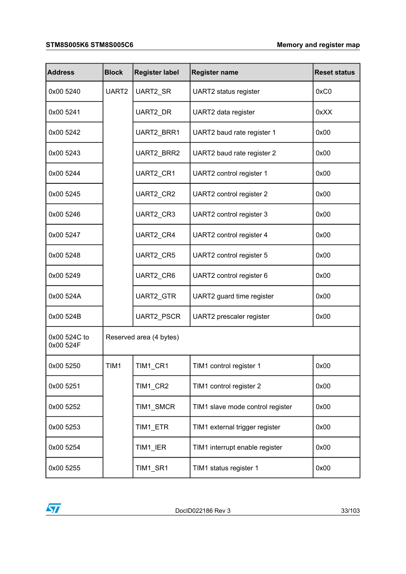#### **STM8S005K6 STM8S005C6 Memory and register map**

| <b>Address</b>            | <b>Block</b>            | <b>Register label</b> | <b>Register name</b>             | <b>Reset status</b> |
|---------------------------|-------------------------|-----------------------|----------------------------------|---------------------|
| 0x00 5240                 | UART <sub>2</sub>       | UART2_SR              | UART2 status register            | 0xC0                |
| 0x00 5241                 |                         | UART2_DR              | UART2 data register              | 0xXX                |
| 0x00 5242                 |                         | UART2_BRR1            | UART2 baud rate register 1       | 0x00                |
| 0x00 5243                 |                         | UART2_BRR2            | UART2 baud rate register 2       | 0x00                |
| 0x00 5244                 |                         | UART2_CR1             | UART2 control register 1         | 0x00                |
| 0x00 5245                 |                         | UART2_CR2             | UART2 control register 2         | 0x00                |
| 0x00 5246                 |                         | UART2_CR3             | UART2 control register 3         | 0x00                |
| 0x00 5247                 |                         | UART2_CR4             | UART2 control register 4         | 0x00                |
| 0x00 5248                 |                         | UART2_CR5             | UART2 control register 5         | 0x00                |
| 0x00 5249                 |                         | UART2_CR6             | UART2 control register 6         | 0x00                |
| 0x00 524A                 |                         | UART2_GTR             | UART2 guard time register        | 0x00                |
| 0x00 524B                 |                         | UART2_PSCR            | UART2 prescaler register         | 0x00                |
| 0x00 524C to<br>0x00 524F | Reserved area (4 bytes) |                       |                                  |                     |
| 0x00 5250                 | TIM1                    | TIM1_CR1              | TIM1 control register 1          | 0x00                |
| 0x00 5251                 |                         | TIM1_CR2              | TIM1 control register 2          | 0x00                |
| 0x00 5252                 |                         | TIM1_SMCR             | TIM1 slave mode control register | 0x00                |
| 0x00 5253                 |                         | TIM1_ETR              | TIM1 external trigger register   | 0x00                |
| 0x00 5254                 |                         | TIM1_IER              | TIM1 interrupt enable register   | 0x00                |
| 0x00 5255                 |                         | TIM1_SR1              | TIM1 status register 1           | 0x00                |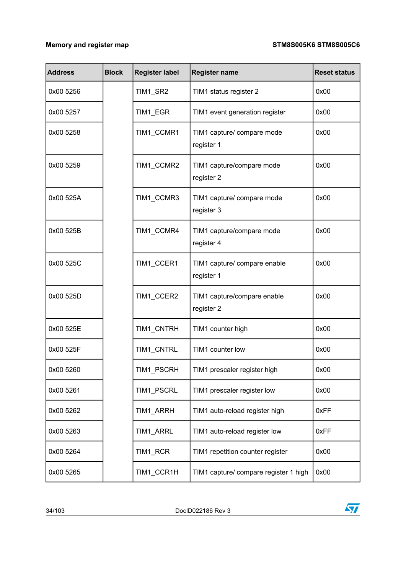| <b>Address</b> | <b>Block</b> | <b>Register label</b> | <b>Register name</b>                       | <b>Reset status</b> |
|----------------|--------------|-----------------------|--------------------------------------------|---------------------|
| 0x00 5256      |              | TIM1_SR2              | TIM1 status register 2                     | 0x00                |
| 0x00 5257      |              | TIM1_EGR              | TIM1 event generation register             | 0x00                |
| 0x00 5258      |              | TIM1_CCMR1            | TIM1 capture/ compare mode<br>register 1   | 0x00                |
| 0x00 5259      |              | TIM1_CCMR2            | TIM1 capture/compare mode<br>register 2    | 0x00                |
| 0x00 525A      |              | TIM1 CCMR3            | TIM1 capture/ compare mode<br>register 3   | 0x00                |
| 0x00 525B      |              | TIM1 CCMR4            | TIM1 capture/compare mode<br>register 4    | 0x00                |
| 0x00 525C      |              | TIM1_CCER1            | TIM1 capture/ compare enable<br>register 1 | 0x00                |
| 0x00 525D      |              | TIM1_CCER2            | TIM1 capture/compare enable<br>register 2  | 0x00                |
| 0x00 525E      |              | TIM1_CNTRH            | TIM1 counter high                          | 0x00                |
| 0x00 525F      |              | TIM1_CNTRL            | TIM1 counter low                           | 0x00                |
| 0x00 5260      |              | TIM1_PSCRH            | TIM1 prescaler register high               | 0x00                |
| 0x00 5261      |              | TIM1_PSCRL            | TIM1 prescaler register low                | 0x00                |
| 0x00 5262      |              | TIM1_ARRH             | TIM1 auto-reload register high             | 0xFF                |
| 0x00 5263      |              | TIM1_ARRL             | TIM1 auto-reload register low              | 0xFF                |
| 0x00 5264      |              | TIM1_RCR              | TIM1 repetition counter register           | 0x00                |
| 0x00 5265      |              | TIM1_CCR1H            | TIM1 capture/ compare register 1 high      | 0x00                |

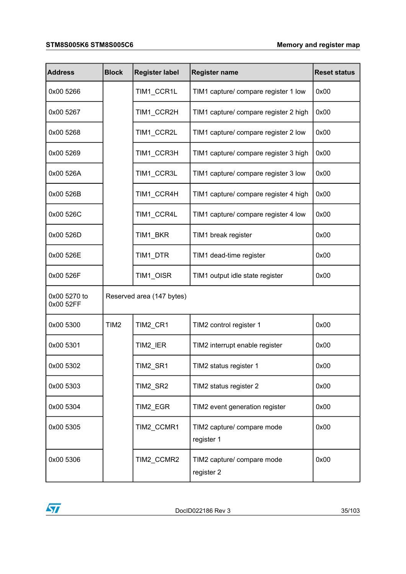#### **STM8S005K6 STM8S005C6 Memory and register map**

| <b>Address</b>            | <b>Block</b>              | <b>Register label</b> | <b>Register name</b>                     | <b>Reset status</b> |  |
|---------------------------|---------------------------|-----------------------|------------------------------------------|---------------------|--|
| 0x00 5266                 |                           | TIM1_CCR1L            | TIM1 capture/ compare register 1 low     | 0x00                |  |
| 0x00 5267                 |                           | TIM1_CCR2H            | TIM1 capture/ compare register 2 high    | 0x00                |  |
| 0x00 5268                 |                           | TIM1_CCR2L            | TIM1 capture/ compare register 2 low     | 0x00                |  |
| 0x00 5269                 |                           | TIM1_CCR3H            | TIM1 capture/ compare register 3 high    | 0x00                |  |
| 0x00 526A                 |                           | TIM1_CCR3L            | TIM1 capture/ compare register 3 low     | 0x00                |  |
| 0x00 526B                 |                           | TIM1_CCR4H            | TIM1 capture/ compare register 4 high    | 0x00                |  |
| 0x00 526C                 |                           | TIM1_CCR4L            | TIM1 capture/ compare register 4 low     | 0x00                |  |
| 0x00 526D                 |                           | TIM1_BKR              | TIM1 break register                      | 0x00                |  |
| 0x00 526E                 |                           | TIM1_DTR              | TIM1 dead-time register                  | 0x00                |  |
| 0x00 526F                 |                           | TIM1_OISR             | TIM1 output idle state register          | 0x00                |  |
| 0x00 5270 to<br>0x00 52FF | Reserved area (147 bytes) |                       |                                          |                     |  |
| 0x00 5300                 | TIM2                      | TIM2_CR1              | TIM2 control register 1                  | 0x00                |  |
| 0x00 5301                 |                           | TIM2_IER              | TIM2 interrupt enable register           | 0x00                |  |
| 0x00 5302                 |                           | TIM2 SR1              | TIM2 status register 1                   | 0x00                |  |
| 0x00 5303                 |                           | TIM2_SR2              | TIM2 status register 2                   | 0x00                |  |
| 0x00 5304                 |                           | TIM2_EGR              | TIM2 event generation register           | 0x00                |  |
| 0x00 5305                 |                           | TIM2 CCMR1            | TIM2 capture/ compare mode<br>register 1 | 0x00                |  |
| 0x00 5306                 |                           | TIM2_CCMR2            | TIM2 capture/ compare mode<br>register 2 | 0x00                |  |

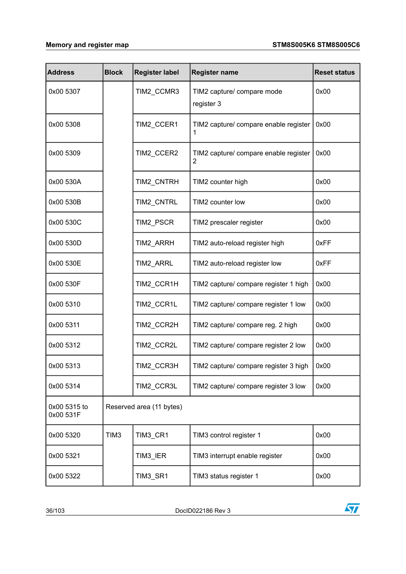| <b>Address</b>            | <b>Block</b>             | <b>Register label</b> | <b>Register name</b>                       | <b>Reset status</b> |  |
|---------------------------|--------------------------|-----------------------|--------------------------------------------|---------------------|--|
| 0x00 5307                 |                          | TIM2_CCMR3            | TIM2 capture/ compare mode<br>register 3   | 0x00                |  |
| 0x00 5308                 |                          | TIM2_CCER1            | TIM2 capture/ compare enable register<br>1 | 0x00                |  |
| 0x00 5309                 |                          | TIM2_CCER2            | TIM2 capture/ compare enable register<br>2 | 0x00                |  |
| 0x00 530A                 |                          | TIM2_CNTRH            | TIM2 counter high                          | 0x00                |  |
| 0x00 530B                 |                          | TIM2_CNTRL            | TIM2 counter low                           | 0x00                |  |
| 0x00 530C                 |                          | TIM2_PSCR             | TIM2 prescaler register                    | 0x00                |  |
| 0x00 530D                 |                          | <b>TIM2 ARRH</b>      | TIM2 auto-reload register high             | 0xFF                |  |
| 0x00 530E                 |                          | TIM2_ARRL             | TIM2 auto-reload register low              | 0xFF                |  |
| 0x00 530F                 |                          | TIM2_CCR1H            | TIM2 capture/ compare register 1 high      | 0x00                |  |
| 0x00 5310                 |                          | TIM2_CCR1L            | TIM2 capture/ compare register 1 low       | 0x00                |  |
| 0x00 5311                 |                          | TIM2_CCR2H            | TIM2 capture/ compare reg. 2 high          | 0x00                |  |
| 0x00 5312                 |                          | TIM2_CCR2L            | TIM2 capture/ compare register 2 low       | 0x00                |  |
| 0x00 5313                 |                          | TIM2_CCR3H            | TIM2 capture/ compare register 3 high      | 0x00                |  |
| 0x00 5314                 |                          | TIM2_CCR3L            | TIM2 capture/ compare register 3 low       | 0x00                |  |
| 0x00 5315 to<br>0x00 531F | Reserved area (11 bytes) |                       |                                            |                     |  |
| 0x00 5320                 | TIM <sub>3</sub>         | TIM3_CR1              | TIM3 control register 1                    | 0x00                |  |
| 0x00 5321                 |                          | TIM3_IER              | TIM3 interrupt enable register             | 0x00                |  |
| 0x00 5322                 |                          | TIM3_SR1              | TIM3 status register 1                     | 0x00                |  |

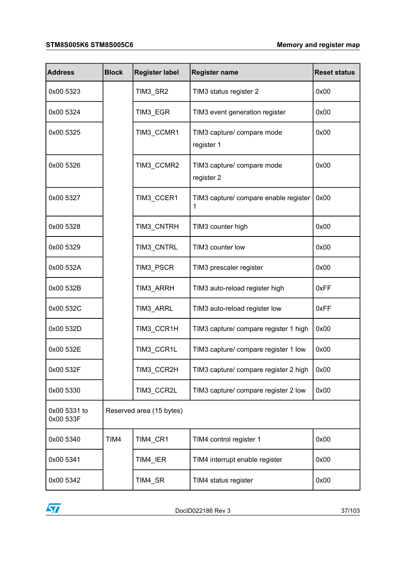#### **STM8S005K6 STM8S005C6 Memory and register map**

| <b>Address</b>            | <b>Block</b> | <b>Register label</b>    | <b>Register name</b>                         | <b>Reset status</b> |  |
|---------------------------|--------------|--------------------------|----------------------------------------------|---------------------|--|
| 0x00 5323                 |              | TIM3_SR2                 | TIM3 status register 2                       | 0x00                |  |
| 0x00 5324                 |              | TIM3_EGR                 | TIM3 event generation register               | 0x00                |  |
| 0x00 5325                 |              | TIM3_CCMR1               | TIM3 capture/ compare mode<br>register 1     | 0x00                |  |
| 0x00 5326                 |              | TIM3_CCMR2               | TIM3 capture/ compare mode<br>register 2     | 0x00                |  |
| 0x00 5327                 |              | TIM3_CCER1               | TIM3 capture/ compare enable register        | 0x00                |  |
| 0x00 5328                 |              | TIM3_CNTRH               | TIM3 counter high                            | 0x00                |  |
| 0x00 5329                 |              | TIM3_CNTRL               | TIM3 counter low                             | 0x00                |  |
| 0x00 532A                 |              | TIM3_PSCR                | TIM3 prescaler register                      | 0x00                |  |
| 0x00 532B                 |              | TIM3_ARRH                | TIM3 auto-reload register high               | 0xFF                |  |
| 0x00 532C                 |              | TIM3_ARRL                | TIM3 auto-reload register low                | 0xFF                |  |
| 0x00 532D                 |              | TIM3_CCR1H               | TIM3 capture/ compare register 1 high        | 0x00                |  |
| 0x00 532E                 |              | TIM3_CCR1L               | TIM3 capture/ compare register 1 low         | 0x00                |  |
| 0x00 532F                 |              | TIM3_CCR2H               | TIM3 capture/ compare register 2 high        | $\int$ 0x00         |  |
| 0x00 5330                 |              | TIM3_CCR2L               | TIM3 capture/ compare register 2 low<br>0x00 |                     |  |
| 0x00 5331 to<br>0x00 533F |              | Reserved area (15 bytes) |                                              |                     |  |
| 0x00 5340                 | TIM4         | TIM4_CR1                 | TIM4 control register 1                      | 0x00                |  |
| 0x00 5341                 |              | TIM4_IER                 | TIM4 interrupt enable register               | 0x00                |  |
| 0x00 5342                 |              | TIM4_SR                  | TIM4 status register<br>0x00                 |                     |  |

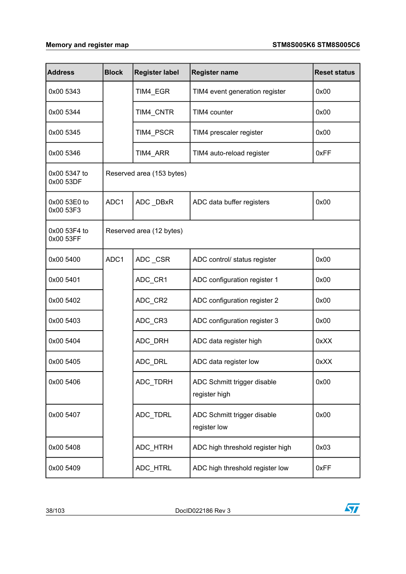| <b>Address</b>            | <b>Block</b> | <b>Register label</b>     | <b>Register name</b>                         | <b>Reset status</b> |  |  |  |  |
|---------------------------|--------------|---------------------------|----------------------------------------------|---------------------|--|--|--|--|
| 0x00 5343                 |              | TIM4_EGR                  | TIM4 event generation register               | 0x00                |  |  |  |  |
| 0x00 5344                 |              | TIM4_CNTR                 | TIM4 counter                                 | 0x00                |  |  |  |  |
| 0x00 5345                 |              | TIM4_PSCR                 | TIM4 prescaler register                      | 0x00                |  |  |  |  |
| 0x00 5346                 |              | TIM4 ARR                  | TIM4 auto-reload register                    | 0xFF                |  |  |  |  |
| 0x00 5347 to<br>0x00 53DF |              | Reserved area (153 bytes) |                                              |                     |  |  |  |  |
| 0x00 53E0 to<br>0x00 53F3 | ADC1         | ADC_DBxR                  | ADC data buffer registers                    | 0x00                |  |  |  |  |
| 0x00 53F4 to<br>0x00 53FF |              | Reserved area (12 bytes)  |                                              |                     |  |  |  |  |
| 0x00 5400                 | ADC1         | ADC_CSR                   | ADC control/ status register                 | 0x00                |  |  |  |  |
| 0x00 5401                 |              | ADC_CR1                   | ADC configuration register 1                 | 0x00                |  |  |  |  |
| 0x00 5402                 |              | ADC_CR2                   | ADC configuration register 2                 | 0x00                |  |  |  |  |
| 0x00 5403                 |              | ADC_CR3                   | ADC configuration register 3                 | 0x00                |  |  |  |  |
| 0x00 5404                 |              | ADC_DRH                   | ADC data register high                       | 0xXX                |  |  |  |  |
| 0x00 5405                 |              | ADC_DRL                   | ADC data register low                        | 0xXX                |  |  |  |  |
| 0x00 5406                 |              | ADC TDRH                  | ADC Schmitt trigger disable<br>register high | 0x00                |  |  |  |  |
| 0x00 5407                 |              | ADC_TDRL                  | ADC Schmitt trigger disable<br>register low  | 0x00                |  |  |  |  |
| 0x00 5408                 |              | ADC_HTRH                  | ADC high threshold register high             | 0x03                |  |  |  |  |
| 0x00 5409                 |              | ADC_HTRL                  | ADC high threshold register low              | 0xFF                |  |  |  |  |

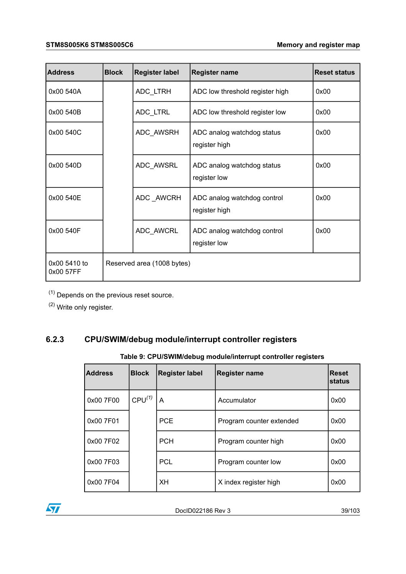| <b>Address</b>            | <b>Block</b> | <b>Register label</b>      | <b>Register name</b>                         | <b>Reset status</b> |
|---------------------------|--------------|----------------------------|----------------------------------------------|---------------------|
| 0x00 540A                 |              | ADC_LTRH                   | ADC low threshold register high              | 0x00                |
| 0x00 540B                 |              | ADC_LTRL                   | ADC low threshold register low               | 0x00                |
| 0x00 540C                 |              | ADC AWSRH                  | ADC analog watchdog status<br>register high  | 0x00                |
| 0x00 540D                 |              | ADC_AWSRL                  | ADC analog watchdog status<br>register low   | 0x00                |
| 0x00 540E                 |              | ADC_AWCRH                  | ADC analog watchdog control<br>register high | 0x00                |
| 0x00 540F                 |              | ADC_AWCRL                  | ADC analog watchdog control<br>register low  | 0x00                |
| 0x00 5410 to<br>0x00 57FF |              | Reserved area (1008 bytes) |                                              |                     |

 $(1)$  Depends on the previous reset source.

(2) Write only register.

### **6.2.3 CPU/SWIM/debug module/interrupt controller registers**

### **Table 9: CPU/SWIM/debug module/interrupt controller registers**

| <b>Address</b> | <b>Block</b>       | <b>Register label</b> | <b>Register name</b>     | <b>IReset</b><br>Istatus |
|----------------|--------------------|-----------------------|--------------------------|--------------------------|
| 0x00 7F00      | CPU <sup>(1)</sup> | A                     | Accumulator              | 0x00                     |
| 0x00 7F01      |                    | <b>PCE</b>            | Program counter extended | 0x00                     |
| 0x00 7F02      |                    | <b>PCH</b>            | Program counter high     | 0x00                     |
| 0x00 7F03      |                    | <b>PCL</b>            | Program counter low      | 0x00                     |
| 0x00 7F04      |                    | <b>XH</b>             | X index register high    | 0x00                     |

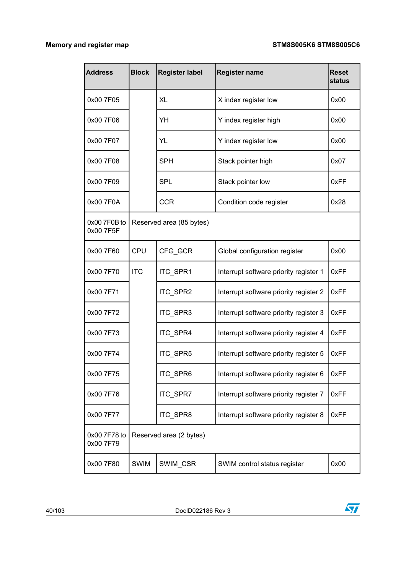| <b>Address</b>            | <b>Block</b> | <b>Register label</b><br><b>Register name</b><br><b>Reset</b><br><b>status</b> |                                        |      |  |
|---------------------------|--------------|--------------------------------------------------------------------------------|----------------------------------------|------|--|
| 0x00 7F05                 |              | XL                                                                             | X index register low                   | 0x00 |  |
| 0x00 7F06                 |              | YH                                                                             | Y index register high                  | 0x00 |  |
| 0x00 7F07                 |              | YL                                                                             | Y index register low                   | 0x00 |  |
| 0x00 7F08                 |              | <b>SPH</b>                                                                     | Stack pointer high                     | 0x07 |  |
| 0x00 7F09                 |              | <b>SPL</b>                                                                     | Stack pointer low                      | 0xFF |  |
| 0x00 7F0A                 |              | <b>CCR</b>                                                                     | Condition code register                | 0x28 |  |
| 0x00 7F0B to<br>0x00 7F5F |              | Reserved area (85 bytes)                                                       |                                        |      |  |
| 0x00 7F60                 | CPU          | CFG_GCR                                                                        | Global configuration register          | 0x00 |  |
| 0x00 7F70                 | <b>ITC</b>   | ITC_SPR1                                                                       | Interrupt software priority register 1 | 0xFF |  |
| 0x00 7F71                 |              | ITC_SPR2                                                                       | Interrupt software priority register 2 | 0xFF |  |
| 0x00 7F72                 |              | ITC_SPR3                                                                       | Interrupt software priority register 3 | 0xFF |  |
| 0x00 7F73                 |              | ITC_SPR4                                                                       | Interrupt software priority register 4 | 0xFF |  |
| 0x00 7F74                 |              | ITC_SPR5                                                                       | Interrupt software priority register 5 | 0xFF |  |
| 0x00 7F75                 |              | ITC_SPR6                                                                       | Interrupt software priority register 6 | 0xFF |  |
| 0x00 7F76                 |              | ITC_SPR7                                                                       | Interrupt software priority register 7 | 0xFF |  |
| 0x00 7F77                 |              | ITC_SPR8                                                                       | Interrupt software priority register 8 | 0xFF |  |
| 0x00 7F78 to<br>0x00 7F79 |              | Reserved area (2 bytes)                                                        |                                        |      |  |
| 0x00 7F80                 | <b>SWIM</b>  | SWIM_CSR                                                                       | SWIM control status register           | 0x00 |  |

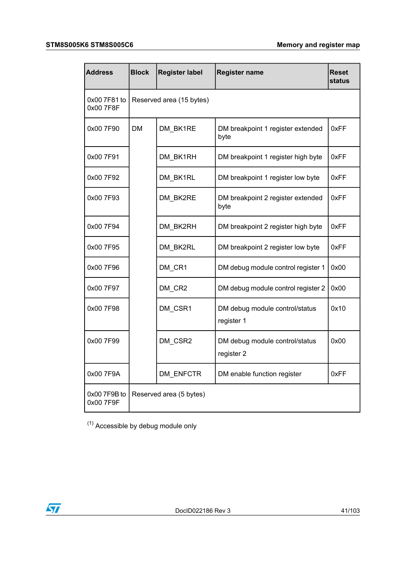#### **STM8S005K6 STM8S005C6 Memory and register map**

| <b>Address</b>            | <b>Block</b> | <b>Register label</b>    | <b>Reset</b><br>status                       |      |
|---------------------------|--------------|--------------------------|----------------------------------------------|------|
| 0x00 7F81 to<br>0x00 7F8F |              | Reserved area (15 bytes) |                                              |      |
| 0x00 7F90                 | <b>DM</b>    | DM BK1RE                 | DM breakpoint 1 register extended<br>byte    | 0xFF |
| 0x00 7F91                 |              | DM BK1RH                 | DM breakpoint 1 register high byte           | 0xFF |
| 0x00 7F92                 |              | DM_BK1RL                 | DM breakpoint 1 register low byte            | 0xFF |
| 0x00 7F93                 |              | DM BK2RE                 | DM breakpoint 2 register extended<br>byte    | 0xFF |
| 0x00 7F94                 |              | DM_BK2RH                 | DM breakpoint 2 register high byte           | 0xFF |
| 0x00 7F95                 |              | DM_BK2RL                 | DM breakpoint 2 register low byte            | 0xFF |
| 0x00 7F96                 |              | DM_CR1                   | DM debug module control register 1           | 0x00 |
| 0x00 7F97                 |              | DM CR2                   | DM debug module control register 2           | 0x00 |
| 0x00 7F98                 |              | DM CSR1                  | DM debug module control/status<br>register 1 | 0x10 |
| 0x00 7F99                 |              | DM_CSR2                  | DM debug module control/status<br>register 2 | 0x00 |
| 0x00 7F9A                 |              | DM_ENFCTR                | DM enable function register                  | 0xFF |
| 0x00 7F9B to<br>0x00 7F9F |              | Reserved area (5 bytes)  |                                              |      |

<span id="page-40-0"></span> $(1)$  Accessible by debug module only

 $\sqrt{2}$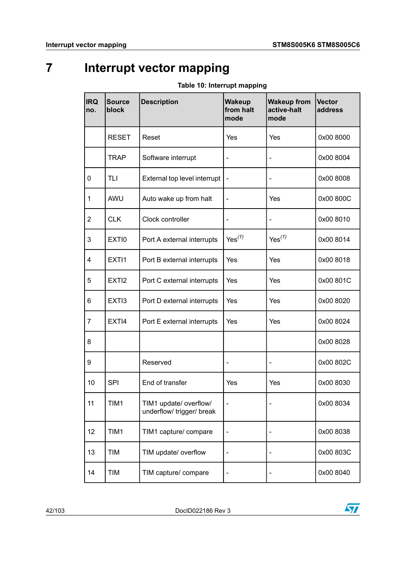# **7 Interrupt vector mapping**

| <b>IRQ</b><br>no.       | <b>Source</b><br>block | <b>Description</b>                                  | <b>Wakeup</b><br>from halt<br>mode | <b>Wakeup from</b><br>active-halt<br>mode | <b>Vector</b><br>address |
|-------------------------|------------------------|-----------------------------------------------------|------------------------------------|-------------------------------------------|--------------------------|
|                         | <b>RESET</b>           | Reset                                               | Yes                                | Yes                                       | 0x00 8000                |
|                         | TRAP                   | Software interrupt                                  | $\qquad \qquad \blacksquare$       | -                                         | 0x00 8004                |
| $\mathbf 0$             | <b>TLI</b>             | External top level interrupt                        |                                    | -                                         | 0x00 8008                |
| $\mathbf{1}$            | AWU                    | Auto wake up from halt                              | $\qquad \qquad \blacksquare$       | Yes                                       | 0x00 800C                |
| $\overline{2}$          | <b>CLK</b>             | Clock controller                                    | $\qquad \qquad \blacksquare$       | -                                         | 0x00 8010                |
| $\mathbf{3}$            | EXTI0                  | Port A external interrupts                          | $Yes^{(1)}$                        | $Yes^{(1)}$                               | 0x00 8014                |
| $\overline{\mathbf{4}}$ | EXTI1                  | Port B external interrupts                          | Yes                                | Yes                                       | 0x00 8018                |
| 5                       | EXTI <sub>2</sub>      | Port C external interrupts                          | Yes                                | Yes                                       | 0x00 801C                |
| 6                       | EXTI3                  | Port D external interrupts                          | Yes                                | Yes                                       | 0x00 8020                |
| $\overline{7}$          | EXTI4                  | Port E external interrupts                          | Yes                                | Yes                                       | 0x00 8024                |
| 8                       |                        |                                                     |                                    |                                           | 0x00 8028                |
| 9                       |                        | Reserved                                            | $\qquad \qquad \blacksquare$       | $\qquad \qquad \blacksquare$              | 0x00 802C                |
| 10                      | <b>SPI</b>             | End of transfer                                     | Yes                                | Yes                                       | 0x00 8030                |
| 11                      | TIM1                   | TIM1 update/ overflow/<br>underflow/ trigger/ break | $\frac{1}{2}$                      |                                           | 0x00 8034                |
| 12                      | TIM1                   | TIM1 capture/ compare                               | $\overline{\phantom{0}}$           |                                           | 0x00 8038                |
| 13                      | <b>TIM</b>             | TIM update/ overflow                                | $\qquad \qquad \blacksquare$       |                                           | 0x00 803C                |
| 14                      | <b>TIM</b>             | TIM capture/ compare                                |                                    |                                           | 0x00 8040                |

#### **Table 10: Interrupt mapping**

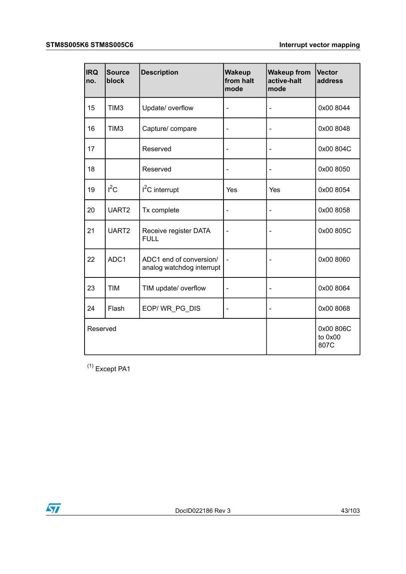| <b>IRQ</b><br>no. | <b>Source</b><br>block | <b>Description</b>                                   | <b>Wakeup</b><br>from halt<br>mode | <b>Wakeup from</b><br>active-halt<br>mode | <b>Vector</b><br>address     |
|-------------------|------------------------|------------------------------------------------------|------------------------------------|-------------------------------------------|------------------------------|
| 15                | TIM <sub>3</sub>       | Update/ overflow                                     | $\qquad \qquad \blacksquare$       | -                                         | 0x00 8044                    |
| 16                | TIM <sub>3</sub>       | Capture/ compare                                     | $\overline{\phantom{0}}$           | $\overline{a}$                            | 0x00 8048                    |
| 17                |                        | Reserved                                             |                                    | -                                         | 0x00 804C                    |
| 18                |                        | Reserved                                             |                                    | $\overline{\phantom{0}}$                  | 0x00 8050                    |
| 19                | $I^2C$                 | I <sup>2</sup> C interrupt                           | Yes                                | Yes                                       | 0x00 8054                    |
| 20                | UART2                  | Tx complete                                          |                                    |                                           | 0x00 8058                    |
| 21                | UART <sub>2</sub>      | Receive register DATA<br><b>FULL</b>                 |                                    | -                                         | 0x00 805C                    |
| 22                | ADC1                   | ADC1 end of conversion/<br>analog watchdog interrupt |                                    |                                           | 0x00 8060                    |
| 23                | <b>TIM</b>             | TIM update/ overflow                                 |                                    |                                           | 0x00 8064                    |
| 24                | Flash                  | EOP/WR_PG_DIS                                        | $\overline{\phantom{0}}$           | -                                         | 0x00 8068                    |
| Reserved          |                        |                                                      |                                    |                                           | 0x00 806C<br>to 0x00<br>807C |

<span id="page-42-0"></span> $(1)$  Except PA1

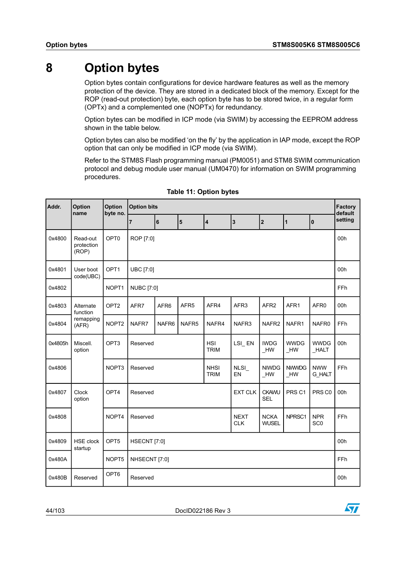# **8 Option bytes**

Option bytes contain configurations for device hardware features as well as the memory protection of the device. They are stored in a dedicated block of the memory. Except for the ROP (read-out protection) byte, each option byte has to be stored twice, in a regular form (OPTx) and a complemented one (NOPTx) for redundancy.

Option bytes can be modified in ICP mode (via SWIM) by accessing the EEPROM address shown in the table below.

Option bytes can also be modified 'on the fly' by the application in IAP mode, except the ROP option that can only be modified in ICP mode (via SWIM).

Refer to the STM8S Flash programming manual (PM0051) and STM8 SWIM communication protocol and debug module user manual (UM0470) for information on SWIM programming procedures.

| Addr.   | Option<br>name                  | Option<br>byte no. | <b>Option bits</b> |                                                                                                                 |                         |                            |                  |                         | Factory<br>default    |                             |         |
|---------|---------------------------------|--------------------|--------------------|-----------------------------------------------------------------------------------------------------------------|-------------------------|----------------------------|------------------|-------------------------|-----------------------|-----------------------------|---------|
|         |                                 |                    | $\overline{7}$     | 6                                                                                                               | $\overline{\mathbf{5}}$ | $\overline{\mathbf{4}}$    | $\overline{3}$   | $\overline{2}$          | $\mathbf{1}$          | I٥                          | setting |
| 0x4800  | Read-out<br>protection<br>(ROP) | OPT0               | ROP [7:0]          |                                                                                                                 |                         |                            |                  |                         |                       | 00h                         |         |
| 0x4801  | User boot<br>code(UBC)          | OPT1               | UBC [7:0]          |                                                                                                                 |                         |                            |                  |                         |                       | 00h                         |         |
| 0x4802  |                                 | NOPT1              | <b>NUBC</b> [7:0]  |                                                                                                                 |                         |                            |                  |                         |                       |                             | FFh     |
| 0x4803  | Alternate<br>function           | OPT <sub>2</sub>   | AFR7               | AFR <sub>6</sub>                                                                                                | AFR <sub>5</sub>        | AFR4                       | AFR <sub>3</sub> | AFR <sub>2</sub>        | AFR1                  | AFR <sub>0</sub>            | 00h     |
| 0x4804  | remapping<br>(AFR)              | NOPT <sub>2</sub>  | NAFR7              | NAFR6                                                                                                           | NAFR <sub>5</sub>       | NAFR4                      | NAFR3            | NAFR <sub>2</sub>       | NAFR1                 | NAFR0                       | FFh     |
| 0x4805h | Miscell.<br>option              | OPT <sub>3</sub>   | Reserved           |                                                                                                                 |                         |                            | LSI_EN           | <b>IWDG</b><br>HW       | <b>WWDG</b><br>$H$ W  | <b>WWDG</b><br>$\_$ HALT    | 00h     |
| 0x4806  |                                 | NOPT3              | Reserved           |                                                                                                                 |                         | <b>NHSI</b><br><b>TRIM</b> | NLSI_<br>EN      | <b>NIWDG</b><br>$\_$ HW | <b>NWWDG</b><br>$_Hw$ | <b>NWW</b><br><b>G_HALT</b> | FFh     |
| 0x4807  | Clock<br>option                 | OPT4               | Reserved           | <b>EXT CLK</b><br><b>CKAWU</b><br>PRS <sub>C1</sub><br><b>SEL</b>                                               |                         |                            |                  | PRS C0                  | 00h                   |                             |         |
| 0x4808  |                                 | NOPT4              |                    | <b>NEXT</b><br><b>NCKA</b><br>NPRSC1<br><b>NPR</b><br>Reserved<br>SC <sub>0</sub><br><b>CLK</b><br><b>WUSEL</b> |                         |                            |                  |                         | FFh                   |                             |         |
| 0x4809  | <b>HSE</b> clock<br>startup     | OPT5               |                    | HSECNT [7:0]                                                                                                    |                         |                            |                  |                         | 00h                   |                             |         |
| 0x480A  |                                 | NOPT5              | NHSECNT [7:0]      |                                                                                                                 |                         |                            |                  |                         |                       |                             | FFh     |
| 0x480B  | Reserved                        | OPT6               | Reserved           |                                                                                                                 |                         |                            |                  |                         |                       |                             | 00h     |

#### **Table 11: Option bytes**

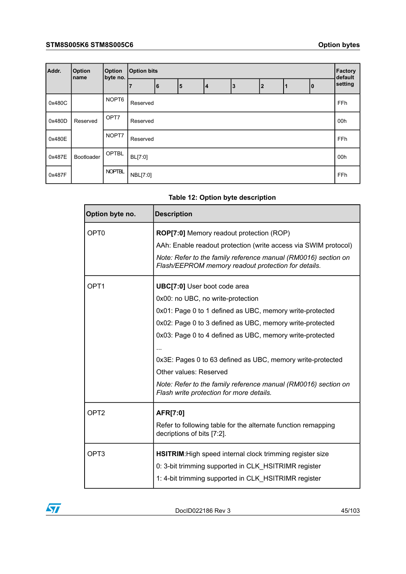| Addr.  | <b>Option</b><br>Iname | <b>Option</b><br>byte no. |          | <b>Option bits</b> |   |    |    |              |     | Factory<br>default |         |
|--------|------------------------|---------------------------|----------|--------------------|---|----|----|--------------|-----|--------------------|---------|
|        |                        |                           |          | 6                  | 5 | 14 | 13 | $\mathbf{2}$ |     | o                  | setting |
| 0x480C |                        | NOPT6                     | Reserved |                    |   |    |    |              |     | FFh                |         |
| 0x480D | Reserved               | OPT7                      | Reserved |                    |   |    |    |              | 00h |                    |         |
| 0x480E |                        | NOPT7                     | Reserved |                    |   |    |    |              |     |                    | FFh     |
| 0x487E | <b>Bootloader</b>      | <b>OPTBL</b>              | BL[7:0]  |                    |   |    |    |              |     |                    | 00h     |
| 0x487F |                        | <b>NOPTBL</b>             | NBL[7:0] |                    |   |    |    |              |     |                    | FFh     |

#### **Table 12: Option byte description**

| Option byte no.  | <b>Description</b>                                                                                                    |
|------------------|-----------------------------------------------------------------------------------------------------------------------|
| OPT <sub>0</sub> | ROP[7:0] Memory readout protection (ROP)                                                                              |
|                  | AAh: Enable readout protection (write access via SWIM protocol)                                                       |
|                  | Note: Refer to the family reference manual (RM0016) section on<br>Flash/EEPROM memory readout protection for details. |
| OPT <sub>1</sub> | <b>UBC[7:0]</b> User boot code area                                                                                   |
|                  | 0x00: no UBC, no write-protection                                                                                     |
|                  | 0x01: Page 0 to 1 defined as UBC, memory write-protected                                                              |
|                  | 0x02: Page 0 to 3 defined as UBC, memory write-protected                                                              |
|                  | 0x03: Page 0 to 4 defined as UBC, memory write-protected                                                              |
|                  |                                                                                                                       |
|                  | 0x3E: Pages 0 to 63 defined as UBC, memory write-protected                                                            |
|                  | Other values: Reserved                                                                                                |
|                  | Note: Refer to the family reference manual (RM0016) section on<br>Flash write protection for more details.            |
| OPT <sub>2</sub> | AFR[7:0]                                                                                                              |
|                  | Refer to following table for the alternate function remapping<br>decriptions of bits [7:2].                           |
| OPT <sub>3</sub> | <b>HSITRIM:</b> High speed internal clock trimming register size                                                      |
|                  | 0: 3-bit trimming supported in CLK HSITRIMR register                                                                  |
|                  | 1: 4-bit trimming supported in CLK_HSITRIMR register                                                                  |

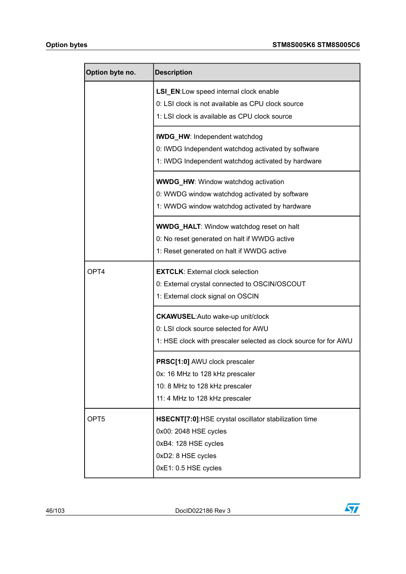| Option byte no.  | <b>Description</b>                                               |
|------------------|------------------------------------------------------------------|
|                  | LSI_EN:Low speed internal clock enable                           |
|                  | 0: LSI clock is not available as CPU clock source                |
|                  | 1: LSI clock is available as CPU clock source                    |
|                  | <b>IWDG_HW: Independent watchdog</b>                             |
|                  | 0: IWDG Independent watchdog activated by software               |
|                  | 1: IWDG Independent watchdog activated by hardware               |
|                  | <b>WWDG_HW: Window watchdog activation</b>                       |
|                  | 0: WWDG window watchdog activated by software                    |
|                  | 1: WWDG window watchdog activated by hardware                    |
|                  | <b>WWDG_HALT:</b> Window watchdog reset on halt                  |
|                  | 0: No reset generated on halt if WWDG active                     |
|                  | 1: Reset generated on halt if WWDG active                        |
| OPT4             | <b>EXTCLK: External clock selection</b>                          |
|                  | 0: External crystal connected to OSCIN/OSCOUT                    |
|                  | 1: External clock signal on OSCIN                                |
|                  | <b>CKAWUSEL:</b> Auto wake-up unit/clock                         |
|                  | 0: LSI clock source selected for AWU                             |
|                  | 1: HSE clock with prescaler selected as clock source for for AWU |
|                  | PRSC[1:0] AWU clock prescaler                                    |
|                  | 0x: 16 MHz to 128 kHz prescaler                                  |
|                  | 10: 8 MHz to 128 kHz prescaler                                   |
|                  | 11: 4 MHz to 128 kHz prescaler                                   |
| OPT <sub>5</sub> | HSECNT[7:0]:HSE crystal oscillator stabilization time            |
|                  | 0x00: 2048 HSE cycles                                            |
|                  | 0xB4: 128 HSE cycles                                             |
|                  | 0xD2: 8 HSE cycles                                               |
|                  | 0xE1: 0.5 HSE cycles                                             |

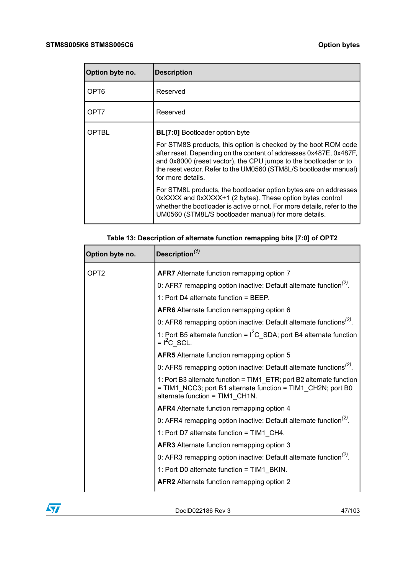$\sqrt{1}$ 

| Option byte no.  | <b>Description</b>                                                                                                                                                                                                                                                                                                                           |
|------------------|----------------------------------------------------------------------------------------------------------------------------------------------------------------------------------------------------------------------------------------------------------------------------------------------------------------------------------------------|
| OPT <sub>6</sub> | Reserved                                                                                                                                                                                                                                                                                                                                     |
| OPT7             | Reserved                                                                                                                                                                                                                                                                                                                                     |
| OPTBL            | <b>BL[7:0]</b> Bootloader option byte<br>For STM8S products, this option is checked by the boot ROM code<br>after reset. Depending on the content of addresses 0x487E, 0x487F,<br>and 0x8000 (reset vector), the CPU jumps to the bootloader or to<br>the reset vector. Refer to the UM0560 (STM8L/S bootloader manual)<br>for more details. |
|                  | For STM8L products, the bootloader option bytes are on addresses<br>0xXXXX and 0xXXXX+1 (2 bytes). These option bytes control<br>whether the bootloader is active or not. For more details, refer to the<br>UM0560 (STM8L/S bootloader manual) for more details.                                                                             |

| Option byte no.  | Description <sup>(1)</sup>                                                                                                                                              |
|------------------|-------------------------------------------------------------------------------------------------------------------------------------------------------------------------|
| OPT <sub>2</sub> | AFR7 Alternate function remapping option 7                                                                                                                              |
|                  | 0: AFR7 remapping option inactive: Default alternate function <sup>(2)</sup> .                                                                                          |
|                  | 1: Port D4 alternate function = BEEP.                                                                                                                                   |
|                  | AFR6 Alternate function remapping option 6                                                                                                                              |
|                  | 0: AFR6 remapping option inactive: Default alternate functions <sup>(2)</sup> .                                                                                         |
|                  | 1: Port B5 alternate function = $I^2C$ _SDA; port B4 alternate function<br>$= I2C$ SCL.                                                                                 |
|                  | <b>AFR5</b> Alternate function remapping option 5                                                                                                                       |
|                  | 0: AFR5 remapping option inactive: Default alternate functions <sup>(2)</sup> .                                                                                         |
|                  | 1: Port B3 alternate function = TIM1_ETR; port B2 alternate function<br>= TIM1 NCC3; port B1 alternate function = TIM1_CH2N; port B0<br>alternate function = TIM1 CH1N. |
|                  | AFR4 Alternate function remapping option 4                                                                                                                              |
|                  | 0: AFR4 remapping option inactive: Default alternate function <sup>(2)</sup> .                                                                                          |
|                  | 1: Port D7 alternate function = TIM1_CH4.                                                                                                                               |
|                  | AFR3 Alternate function remapping option 3                                                                                                                              |
|                  | 0: AFR3 remapping option inactive: Default alternate function <sup>(2)</sup> .                                                                                          |
|                  | 1: Port D0 alternate function = TIM1_BKIN.                                                                                                                              |
|                  | <b>AFR2</b> Alternate function remapping option 2                                                                                                                       |

**Table 13: Description of alternate function remapping bits [7:0] of OPT2**

DocID022186 Rev 3 47/103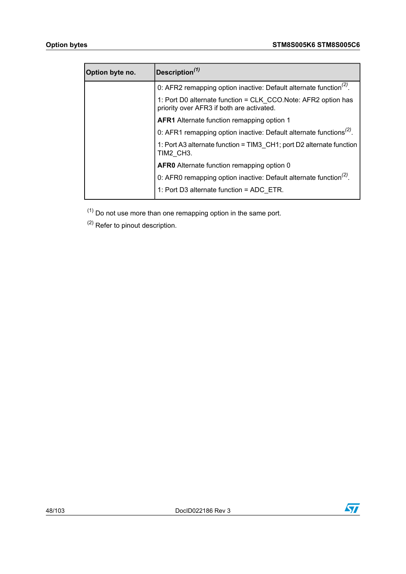| Option byte no. | Description $(1)$                                                                                           |
|-----------------|-------------------------------------------------------------------------------------------------------------|
|                 | 0: AFR2 remapping option inactive: Default alternate function <sup>(2)</sup> .                              |
|                 | 1: Port D0 alternate function = CLK CCO. Note: AFR2 option has<br>priority over AFR3 if both are activated. |
|                 | <b>AFR1</b> Alternate function remapping option 1                                                           |
|                 | 0: AFR1 remapping option inactive: Default alternate functions <sup>(2)</sup> .                             |
|                 | 1: Port A3 alternate function = TIM3 CH1; port D2 alternate function<br>TIM2 CH3.                           |
|                 | <b>AFR0</b> Alternate function remapping option 0                                                           |
|                 | 0: AFR0 remapping option inactive: Default alternate function <sup>(2)</sup> .                              |
|                 | 1: Port D3 alternate function = ADC ETR.                                                                    |

<span id="page-47-1"></span><span id="page-47-0"></span> $(1)$  Do not use more than one remapping option in the same port.

(2) Refer to pinout description.

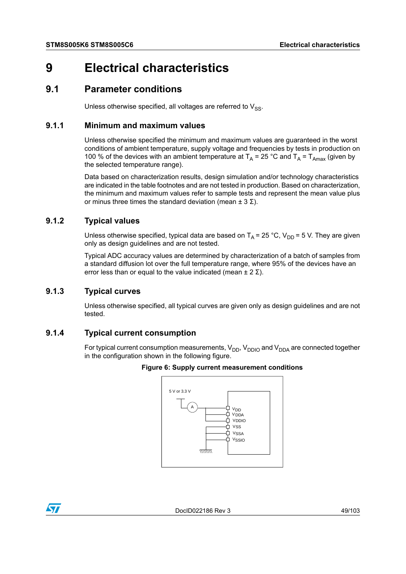# **9 Electrical characteristics**

### **9.1 Parameter conditions**

Unless otherwise specified, all voltages are referred to  $V_{SS}$ .

#### **9.1.1 Minimum and maximum values**

Unless otherwise specified the minimum and maximum values are guaranteed in the worst conditions of ambient temperature, supply voltage and frequencies by tests in production on 100 % of the devices with an ambient temperature at  $T_A$  = 25 °C and  $T_A$  =  $T_{Amax}$  (given by the selected temperature range).

Data based on characterization results, design simulation and/or technology characteristics are indicated in the table footnotes and are not tested in production. Based on characterization, the minimum and maximum values refer to sample tests and represent the mean value plus or minus three times the standard deviation (mean  $\pm$  3  $\Sigma$ ).

#### **9.1.2 Typical values**

Unless otherwise specified, typical data are based on  $T_A = 25 \degree C$ ,  $V_{DD} = 5$  V. They are given only as design guidelines and are not tested.

Typical ADC accuracy values are determined by characterization of a batch of samples from a standard diffusion lot over the full temperature range, where 95% of the devices have an error less than or equal to the value indicated (mean  $\pm 2 \Sigma$ ).

#### **9.1.3 Typical curves**

Unless otherwise specified, all typical curves are given only as design guidelines and are not tested.

#### **9.1.4 Typical current consumption**

For typical current consumption measurements,  $V_{DD}$ ,  $V_{DDIO}$  and  $V_{DDA}$  are connected together in the configuration shown in the following figure.



#### **Figure 6: Supply current measurement conditions**

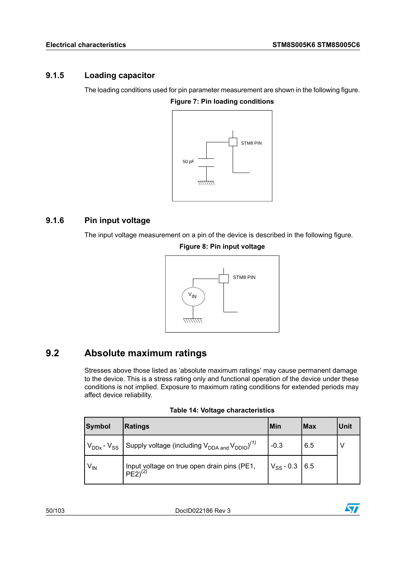### **9.1.5 Loading capacitor**

The loading conditions used for pin parameter measurement are shown in the following figure.

**Figure 7: Pin loading conditions**



### <span id="page-49-0"></span>**9.1.6 Pin input voltage**

The input voltage measurement on a pin of the device is described in the following figure.

**Figure 8: Pin input voltage**



## **9.2 Absolute maximum ratings**

Stresses above those listed as 'absolute maximum ratings' may cause permanent damage to the device. This is a stress rating only and functional operation of the device under these conditions is not implied. Exposure to maximum rating conditions for extended periods may affect device reliability.

| <b>Table 14: Voltage characteristics</b> |  |
|------------------------------------------|--|
|------------------------------------------|--|

| Symbol                     | <b>Ratings</b>                                                             | Min                  | Max | Unit |
|----------------------------|----------------------------------------------------------------------------|----------------------|-----|------|
| $V_{DDx}$ - $V_{SS}$       | Supply voltage (including $V_{DDA \text{ and }} V_{DDIO}$ ) <sup>(1)</sup> | $-0.3$               | 6.5 |      |
| $\mathsf{V}_{\mathsf{IN}}$ | Input voltage on true open drain pins (PE1,<br>$PE2)^{(2)}$                | $V_{SS}$ - 0.3   6.5 |     |      |

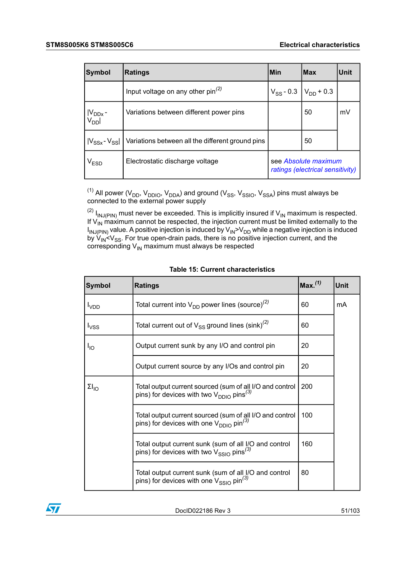| Symbol                 | <b>Ratings</b>                                   | l Min                                                    | lMax                            | <b>Unit</b> |
|------------------------|--------------------------------------------------|----------------------------------------------------------|---------------------------------|-------------|
|                        | Input voltage on any other $pin^{(2)}$           |                                                          | $V_{SS}$ - 0.3   $V_{DD}$ + 0.3 |             |
| $ V_{DDx} - V_{DD}  $  | Variations between different power pins          |                                                          | 50                              | mV          |
| $ V_{SSx}$ - $V_{SS} $ | Variations between all the different ground pins |                                                          | 50                              |             |
| V <sub>ESD</sub>       | Electrostatic discharge voltage                  | see Absolute maximum<br>ratings (electrical sensitivity) |                                 |             |

<span id="page-50-1"></span><span id="page-50-0"></span> $^{(1)}$  All power (V<sub>DD</sub>, V<sub>DDIO</sub>, V<sub>DDA</sub>) and ground (V<sub>SS</sub>, V<sub>SSIO</sub>, V<sub>SSA</sub>) pins must always be connected to the external power supply

 $^{(2)}$  I<sub>INJ(PIN)</sub> must never be exceeded. This is implicitly insured if V<sub>IN</sub> maximum is respected. If V<sub>IN</sub> maximum cannot be respected, the injection current must be limited externally to the I<sub>INJ(PIN)</sub> value. A positive injection is induced by V<sub>IN</sub>>V<sub>DD</sub> while a negative injection is induced by V<sub>IN</sub><V<sub>SS</sub>. For true open-drain pads, there is no positive injection current, and the corresponding  $V_{\text{IN}}$  maximum must always be respected

| <b>Symbol</b>   | <b>Ratings</b>                                                                                                        | Max.(1) | <b>Unit</b> |
|-----------------|-----------------------------------------------------------------------------------------------------------------------|---------|-------------|
| $I_{VDD}$       | Total current into $V_{DD}$ power lines (source) <sup>(2)</sup>                                                       | 60      | mA          |
| $I_{VSS}$       | Total current out of $V_{SS}$ ground lines (sink) <sup>(2)</sup>                                                      | 60      |             |
| Ι <sub>ΙΟ</sub> | Output current sunk by any I/O and control pin                                                                        | 20      |             |
|                 | Output current source by any I/Os and control pin                                                                     | 20      |             |
| $\Sigma I_{10}$ | Total output current sourced (sum of all I/O and control<br>pins) for devices with two $V_{DDIO}$ pins <sup>(3)</sup> | 200     |             |
|                 | Total output current sourced (sum of all I/O and control<br>pins) for devices with one $V_{DDIO}$ pin <sup>(3)</sup>  | 100     |             |
|                 | Total output current sunk (sum of all I/O and control<br>pins) for devices with two $V_{SSIO}$ pins <sup>(3)</sup>    | 160     |             |
|                 | Total output current sunk (sum of all I/O and control<br>pins) for devices with one $V_{SSIO}$ pin <sup>(3)</sup>     | 80      |             |

|  |  | <b>Table 15: Current characteristics</b> |
|--|--|------------------------------------------|
|--|--|------------------------------------------|

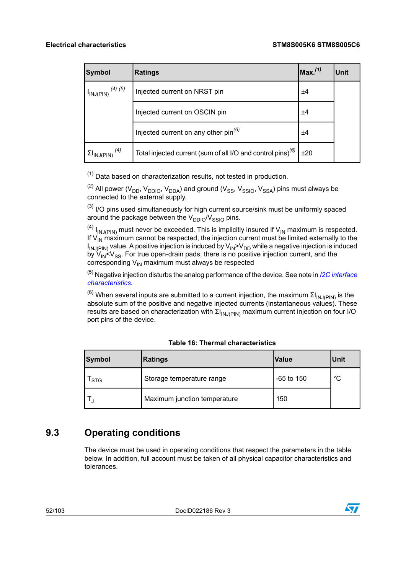| <b>Symbol</b>                               | <b>Ratings</b>                                                    | $\mathsf{Max}^{(1)}$ | <b>Unit</b> |
|---------------------------------------------|-------------------------------------------------------------------|----------------------|-------------|
| $(4)$ $(5)$<br>$I_{INJ(PIN)}$               | Injected current on NRST pin                                      | ±4                   |             |
|                                             | Injected current on OSCIN pin                                     | ±4                   |             |
|                                             | Injected current on any other pin <sup>(6)</sup>                  | ±4                   |             |
| $\Sigma I_{\mathsf{INJ}(\mathsf{PIN})}$ (4) | Total injected current (sum of all I/O and control pins) $^{(6)}$ | ±20                  |             |

<span id="page-51-1"></span><span id="page-51-0"></span> $(1)$  Data based on characterization results, not tested in production.

<span id="page-51-2"></span> $^{(2)}$  All power (V<sub>DD</sub>, V<sub>DDIO</sub>, V<sub>DDA</sub>) and ground (V<sub>SS</sub>, V<sub>SSIO</sub>, V<sub>SSA</sub>) pins must always be connected to the external supply.

<span id="page-51-3"></span> $<sup>(3)</sup>$  I/O pins used simultaneously for high current source/sink must be uniformly spaced</sup> around the package between the  $V_{DDIO}/V_{SSIO}$  pins.

<span id="page-51-4"></span> $^{(4)}$  I<sub>INJ(PIN)</sub> must never be exceeded. This is implicitly insured if V<sub>IN</sub> maximum is respected. If  $\mathsf{V}_{\mathsf{IN}}$  maximum cannot be respected, the injection current must be limited externally to the I<sub>INJ(PIN)</sub> value. A positive injection is induced by V<sub>IN</sub>>V<sub>DD</sub> while a negative injection is induced by V<sub>IN</sub><V<sub>SS</sub>. For true open-drain pads, there is no positive injection current, and the corresponding  $V_{IN}$  maximum must always be respected

<span id="page-51-5"></span><sup>(5)</sup> Negative injection disturbs the analog performance of the device. See note in *I2C [interface](#page-83-0) [characteristics](#page-83-0)*.

<sup>(6)</sup> When several inputs are submitted to a current injection, the maximum ΣI<sub>INJ(PIN)</sub> is the absolute sum of the positive and negative injected currents (instantaneous values). These results are based on characterization with  $\Sigma I_{INJ(PIN)}$  maximum current injection on four I/O port pins of the device.

| Symbol | <b>Ratings</b>               | Value        | Unit |
|--------|------------------------------|--------------|------|
| ' STG  | Storage temperature range    | $-65$ to 150 | °C   |
|        | Maximum junction temperature | 150          |      |

#### **Table 16: Thermal characteristics**

## <span id="page-51-6"></span>**9.3 Operating conditions**

The device must be used in operating conditions that respect the parameters in the table below. In addition, full account must be taken of all physical capacitor characteristics and tolerances.

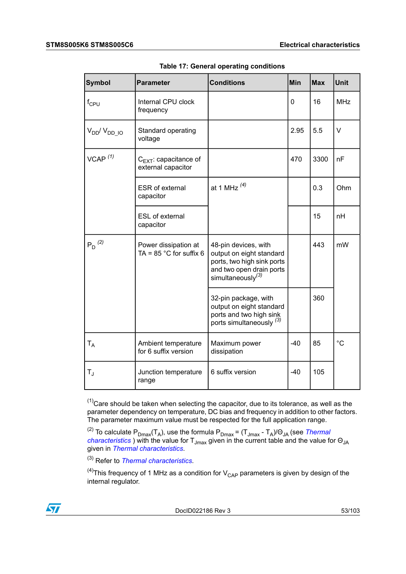| <b>Symbol</b>           | <b>Parameter</b>                                         | <b>Conditions</b>                                                                                                                           | Min   | <b>Max</b> | <b>Unit</b> |
|-------------------------|----------------------------------------------------------|---------------------------------------------------------------------------------------------------------------------------------------------|-------|------------|-------------|
| $f_{CPU}$               | Internal CPU clock<br>frequency                          |                                                                                                                                             | 0     | 16         | <b>MHz</b>  |
| $V_{DD}/V_{DD}$ IO      | Standard operating<br>voltage                            |                                                                                                                                             | 2.95  | 5.5        | $\vee$      |
| $VCAP$ <sup>(1)</sup>   | $C_{EXT}$ : capacitance of<br>external capacitor         |                                                                                                                                             | 470   | 3300       | nF          |
|                         | <b>ESR</b> of external<br>capacitor                      | at 1 MHz $^{(4)}$                                                                                                                           |       | 0.3        | Ohm         |
|                         | ESL of external<br>capacitor                             |                                                                                                                                             |       | 15         | nH          |
| $P_D^{(2)}$             | Power dissipation at<br>TA = $85^{\circ}$ C for suffix 6 | 48-pin devices, with<br>output on eight standard<br>ports, two high sink ports<br>and two open drain ports<br>simultaneously <sup>(3)</sup> |       | 443        | mW          |
|                         |                                                          | 32-pin package, with<br>output on eight standard<br>ports and two high sink<br>ports simultaneously <sup>(3)</sup>                          |       | 360        |             |
| $T_A$                   | Ambient temperature<br>for 6 suffix version              | Maximum power<br>dissipation                                                                                                                | $-40$ | 85         | $^{\circ}C$ |
| $\mathsf{T}_\mathrm{J}$ | Junction temperature<br>range                            | 6 suffix version                                                                                                                            | $-40$ | 105        |             |

**Table 17: General operating conditions**

<span id="page-52-3"></span><span id="page-52-2"></span><span id="page-52-0"></span> $<sup>(1)</sup>$ Care should be taken when selecting the capacitor, due to its tolerance, as well as the</sup> parameter dependency on temperature, DC bias and frequency in addition to other factors. The parameter maximum value must be respected for the full application range.

<span id="page-52-1"></span><sup>(2)</sup> To calculate P<sub>Dmax</sub>(T<sub>A</sub>), use the formula P<sub>Dmax</sub> = (T<sub>Jmax</sub> - T<sub>A</sub>)/Θ<sub>JA</sub> (see *[Thermal](#page-96-0) [characteristics](#page-96-0)* ) with the value for T<sub>Jmax</sub> given in the current table and the value for Θ<sub>JA</sub> given in *Thermal [characteristics](#page-96-0)*.

(3) Refer to *Thermal [characteristics](#page-96-0)*.

<sup>(4)</sup>This frequency of 1 MHz as a condition for  $V_{\text{CAP}}$  parameters is given by design of the internal regulator.

DocID022186 Rev 3 53/103

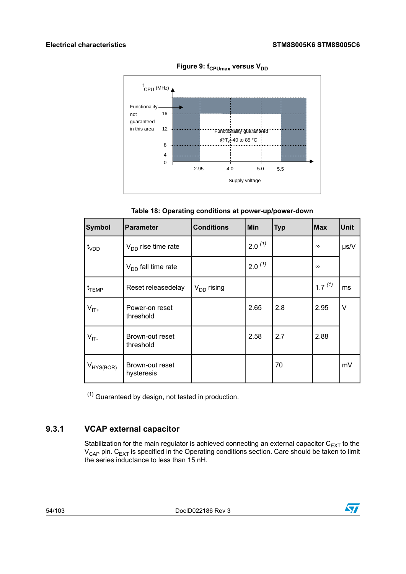



**Table 18: Operating conditions at power-up/power-down**

| <b>Symbol</b>     | <b>Parameter</b>              | <b>Conditions</b> | Min         | <b>Typ</b> | <b>Max</b>  | <b>Unit</b> |
|-------------------|-------------------------------|-------------------|-------------|------------|-------------|-------------|
| t <sub>VDD</sub>  | $V_{DD}$ rise time rate       |                   | $2.0^{(1)}$ |            | $\infty$    | $\mu s/V$   |
|                   | $V_{DD}$ fall time rate       |                   | $2.0^{(1)}$ |            | $\infty$    |             |
| $t_{\text{TEMP}}$ | Reset releasedelay            | $V_{DD}$ rising   |             |            | $1.7^{(1)}$ | ms          |
| $V_{IT+}$         | Power-on reset<br>threshold   |                   | 2.65        | 2.8        | 2.95        | ٧           |
| $V_{IT}$          | Brown-out reset<br>threshold  |                   | 2.58        | 2.7        | 2.88        |             |
| $V_{HYS(BOR)}$    | Brown-out reset<br>hysteresis |                   |             | 70         |             | mV          |

<span id="page-53-0"></span> $(1)$  Guaranteed by design, not tested in production.

### **9.3.1 VCAP external capacitor**

Stabilization for the main regulator is achieved connecting an external capacitor  $\mathsf{C}_\mathsf{EXT}$  to the  $\rm V_{CAP}$  pin.  $\rm C_{EXT}$  is specified in the Operating conditions section. Care should be taken to limit the series inductance to less than 15 nH.

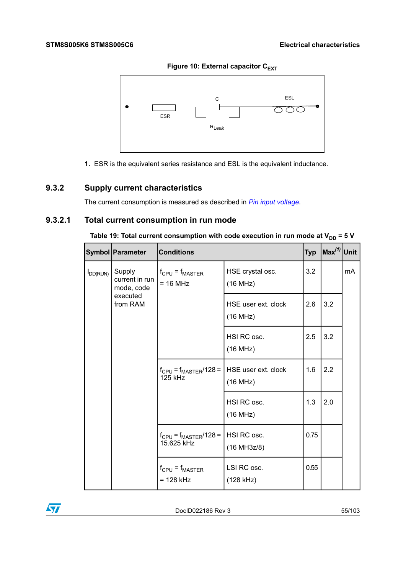**Figure 10: External capacitor C<sub>EXT</sub>** 



**1.** ESR is the equivalent series resistance and ESL is the equivalent inductance.

### **9.3.2 Supply current characteristics**

The current consumption is measured as described in *Pin input [voltage](#page-49-0)*.

### **9.3.2.1 Total current consumption in run mode**

|                         | Symbol   Parameter                                   | <b>Conditions</b>                          |                                 | <b>Typ</b> | $\left \text{Max}^{(1)}\right $ Unit |    |
|-------------------------|------------------------------------------------------|--------------------------------------------|---------------------------------|------------|--------------------------------------|----|
| Supply<br>$I_{DD(RUN)}$ | current in run<br>mode, code<br>executed<br>from RAM | $f_{CPU} = f_{MASTER}$<br>$= 16 MHz$       | HSE crystal osc.<br>(16 MHz)    | 3.2        |                                      | mA |
|                         |                                                      |                                            | HSE user ext. clock<br>(16 MHz) | 2.6        | 3.2                                  |    |
|                         |                                                      |                                            | HSI RC osc.<br>(16 MHz)         | 2.5        | 3.2                                  |    |
|                         |                                                      | $f_{CPU} = f_{MASTER}/128 =$<br>125 kHz    | HSE user ext. clock<br>(16 MHz) | 1.6        | 2.2                                  |    |
|                         |                                                      |                                            | HSI RC osc.<br>(16 MHz)         | 1.3        | 2.0                                  |    |
|                         |                                                      | $f_{CPU} = f_{MASTER}/128 =$<br>15.625 kHz | HSI RC osc.<br>(16 MH3z/8)      | 0.75       |                                      |    |
|                         |                                                      | $f_{CPU} = f_{MASTER}$<br>$= 128$ kHz      | LSI RC osc.<br>$(128$ kHz)      | 0.55       |                                      |    |

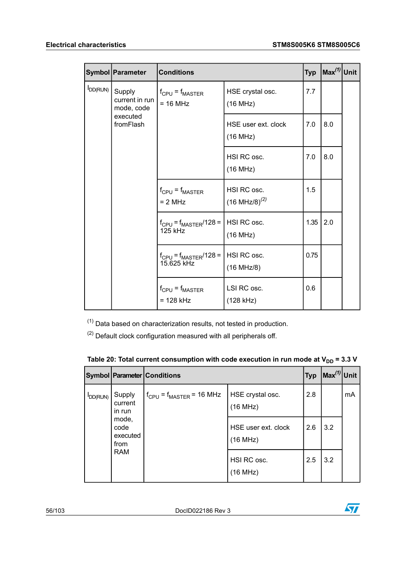|                      | Symbol   Parameter                     | <b>Conditions</b>                                            |                                           | <b>Typ</b> | $\left \textsf{Max}^{(1)}\right $ Unit |  |
|----------------------|----------------------------------------|--------------------------------------------------------------|-------------------------------------------|------------|----------------------------------------|--|
| D <sub>D</sub> (RUN) | Supply<br>current in run<br>mode, code | $f_{CPU} = f_{MASTER}$<br>$= 16 MHz$                         | HSE crystal osc.<br>(16 MHz)              | 7.7        |                                        |  |
|                      | executed<br>fromFlash                  |                                                              | HSE user ext. clock<br>(16 MHz)           | 7.0        | 8.0                                    |  |
|                      |                                        |                                                              | HSI RC osc.<br>(16 MHz)                   | 7.0        | 8.0                                    |  |
|                      |                                        | $f_{CPU} = f_{MASTER}$<br>$= 2 MHz$                          | HSI RC osc.<br>$(16 \text{ MHz/B})^{(2)}$ | 1.5        |                                        |  |
|                      |                                        | $f_{CPU} = f_{MASTER}/128 =  $ HSI RC osc.<br><b>125 kHz</b> | (16 MHz)                                  | 1.35       | 2.0                                    |  |
|                      |                                        | $f_{CPU} = f_{MASTER}/128 =  $ HSI RC osc.<br>15.625 kHz     | (16 MHz/8)                                | 0.75       |                                        |  |
|                      |                                        | $f_{CPU} = f_{MASTER}$<br>$= 128$ kHz                        | LSI RC osc.<br>$(128$ kHz)                | 0.6        |                                        |  |

<span id="page-55-1"></span><span id="page-55-0"></span> $(1)$  Data based on characterization results, not tested in production.

 $(2)$  Default clock configuration measured with all peripherals off.

|                      |                                                 | Symbol Parameter Conditions               | <b>Typ</b>                      | $\left \textsf{Max}^{(1)}\right $ Unit |     |    |
|----------------------|-------------------------------------------------|-------------------------------------------|---------------------------------|----------------------------------------|-----|----|
| D <sub>D</sub> (RUN) | Supply<br>current<br>in run                     | $f_{\rm CPU}$ = $f_{\rm MAXTER}$ = 16 MHz | HSE crystal osc.<br>(16 MHz)    | 2.8                                    |     | mA |
|                      | mode,<br>code<br>executed<br>from<br><b>RAM</b> |                                           | HSE user ext. clock<br>(16 MHz) | 2.6                                    | 3.2 |    |
|                      |                                                 |                                           | HSI RC osc.<br>(16 MHz)         | 2.5                                    | 3.2 |    |

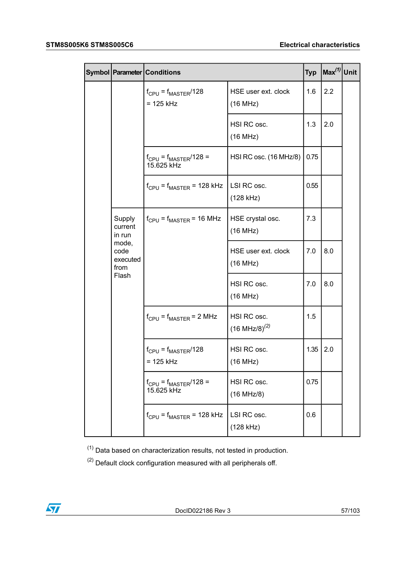|  |                                                                           | Symbol   Parameter   Conditions<br><b>Typ</b> |                                           |      | $\textsf{Max}^{(1)}$ Unit |  |
|--|---------------------------------------------------------------------------|-----------------------------------------------|-------------------------------------------|------|---------------------------|--|
|  |                                                                           | $f_{CPU} = f_{MASTER}/128$<br>$= 125$ kHz     | HSE user ext. clock<br>(16 MHz)           | 1.6  | 2.2                       |  |
|  |                                                                           |                                               | HSI RC osc.<br>(16 MHz)                   | 1.3  | 2.0                       |  |
|  |                                                                           | $f_{CPU} = f_{MASTER}/128 =$<br>15.625 kHz    | HSI RC osc. (16 MHz/8)                    | 0.75 |                           |  |
|  |                                                                           | $f_{CPU} = f_{MASTER} = 128$ kHz              | LSI RC osc.<br>$(128$ kHz)                | 0.55 |                           |  |
|  | Supply<br>current<br>in run<br>mode,<br>code<br>executed<br>from<br>Flash | $f_{CPU} = f_{MASTER} = 16 MHz$               | HSE crystal osc.<br>(16 MHz)              | 7.3  |                           |  |
|  |                                                                           |                                               | HSE user ext. clock<br>(16 MHz)           | 7.0  | 8.0                       |  |
|  |                                                                           |                                               | HSI RC osc.<br>(16 MHz)                   | 7.0  | 8.0                       |  |
|  |                                                                           | $f_{CPU} = f_{MASTER} = 2 MHz$                | HSI RC osc.<br>$(16 \text{ MHz/B})^{(2)}$ | 1.5  |                           |  |
|  |                                                                           | $f_{CPU} = f_{MASTER}/128$<br>$= 125$ kHz     | HSI RC osc.<br>(16 MHz)                   | 1.35 | 2.0                       |  |
|  |                                                                           | $f_{CPU} = f_{MASTER}/128 =$<br>15.625 kHz    | HSI RC osc.<br>(16 MHz/8)                 | 0.75 |                           |  |
|  |                                                                           | $f_{CPU} = f_{MASTER} = 128$ kHz              | LSI RC osc.<br>(128 kHz)                  | 0.6  |                           |  |

<span id="page-56-1"></span><span id="page-56-0"></span> $(1)$  Data based on characterization results, not tested in production.

 $(2)$  Default clock configuration measured with all peripherals off.

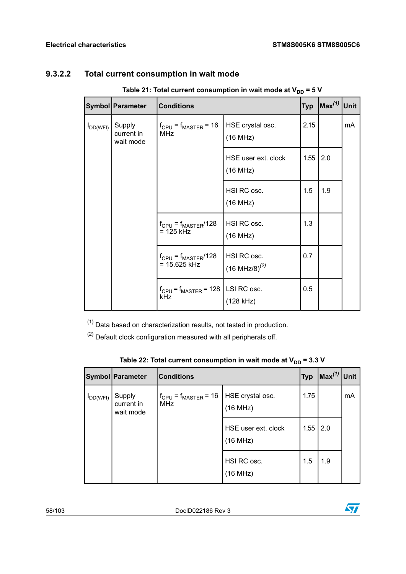### **9.3.2.2 Total current consumption in wait mode**

 **Table** 21: Total current consumption in wait mode at  $V_{DD} = 5$  V

|               | Symbol   Parameter                | <b>Conditions</b>                                 | <b>Typ</b>                                |      |     |    |
|---------------|-----------------------------------|---------------------------------------------------|-------------------------------------------|------|-----|----|
| $I_{DD(WFI)}$ | Supply<br>current in<br>wait mode | $f_{CPU} = f_{MASTER} = 16$<br><b>MHz</b>         | HSE crystal osc.<br>(16 MHz)              | 2.15 |     | mA |
|               |                                   |                                                   | HSE user ext. clock<br>(16 MHz)           | 1.55 | 2.0 |    |
|               |                                   |                                                   | HSI RC osc.<br>(16 MHz)                   | 1.5  | 1.9 |    |
|               |                                   | $f_{CPU} = f_{MASTER}/128$<br>$= 125$ kHz         | HSI RC osc.<br>(16 MHz)                   | 1.3  |     |    |
|               |                                   | $f_{CPU} = f_{MASTER}/128$<br>$= 15.625$ kHz      | HSI RC osc.<br>$(16 \text{ MHz/B})^{(2)}$ | 0.7  |     |    |
|               |                                   | $f_{CPU} = f_{MASTER} = 128$   LSI RC osc.<br>kHz | (128 kHz)                                 | 0.5  |     |    |

<span id="page-57-1"></span><span id="page-57-0"></span> $(1)$  Data based on characterization results, not tested in production.

 $(2)$  Default clock configuration measured with all peripherals off.

|               | Symbol Parameter                  | <b>Typ</b><br><b>Conditions</b>                              |                                 |      | $\sqrt{Max^{(1)}}$ | Unit |
|---------------|-----------------------------------|--------------------------------------------------------------|---------------------------------|------|--------------------|------|
| $I_{DD(WFI)}$ | Supply<br>current in<br>wait mode | $f_{CPU} = f_{MASTER} = 16$   HSE crystal osc.<br><b>MHz</b> | (16 MHz)                        | 1.75 |                    | mA   |
|               |                                   |                                                              | HSE user ext. clock<br>(16 MHz) | 1.55 | l 2.0              |      |
|               |                                   |                                                              | HSI RC osc.<br>(16 MHz)         | 1.5  | 1.9                |      |

|  | Table 22: Total current consumption in wait mode at V <sub>DD</sub> = 3.3 V |  |  |
|--|-----------------------------------------------------------------------------|--|--|
|--|-----------------------------------------------------------------------------|--|--|

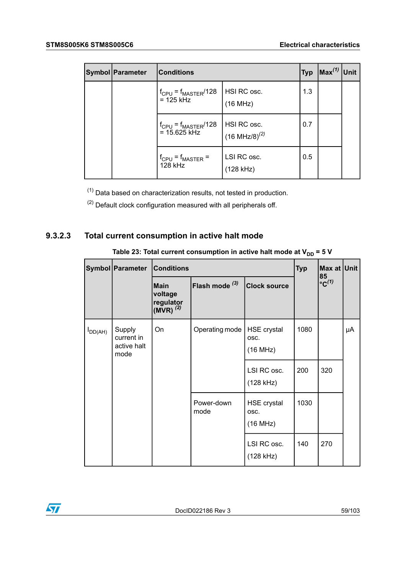| <b>Symbol   Parameter</b> | <b>Typ</b><br><b>Conditions</b>              |                                           |     | $\ln x^{(1)}$ Unit |  |
|---------------------------|----------------------------------------------|-------------------------------------------|-----|--------------------|--|
|                           | $f_{CPU} = f_{MASTER}/128$<br>$= 125$ kHz    | HSI RC osc.<br>(16 MHz)                   | 1.3 |                    |  |
|                           | $f_{CPU} = f_{MASTER}/128$<br>$= 15.625$ kHz | HSI RC osc.<br>$(16 \text{ MHz}/8)^{(2)}$ | 0.7 |                    |  |
|                           | $f_{CPU} = f_{MASTER} =$<br>128 kHz          | LSI RC osc.<br>(128 kHz)                  | 0.5 |                    |  |

<span id="page-58-1"></span><span id="page-58-0"></span> $(1)$  Data based on characterization results, not tested in production.

 $(2)$  Default clock configuration measured with all peripherals off.

### **9.3.2.3 Total current consumption in active halt mode**

|              | Symbol   Parameter                          | <b>Conditions</b>                                     | <b>Typ</b>                |                                        |      |                                  | Max at Unit |
|--------------|---------------------------------------------|-------------------------------------------------------|---------------------------|----------------------------------------|------|----------------------------------|-------------|
|              |                                             | <b>Main</b><br>voltage<br>regulator<br>(MVR) $^{(2)}$ | Flash mode <sup>(3)</sup> | <b>Clock source</b>                    |      | 85<br>$\mathrm{^{\circ}C^{(1)}}$ |             |
| $I_{DD(AH)}$ | Supply<br>current in<br>active halt<br>mode | On                                                    | Operating mode            | <b>HSE</b> crystal<br>OSC.<br>(16 MHz) | 1080 |                                  | μA          |
|              |                                             |                                                       |                           | LSI RC osc.<br>(128 kHz)               | 200  | 320                              |             |
|              |                                             |                                                       | Power-down<br>mode        | <b>HSE crystal</b><br>OSC.<br>(16 MHz) | 1030 |                                  |             |
|              |                                             |                                                       |                           | LSI RC osc.<br>(128 kHz)               | 140  | 270                              |             |

 **Table 23: Total current consumption in active halt mode at**  $V_{DD} = 5$  **V** 

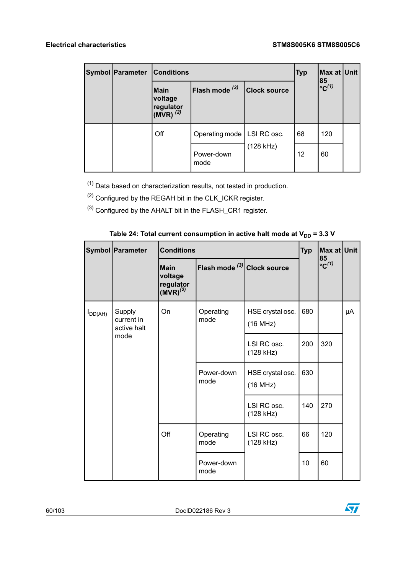57

|  | Symbol Parameter | <b>Conditions</b><br><b>Typ</b>                      |                              |                     |    | Max at Unit               |  |
|--|------------------|------------------------------------------------------|------------------------------|---------------------|----|---------------------------|--|
|  |                  | Main<br>voltage<br>regulator<br>(MVR) <sup>(2)</sup> | Flash mode $^{(3)}$          | <b>Clock source</b> |    | $85$<br>°C <sup>(1)</sup> |  |
|  |                  | Off                                                  | Operating mode   LSI RC osc. |                     | 68 | 120                       |  |
|  |                  |                                                      | Power-down<br>mode           | (128 kHz)           | 12 | 60                        |  |

<span id="page-59-2"></span><span id="page-59-0"></span> $(1)$  Data based on characterization results, not tested in production.

<span id="page-59-1"></span>(2) Configured by the REGAH bit in the CLK\_ICKR register.

(3) Configured by the AHALT bit in the FLASH\_CR1 register.

|              | Symbol   Parameter                          | <b>Conditions</b>                                           |                                  |                              |     | Max at Unit                      |    |
|--------------|---------------------------------------------|-------------------------------------------------------------|----------------------------------|------------------------------|-----|----------------------------------|----|
|              |                                             | <b>Main</b><br>voltage<br>regulator<br>(MVR) <sup>(2)</sup> | Flash mode $^{(3)}$ Clock source |                              |     | 85<br>$\mathrm{^{\circ}C^{(1)}}$ |    |
| $I_{DD(AH)}$ | Supply<br>current in<br>active halt<br>mode | On                                                          | Operating<br>mode                | HSE crystal osc.<br>(16 MHz) | 680 |                                  | μA |
|              |                                             |                                                             |                                  | LSI RC osc.<br>(128 kHz)     | 200 | 320                              |    |
|              |                                             |                                                             | Power-down<br>mode               | HSE crystal osc.<br>(16 MHz) | 630 |                                  |    |
|              |                                             |                                                             |                                  | LSI RC osc.<br>(128 kHz)     | 140 | 270                              |    |
|              |                                             | Off                                                         | Operating<br>mode                | LSI RC osc.<br>(128 kHz)     | 66  | 120                              |    |
|              |                                             |                                                             | Power-down<br>mode               |                              | 10  | 60                               |    |

| Table 24: Total current consumption in active halt mode at $V_{DD}$ = 3.3 V |  |
|-----------------------------------------------------------------------------|--|
|-----------------------------------------------------------------------------|--|

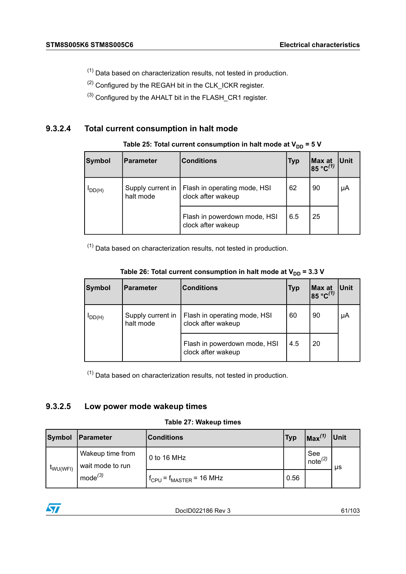- <span id="page-60-0"></span> $(1)$  Data based on characterization results, not tested in production.
- <span id="page-60-2"></span><span id="page-60-1"></span>(2) Configured by the REGAH bit in the CLK\_ICKR register.
- (3) Configured by the AHALT bit in the FLASH\_CR1 register.

#### **9.3.2.4 Total current consumption in halt mode**

| Symbol      | l Parameter                    | <b>Conditions</b>                                  | <b>Typ</b> | Max at 85 °C <sup>(1)</sup> | <b>Unit</b> |
|-------------|--------------------------------|----------------------------------------------------|------------|-----------------------------|-------------|
| $I_{DD(H)}$ | Supply current in<br>halt mode | Flash in operating mode, HSI<br>clock after wakeup | 62         | 90                          | μA          |
|             |                                | Flash in powerdown mode, HSI<br>clock after wakeup | 6.5        | 25                          |             |

 **Table** 25: Total current consumption in halt mode at  $V_{DD} = 5$  V

<span id="page-60-3"></span> $(1)$  Data based on characterization results, not tested in production.

| <b>Symbol</b> | <b>Parameter</b>               | <b>Conditions</b>                                  | <b>Typ</b> | Max at<br>85 °C <sup>(1)</sup> | <b>Unit</b> |
|---------------|--------------------------------|----------------------------------------------------|------------|--------------------------------|-------------|
| $I_{DD(H)}$   | Supply current in<br>halt mode | Flash in operating mode, HSI<br>clock after wakeup | 60         | 90                             | μA          |
|               |                                | Flash in powerdown mode, HSI<br>clock after wakeup | 4.5        | 20                             |             |

| Table 26: Total current consumption in halt mode at $V_{DD}$ = 3.3 V |  |
|----------------------------------------------------------------------|--|
|----------------------------------------------------------------------|--|

<span id="page-60-4"></span> $(1)$  Data based on characterization results, not tested in production.

### **9.3.2.5 Low power mode wakeup times**

#### **Table 27: Wakeup times**

| <b>Symbol</b> | Parameter                            | <b>IConditions</b>              | <b>Typ</b> | $\sqrt{Max^{(1)}}$         | Unit |
|---------------|--------------------------------------|---------------------------------|------------|----------------------------|------|
| wu(wFI)       | Wakeup time from<br>wait mode to run | 0 to 16 MHz                     |            | See<br>note <sup>(2)</sup> | us   |
|               | $mode^{(3)}$                         | $f_{CPU} = f_{MASTER} = 16 MHz$ | 0.56       |                            |      |

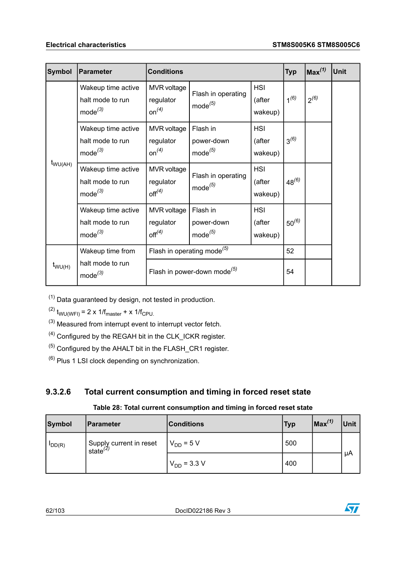| Symbol       | Parameter                                              | <b>Conditions</b>                                    |                                        |                                 | <b>Typ</b> | Max <sup>(1)</sup> | Unit |
|--------------|--------------------------------------------------------|------------------------------------------------------|----------------------------------------|---------------------------------|------------|--------------------|------|
| $t_{WU(AH)}$ | Wakeup time active<br>halt mode to run<br>$mode^{(3)}$ | <b>MVR</b> voltage<br>regulator<br>on <sup>(4)</sup> | Flash in operating<br>$mode^{(5)}$     | <b>HSI</b><br>(after<br>wakeup) | $1^{(6)}$  | $2^{(6)}$          |      |
|              | Wakeup time active<br>halt mode to run<br>$mode^{(3)}$ | MVR voltage<br>regulator<br>on <sup>(4)</sup>        | Flash in<br>power-down<br>$mode^{(5)}$ | <b>HSI</b><br>(after<br>wakeup) | $3^{(6)}$  |                    |      |
|              | Wakeup time active<br>halt mode to run<br>$mode^{(3)}$ | MVR voltage<br>regulator<br>off <sup>(4)</sup>       | Flash in operating<br>$mode^{(5)}$     | <b>HSI</b><br>(after<br>wakeup) | $48^{(6)}$ |                    |      |
|              | Wakeup time active<br>halt mode to run<br>$mode^{(3)}$ | MVR voltage<br>regulator<br>off <sup>(4)</sup>       | Flash in<br>power-down<br>$mode^{(5)}$ | <b>HSI</b><br>(after<br>wakeup) | $50^{(6)}$ |                    |      |
|              | Wakeup time from                                       | Flash in operating mode <sup>(5)</sup>               |                                        |                                 | 52         |                    |      |
| $t_{WU(H)}$  | halt mode to run<br>$mode^{(3)}$                       | Flash in power-down mode <sup>(5)</sup>              |                                        | 54                              |            |                    |      |

<span id="page-61-5"></span><span id="page-61-2"></span><span id="page-61-1"></span><span id="page-61-0"></span> $(1)$  Data guaranteed by design, not tested in production.

<span id="page-61-4"></span>(2)  $t_{WU(WFI)} = 2 \times 1/f_{\text{master}} + \times 1/f_{\text{CPU}}$ .

- <span id="page-61-3"></span>(3) Measured from interrupt event to interrupt vector fetch.
- $(4)$  Configured by the REGAH bit in the CLK ICKR register.
- $(5)$  Configured by the AHALT bit in the FLASH CR1 register.
- $(6)$  Plus 1 LSI clock depending on synchronization.

### **9.3.2.6 Total current consumption and timing in forced reset state**

### **Table 28: Total current consumption and timing in forced reset state**

| <b>Symbol</b> | Parameter                                       | Conditions       | <b>Typ</b> | $\ln x^{(1)}$ | <b>Unit</b> |
|---------------|-------------------------------------------------|------------------|------------|---------------|-------------|
| $IDD(R)$      | Supply current in reset<br>state <sup>(2)</sup> | $V_{DD} = 5 V$   | 500        |               |             |
|               |                                                 | $V_{DD}$ = 3.3 V | 400        |               | μA          |

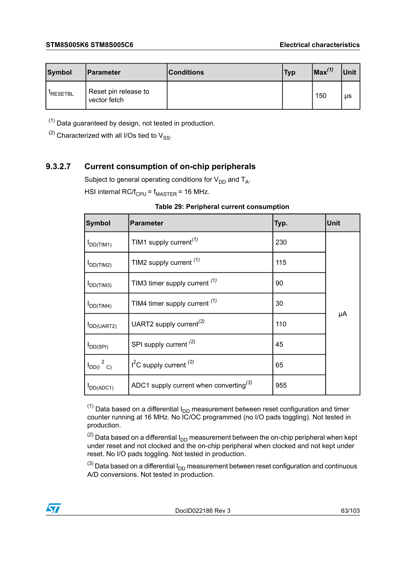| Symbol         | <b>IParameter</b>                    | <b>Conditions</b> | <b>Typ</b> | $Max^{(1)}$ | Unit |
|----------------|--------------------------------------|-------------------|------------|-------------|------|
| <b>RESETBL</b> | Reset pin release to<br>vector fetch |                   |            | 150         | μs   |

<span id="page-62-1"></span><span id="page-62-0"></span> $(1)$  Data guaranteed by design, not tested in production.

 $(2)$  Characterized with all I/Os tied to  $V_{SS}$ .

### **9.3.2.7 Current consumption of on-chip peripherals**

Subject to general operating conditions for  $\mathsf{V}_{\mathsf{DD}}$  and  $\mathsf{T}_{\mathsf{A}}$ .

HSI internal RC/ $f_{CPU}$  =  $f_{MASTER}$  = 16 MHz.

|  | Table 29: Peripheral current consumption |
|--|------------------------------------------|
|  |                                          |

| <b>Symbol</b>              | <b>Parameter</b>                                   | Typ. | <b>Unit</b> |
|----------------------------|----------------------------------------------------|------|-------------|
| $I_{DD(TIM1)}$             | TIM1 supply current <sup>(1)</sup>                 | 230  |             |
| $I_{DD(TIM2)}$             | TIM2 supply current (1)                            | 115  |             |
| $I_{DD(TIM3)}$             | TIM3 timer supply current $(1)$                    | 90   |             |
| $I_{DD(TIM4)}$             | TIM4 timer supply current $(1)$                    | 30   |             |
| DD(UART2)                  | UART2 supply current <sup>(2)</sup>                | 110  | μA          |
| $I_{DD(SPI)}$              | SPI supply current <sup>(2)</sup>                  | 45   |             |
| $I_{DD(1}$ <sup>2</sup> c) | $I2C$ supply current $(2)$                         | 65   |             |
| $I_{DD(ADC1)}$             | ADC1 supply current when converting <sup>(3)</sup> | 955  |             |

<span id="page-62-4"></span><span id="page-62-3"></span><span id="page-62-2"></span> $(1)$  Data based on a differential  $I_{DD}$  measurement between reset configuration and timer counter running at 16 MHz. No IC/OC programmed (no I/O pads toggling). Not tested in production.

 $(2)$  Data based on a differential  $I_{DD}$  measurement between the on-chip peripheral when kept under reset and not clocked and the on-chip peripheral when clocked and not kept under reset. No I/O pads toggling. Not tested in production.

 $^{(3)}$  Data based on a differential  $I_{DD}$  measurement between reset configuration and continuous A/D conversions. Not tested in production.

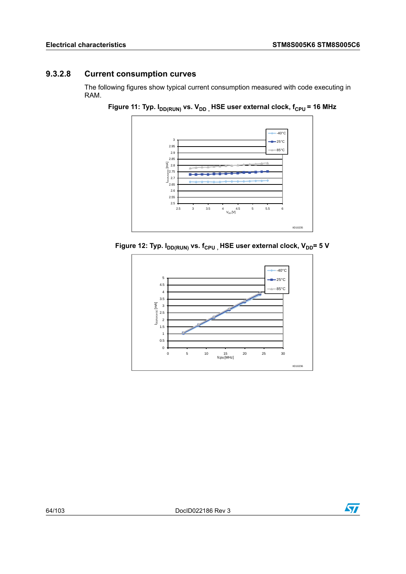### **9.3.2.8 Current consumption curves**

The following figures show typical current consumption measured with code executing in RAM.





**Figure** 12: Typ.  $I_{DD(RUN)}$  vs.  $f_{CPU}$ , HSE user external clock,  $V_{DD}$ = 5 V



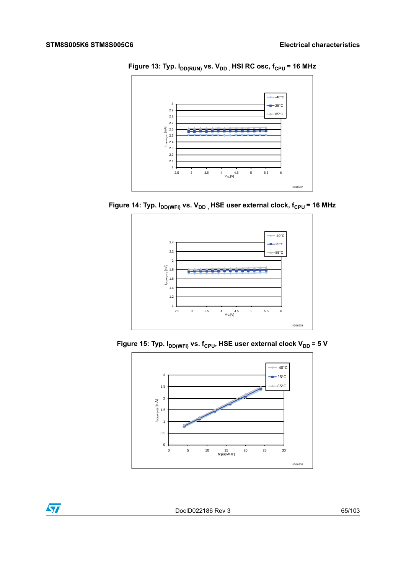

**Figure 13: Typ.**  $I_{DD(RUN)}$  vs.  $V_{DD}$ <sub>,</sub> HSI RC osc,  $f_{CPU}$  = 16 MHz





**Figure 15:** Typ.  $I_{DD(WFI)}$  vs.  $f_{CPU}$ , HSE user external clock  $V_{DD}$  = 5 V



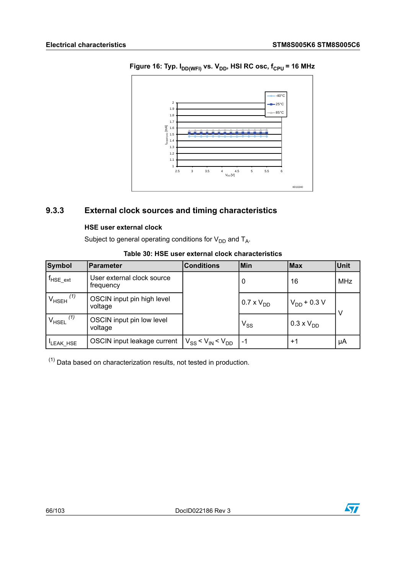

**Figure 16: Typ.**  $I_{DD(WFI)}$  vs.  $V_{DD}$ , HSI RC osc,  $f_{CPU} = 16 MHz$ 

### **9.3.3 External clock sources and timing characteristics**

#### **HSE user external clock**

Subject to general operating conditions for  $\mathsf{V}_{\mathsf{DD}}$  and  $\mathsf{T}_{\mathsf{A}}$ .

| Symbol                    | Parameter                               | <b>Conditions</b>                    | <b>Min</b>                 | <b>Max</b>       | <b>Unit</b> |
|---------------------------|-----------------------------------------|--------------------------------------|----------------------------|------------------|-------------|
| $f_{HSE,ext}$             | User external clock source<br>frequency |                                      |                            | 16               | <b>MHz</b>  |
| $V_{HSEH}$ <sup>(1)</sup> | OSCIN input pin high level<br>voltage   |                                      | $0.7 \times VDD$           | $V_{DD}$ + 0.3 V |             |
| (1)<br>$V_{HSEL}$         | OSCIN input pin low level<br>voltage    |                                      | $\mathsf{V}_{\mathsf{SS}}$ | $0.3 \times VDD$ |             |
| <sup>I</sup> LEAK_HSE     | OSCIN input leakage current             | $ V_{SS}$ < $V_{IN}$ < $V_{DD}$   -1 |                            | $+1$             | μA          |

#### **Table 30: HSE user external clock characteristics**

<span id="page-65-0"></span> $(1)$  Data based on characterization results, not tested in production.



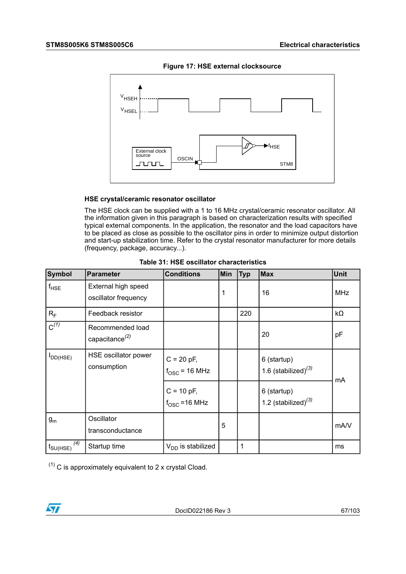

**Figure 17: HSE external clocksource**

#### **HSE crystal/ceramic resonator oscillator**

The HSE clock can be supplied with a 1 to 16 MHz crystal/ceramic resonator oscillator. All the information given in this paragraph is based on characterization results with specified typical external components. In the application, the resonator and the load capacitors have to be placed as close as possible to the oscillator pins in order to minimize output distortion and start-up stabilization time. Refer to the crystal resonator manufacturer for more details (frequency, package, accuracy...).

| Symbol                      | <b>Parameter</b>                               | <b>Conditions</b>                      | Min | <b>Typ</b> | <b>Max</b>                            | Unit       |
|-----------------------------|------------------------------------------------|----------------------------------------|-----|------------|---------------------------------------|------------|
| $f_{HSE}$                   | External high speed<br>oscillator frequency    |                                        | 1   |            | 16                                    | <b>MHz</b> |
| $R_F$                       | Feedback resistor                              |                                        |     | 220        |                                       | kΩ         |
| $\overline{C^{(1)}}$        | Recommended load<br>capacitance <sup>(2)</sup> |                                        |     |            | 20                                    | pF         |
| <b>I</b> DD(HSE)            | HSE oscillator power<br>consumption            | $C = 20 pF,$<br>$f_{\rm OSC}$ = 16 MHz |     |            | 6 (startup)<br>1.6 (stabilized) $(3)$ | mA         |
|                             |                                                | $C = 10 pF,$<br>$f_{\rm OSC}$ = 16 MHz |     |            | 6 (startup)<br>1.2 (stabilized) $(3)$ |            |
| $g_m$                       | Oscillator<br>transconductance                 |                                        | 5   |            |                                       | mA/V       |
| (4)<br>$t_{\text{SU(HSE)}}$ | Startup time                                   | $V_{DD}$ is stabilized                 |     | 1          |                                       | ms         |

|  |  |  |  | Table 31: HSE oscillator characteristics |
|--|--|--|--|------------------------------------------|
|--|--|--|--|------------------------------------------|

<span id="page-66-0"></span> $(1)$  C is approximately equivalent to 2 x crystal Cload.

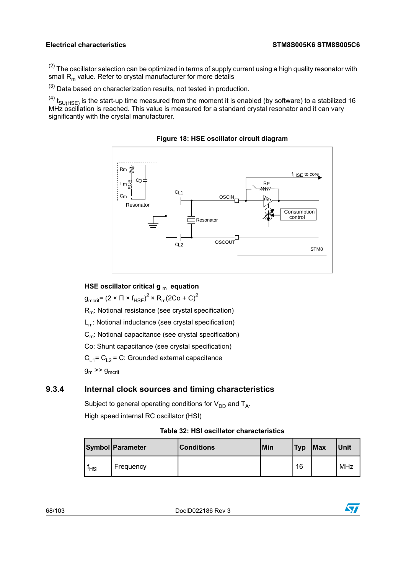<span id="page-67-0"></span> $(2)$  The oscillator selection can be optimized in terms of supply current using a high quality resonator with small  $R<sub>m</sub>$  value. Refer to crystal manufacturer for more details

<span id="page-67-2"></span><span id="page-67-1"></span> $(3)$  Data based on characterization results, not tested in production.

 $^{(4)}$  t<sub>SU(HSE)</sub> is the start-up time measured from the moment it is enabled (by software) to a stabilized 16 MHz oscillation is reached. This value is measured for a standard crystal resonator and it can vary significantly with the crystal manufacturer.



**Figure 18: HSE oscillator circuit diagram**

#### **HSE oscillator critical g** <sup>m</sup> **equation**

 $\mathsf{g}_{\mathsf{mcrit}}$ = (2 ×  $\Pi$  ×  $\mathsf{f}_{\mathsf{HSE}}$ )<sup>2</sup> ×  $\mathsf{R}_{\mathsf{m}}$ (2Co + C)<sup>2</sup>

Rm: Notional resistance (see crystal specification)

L<sub>m</sub>: Notional inductance (see crystal specification)

C<sub>m</sub>: Notional capacitance (see crystal specification)

Co: Shunt capacitance (see crystal specification)

 $C_{1,1}$ = C<sub>L2</sub> = C: Grounded external capacitance

 $g_m \gg g_{m\text{crit}}$ 

### **9.3.4 Internal clock sources and timing characteristics**

Subject to general operating conditions for  $\mathsf{V}_{\mathsf{DD}}$  and  $\mathsf{T}_{\mathsf{A}}$ . High speed internal RC oscillator (HSI)

#### **Table 32: HSI oscillator characteristics**

|                  | Symbol Parameter | Conditions | <b>Min</b> | <b>Typ</b> | Max | Unit |
|------------------|------------------|------------|------------|------------|-----|------|
| <sup>I</sup> HSI | Frequency        |            |            | 16         |     | MHz  |

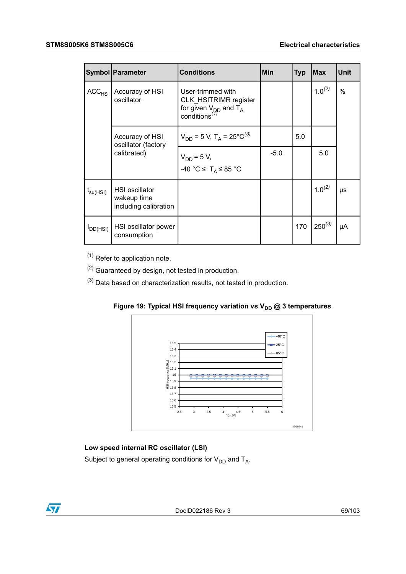|                        | <b>Symbol Parameter</b>                                       | <b>Conditions</b>                                                                                           | Min    | <b>Typ</b> | <b>IMax</b> | Unit |
|------------------------|---------------------------------------------------------------|-------------------------------------------------------------------------------------------------------------|--------|------------|-------------|------|
| ACC <sub>HSI</sub>     | Accuracy of HSI<br>oscillator                                 | User-trimmed with<br><b>CLK HSITRIMR register</b><br>for given $V_{DD}$ and $T_A$ conditions <sup>(7)</sup> |        |            | $1.0^{(2)}$ | $\%$ |
|                        | Accuracy of HSI<br>oscillator (factory<br>calibrated)         | $V_{DD}$ = 5 V, T <sub>A</sub> = 25°C <sup>(3)</sup>                                                        |        | 5.0        |             |      |
|                        |                                                               | $V_{DD} = 5 V$ ,<br>-40 °C $\leq$ T <sub>A</sub> $\leq$ 85 °C                                               | $-5.0$ |            | 5.0         |      |
| $t_{\mathsf{su(HSI)}}$ | <b>HSI</b> oscillator<br>wakeup time<br>including calibration |                                                                                                             |        |            | $1.0^{(2)}$ | μs   |
| $I_{DD(HSI)}$          | HSI oscillator power<br>consumption                           |                                                                                                             |        | 170        | $250^{(3)}$ | μA   |

<span id="page-68-2"></span><span id="page-68-1"></span><span id="page-68-0"></span> $(1)$  Refer to application note.

 $(2)$  Guaranteed by design, not tested in production.

 $(3)$  Data based on characterization results, not tested in production.



**Figure 19: Typical HSI frequency variation vs V<sub>DD</sub> @ 3 temperatures** 

### **Low speed internal RC oscillator (LSI)**

Subject to general operating conditions for  $\mathsf{V}_{\mathsf{DD}}$  and  $\mathsf{T}_{\mathsf{A}}$ .



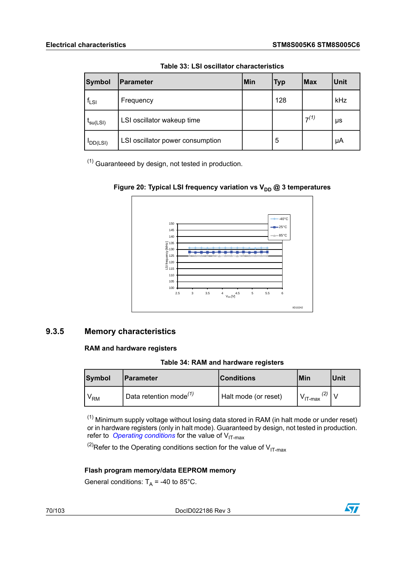| Symbol               | Parameter                        | Min | <b>Typ</b> | Max       | <b>Unit</b> |
|----------------------|----------------------------------|-----|------------|-----------|-------------|
| $f_{LSI}$            | Frequency                        |     | 128        |           | kHz         |
| $t_{\text{su(LSI)}}$ | LSI oscillator wakeup time       |     |            | $7^{(1)}$ | μs          |
| $IDD(LSI)$           | LSI oscillator power consumption |     | 5          |           | μA          |

**Table 33: LSI oscillator characteristics**

<span id="page-69-0"></span> $(1)$  Guaranteeed by design, not tested in production.





#### **9.3.5 Memory characteristics**

#### **RAM and hardware registers**

**Table 34: RAM and hardware registers**

<span id="page-69-2"></span>

| Symbol | lParameter                | <b>Conditions</b>    | Min                        | lUnit |
|--------|---------------------------|----------------------|----------------------------|-------|
| VRM    | Data retention mode $(1)$ | Halt mode (or reset) | (2)<br>V <sub>IT-max</sub> |       |

<span id="page-69-1"></span> $(1)$  Minimum supply voltage without losing data stored in RAM (in halt mode or under reset) or in hardware registers (only in halt mode). Guaranteed by design, not tested in production. refer to *Operating [conditions](#page-51-6)* for the value of V<sub>IT-max</sub>

<sup>(2)</sup>Refer to the Operating conditions section for the value of  $V_{IT-max}$ 

#### **Flash program memory/data EEPROM memory**

General conditions:  $T_A$  = -40 to 85°C.

70/103 DocID022186 Rev 3

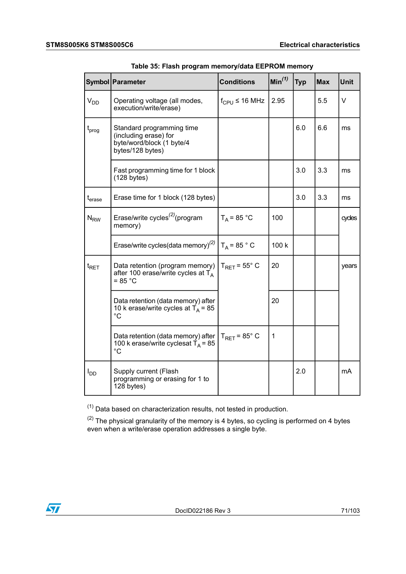|                   | Symbol Parameter                                                                                    | <b>Conditions</b>                    | Min <sup>(1)</sup> | <b>Typ</b> | <b>Max</b> | <b>Unit</b> |
|-------------------|-----------------------------------------------------------------------------------------------------|--------------------------------------|--------------------|------------|------------|-------------|
| $V_{DD}$          | Operating voltage (all modes,<br>execution/write/erase)                                             | $f_{\text{CPU}} \leq 16 \text{ MHz}$ | 2.95               |            | 5.5        | $\vee$      |
| t <sub>prog</sub> | Standard programming time<br>(including erase) for<br>byte/word/block (1 byte/4<br>bytes/128 bytes) |                                      |                    | 6.0        | 6.6        | ms          |
|                   | Fast programming time for 1 block<br>(128 bytes)                                                    |                                      |                    | 3.0        | 3.3        | ms          |
| $t_{\sf erase}$   | Erase time for 1 block (128 bytes)                                                                  |                                      |                    | 3.0        | 3.3        | ms          |
| $N_{\rm RW}$      | Erase/write cycles <sup>(2)</sup> (program<br>memory)                                               | $T_A = 85 °C$                        | 100                |            |            | cycles      |
|                   | Erase/write cycles(data memory) <sup>(2)</sup>                                                      | $T_A = 85 ° C$                       | 100 k              |            |            |             |
| $t_{\sf RET}$     | Data retention (program memory)<br>after 100 erase/write cycles at $T_A$<br>$= 85 °C$               | $T_{RFT}$ = 55 $^{\circ}$ C          | 20                 |            |            | years       |
|                   | Data retention (data memory) after<br>10 k erase/write cycles at $T_A$ = 85<br>$^{\circ}C$          |                                      | 20                 |            |            |             |
|                   | Data retention (data memory) after<br>100 k erase/write cyclesat $T_A$ = 85<br>$^{\circ}C$          | $T_{\text{RET}}$ = 85 $^{\circ}$ C   | $\mathbf{1}$       |            |            |             |
| $I_{DD}$          | Supply current (Flash<br>programming or erasing for 1 to<br>128 bytes)                              |                                      |                    | 2.0        |            | mA          |

|  | Table 35: Flash program memory/data EEPROM memory |  |  |
|--|---------------------------------------------------|--|--|
|--|---------------------------------------------------|--|--|

<span id="page-70-1"></span><span id="page-70-0"></span> $(1)$  Data based on characterization results, not tested in production.

 $^{(2)}$  The physical granularity of the memory is 4 bytes, so cycling is performed on 4 bytes even when a write/erase operation addresses a single byte.

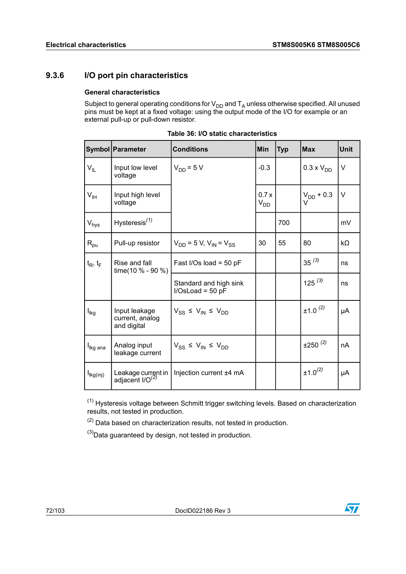### **9.3.6 I/O port pin characteristics**

#### **General characteristics**

Subject to general operating conditions for  $\mathsf{V}_{\mathsf{DD}}$  and  $\mathsf{T}_\mathsf{A}$  unless otherwise specified. All unused pins must be kept at a fixed voltage: using the output mode of the I/O for example or an external pull-up or pull-down resistor.

|                            | Symbol   Parameter                              | <b>Conditions</b>                            | Min                                | <b>Typ</b> | <b>Max</b>               | <b>Unit</b> |
|----------------------------|-------------------------------------------------|----------------------------------------------|------------------------------------|------------|--------------------------|-------------|
| $V_{IL}$                   | Input low level<br>voltage                      | $V_{DD}$ = 5 V                               | $-0.3$                             |            | $0.3 \times V_{DD}$      | V           |
| $\mathsf{V}_{\mathsf{IH}}$ | Input high level<br>voltage                     |                                              | 0.7x<br>$\mathsf{V}_{\mathsf{DD}}$ |            | $V_{DD}$ + 0.3<br>$\vee$ | $\vee$      |
| V <sub>hys</sub>           | Hysteresis $(1)$                                |                                              |                                    | 700        |                          | mV          |
| $R_{\text{pu}}$            | Pull-up resistor                                | $V_{DD}$ = 5 V, $V_{IN}$ = $V_{SS}$          | 30                                 | 55         | 80                       | kΩ          |
| $t_R$ , $t_F$              | Rise and fall<br>time(10 $% -90%$ )             | Fast I/Os load = $50$ pF                     |                                    |            | $35^{(3)}$               | ns          |
|                            |                                                 | Standard and high sink<br>$I/OsLoad = 50 pF$ |                                    |            | $125^{(3)}$              | ns          |
| l <sub>lkg</sub>           | Input leakage<br>current, analog<br>and digital | $V_{SS} \le V_{IN} \le V_{DD}$               |                                    |            | $±1.0^{(2)}$             | μA          |
| I <sub>lkg ana</sub>       | Analog input<br>leakage current                 | $V_{SS} \le V_{IN} \le V_{DD}$               |                                    |            | $±250^{(2)}$             | nA          |
| $I_{lkg(inj)}$             | Leakage current in<br>adjacent $I/O^{(2)}$      | Injection current ±4 mA                      |                                    |            | $±1.0^{(2)}$             | μA          |

**Table 36: I/O static characteristics**

<span id="page-71-2"></span><span id="page-71-1"></span><span id="page-71-0"></span>(1) Hysteresis voltage between Schmitt trigger switching levels. Based on characterization results, not tested in production.

 $(2)$  Data based on characterization results, not tested in production.

 $^{(3)}$ Data guaranteed by design, not tested in production.

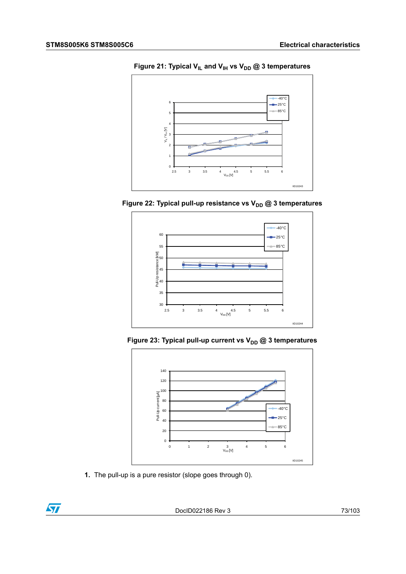

**Figure 21: Typical VIL and VIH vs VDD @ 3 temperatures**









**1.** The pull-up is a pure resistor (slope goes through 0).

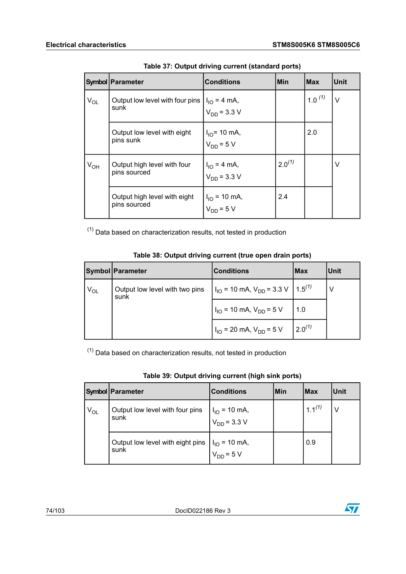|          | Symbol   Parameter                                                                                              | <b>Conditions</b>                                                                                             | Min         | <b>IMax</b> | <b>Unit</b> |
|----------|-----------------------------------------------------------------------------------------------------------------|---------------------------------------------------------------------------------------------------------------|-------------|-------------|-------------|
| $V_{OL}$ | Output low level with four pins $\begin{vmatrix} I_{IO} = 4 \text{ mA} \\ V_{DD} = 3.3 \text{ V} \end{vmatrix}$ |                                                                                                               |             | 1.0 $(1)$   | $\vee$      |
|          | Output low level with eight<br>pins sunk                                                                        | $\begin{cases} I_{10} = 10 \text{ mA,} \\ V_{DD} = 5 \text{ V} \end{cases}$                                   |             | 2.0         |             |
| $V_{OH}$ | Output high level with four<br>pins sourced                                                                     | $ I_{IO} = 4 \text{ mA},$<br>$V_{DD} = 3.3 \text{ V}$                                                         | $2.0^{(1)}$ |             | v           |
|          | Output high level with eight<br>pins sourced                                                                    | $\left  \begin{array}{l l} I_{\text{IO}} = 10 \text{ mA}, \\ V_{\text{DD}} = 5 \text{ V} \end{array} \right $ | 2.4         |             |             |

| Table 37: Output driving current (standard ports) |  |  |
|---------------------------------------------------|--|--|
|                                                   |  |  |

<span id="page-73-0"></span> $(1)$  Data based on characterization results, not tested in production

|          | <b>Symbol Parameter</b>                | <b>Conditions</b>                                                  | <b>Max</b>  | Unit |
|----------|----------------------------------------|--------------------------------------------------------------------|-------------|------|
| $V_{OL}$ | Output low level with two pins<br>sunk | $I_{\text{IO}}$ = 10 mA, $V_{\text{DD}}$ = 3.3 V $\big  1.5^{(1)}$ |             |      |
|          |                                        | $I_{IO}$ = 10 mA, $V_{DD}$ = 5 V                                   | 1.0         |      |
|          |                                        | $I_{10}$ = 20 mA, $V_{DD}$ = 5 V                                   | $2.0^{(1)}$ |      |

### **Table 38: Output driving current (true open drain ports)**

<span id="page-73-1"></span> $(1)$  Data based on characterization results, not tested in production

|          | Symbol   Parameter                       | <b>Conditions</b>                     | <b>Min</b> | <b>Max</b>  | Unit |  |  |
|----------|------------------------------------------|---------------------------------------|------------|-------------|------|--|--|
| $V_{OL}$ | Output low level with four pins<br>sunk  | $I_{IO}$ = 10 mA,<br>$V_{DD}$ = 3.3 V |            | $1.1^{(1)}$ | ٧    |  |  |
|          | Output low level with eight pins<br>sunk | $I_{IO}$ = 10 mA,<br>$V_{DD}$ = 5 V   |            | 0.9         |      |  |  |

| Table 39: Output driving current (high sink ports) |  |  |
|----------------------------------------------------|--|--|
|----------------------------------------------------|--|--|

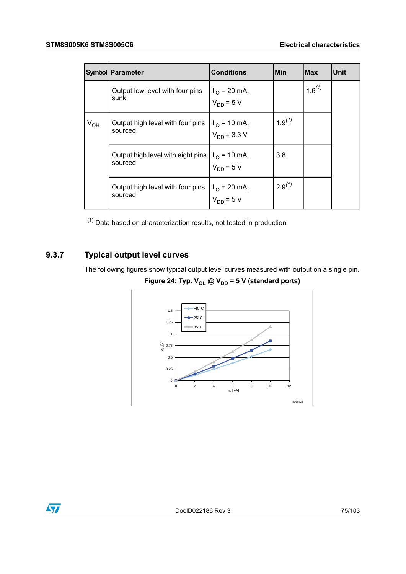|          | <b>Symbol Parameter</b>                                                                                           | <b>Conditions</b>                                                                               | Min         | <b>Max</b>  | <b>Unit</b> |
|----------|-------------------------------------------------------------------------------------------------------------------|-------------------------------------------------------------------------------------------------|-------------|-------------|-------------|
|          | Output low level with four pins<br>sunk                                                                           | $I1O = 20 mA,VDD = 5 V$                                                                         |             | $1.6^{(1)}$ |             |
| $V_{OH}$ | Output high level with four pins<br>sourced                                                                       | $\begin{vmatrix} I_{\text{IO}} = 10 \text{ mA,} \\ V_{\text{DD}} = 3.3 \text{ V} \end{vmatrix}$ | $1.9^{(1)}$ |             |             |
|          | Output high level with eight pins $\begin{vmatrix} I_{1O} = 10 \text{ mA,} \\ V_{DD} = 5 \text{ V} \end{vmatrix}$ |                                                                                                 | 3.8         |             |             |
|          | Output high level with four pins<br>sourced                                                                       | $I_{IO}$ = 20 mA,<br>$V_{DD}$ = 5 V                                                             | $2.9^{(1)}$ |             |             |

<span id="page-74-0"></span> $(1)$  Data based on characterization results, not tested in production

# **9.3.7 Typical output level curves**

The following figures show typical output level curves measured with output on a single pin.

**Figure** 24: **Typ.**  $V_{OL}$  @  $V_{DD}$  = 5 V (standard ports)

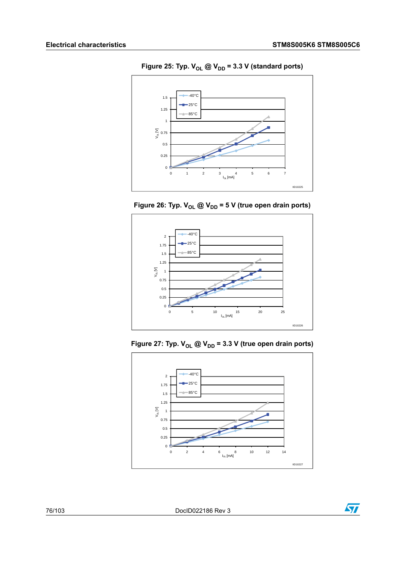

**Figure** 25: **Typ.**  $V_{OL}$  @  $V_{DD}$  = 3.3 V (standard ports)

**Figure** 26: **Typ.**  $V_{OL}$  @  $V_{DD}$  = 5 V (true open drain ports)



**Figure** 27: **Typ.**  $V_{OL}$  @  $V_{DD}$  = 3.3 V (true open drain ports)



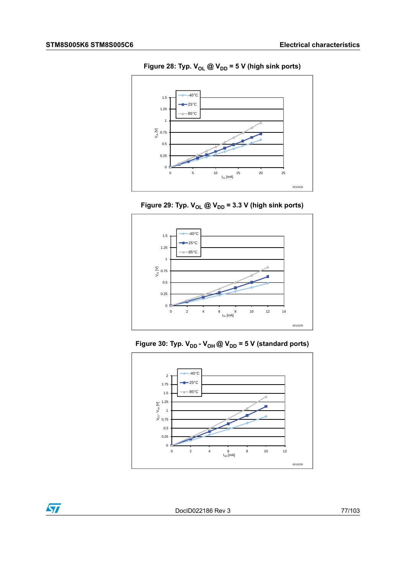

**Figure** 28: **Typ.**  $V_{OL}$   $@V_{DD} = 5 V$  (high sink ports)





**Figure** 30: Typ.  $V_{DD}$  -  $V_{OH}$  @  $V_{DD}$  = 5 V (standard ports)



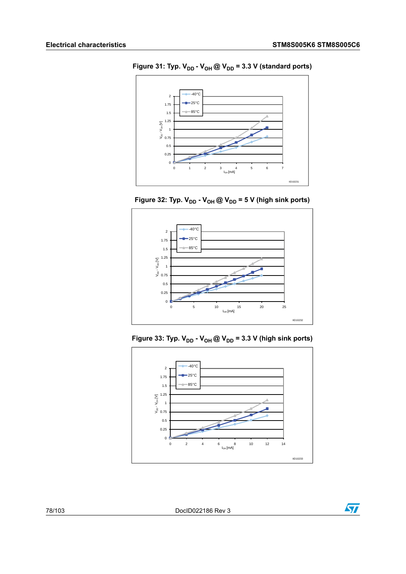

**Figure** 31: **Typ.**  $V_{DD}$  **-**  $V_{OH}$  @  $V_{DD}$  = 3.3 V (standard ports)

**Figure 32: Typ. VDD - VOH @ VDD = 5 V (high sink ports)**



**Figure** 33: **Typ.**  $V_{DD}$  **-**  $V_{OH}$  @  $V_{DD}$  = 3.3 V (high sink ports)



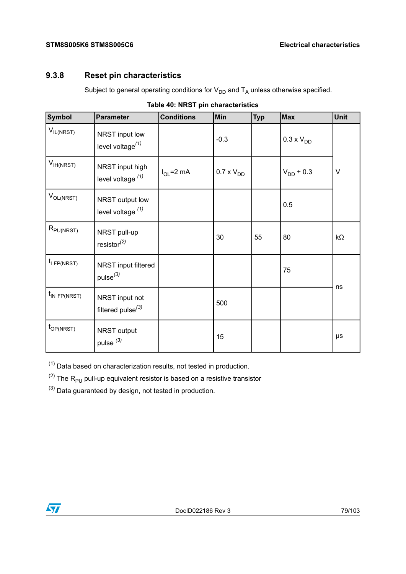## <span id="page-78-3"></span>**9.3.8 Reset pin characteristics**

Subject to general operating conditions for  $V_{DD}$  and  $T_A$  unless otherwise specified.

| <b>Symbol</b>         | <b>Parameter</b>                                | <b>Conditions</b> | Min                 | <b>Typ</b> | <b>Max</b>          | <b>Unit</b> |
|-----------------------|-------------------------------------------------|-------------------|---------------------|------------|---------------------|-------------|
| $V_{IL(NRST)}$        | NRST input low<br>level voltage $(1)$           |                   | $-0.3$              |            | $0.3 \times V_{DD}$ |             |
| $V_{IH(NRST)}$        | NRST input high<br>level voltage $(1)$          | $I_{OL}$ =2 mA    | $0.7 \times V_{DD}$ |            | $V_{DD}$ + 0.3      | $\vee$      |
| $V_{OL(NRST)}$        | NRST output low<br>level voltage $(1)$          |                   |                     |            | 0.5                 |             |
| $R_{PU(NRST)}$        | NRST pull-up<br>resistor $^{(2)}$               |                   | 30                  | 55         | 80                  | $k\Omega$   |
| $t_i$ FP(NRST)        | NRST input filtered<br>pulse <sup>(3)</sup>     |                   |                     |            | 75                  | ns          |
| $t_{IN}$ FP(NRST)     | NRST input not<br>filtered pulse <sup>(3)</sup> |                   | 500                 |            |                     |             |
| t <sub>OP(NRST)</sub> | NRST output<br>pulse <sup>(3)</sup>             |                   | 15                  |            |                     | μs          |

|  |  |  | Table 40: NRST pin characteristics |
|--|--|--|------------------------------------|
|--|--|--|------------------------------------|

<span id="page-78-2"></span><span id="page-78-1"></span><span id="page-78-0"></span> $(1)$  Data based on characterization results, not tested in production.

 $(2)$  The R<sub>PU</sub> pull-up equivalent resistor is based on a resistive transistor

 $(3)$  Data guaranteed by design, not tested in production.

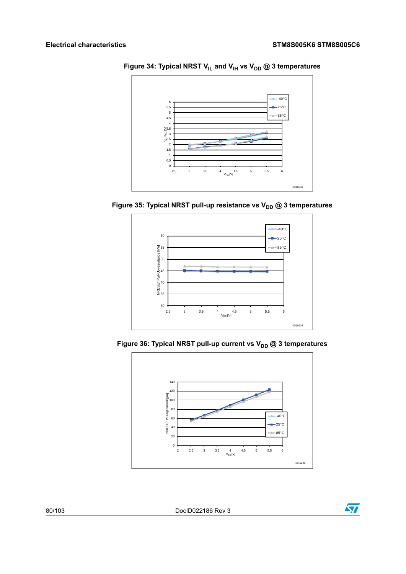

**Figure 34: Typical NRST VIL and VIH vs VDD @ 3 temperatures**









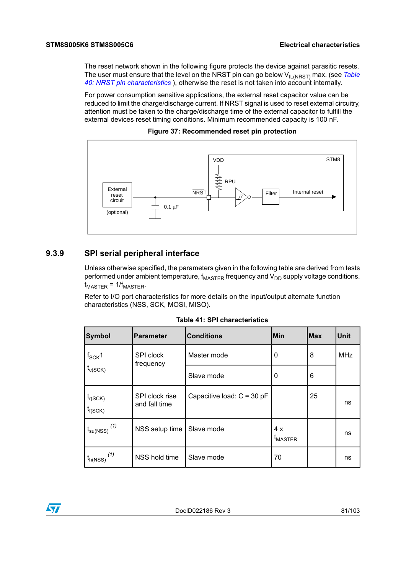The reset network shown in the following figure protects the device against parasitic resets. The user must ensure that the level on the NRST pin can go below V<sub>IL(NRST)</sub> max. (see *[Table](#page-78-3) 40: NRST pin [characteristics](#page-78-3)* ), otherwise the reset is not taken into account internally.

For power consumption sensitive applications, the external reset capacitor value can be reduced to limit the charge/discharge current. If NRST signal is used to reset external circuitry, attention must be taken to the charge/discharge time of the external capacitor to fulfill the external devices reset timing conditions. Minimum recommended capacity is 100 nF.





### **9.3.9 SPI serial peripheral interface**

Unless otherwise specified, the parameters given in the following table are derived from tests performed under ambient temperature,  $f_{\text{MASTER}}$  frequency and  $V_{\text{DD}}$  supply voltage conditions.  $t_{\text{MASTER}} = 1/f_{\text{MASTER}}$ .

Refer to I/O port characteristics for more details on the input/output alternate function characteristics (NSS, SCK, MOSI, MISO).

| Symbol                       | <b>Parameter</b>                | <b>Conditions</b>          | <b>Min</b>                 | lMax | Unit       |
|------------------------------|---------------------------------|----------------------------|----------------------------|------|------------|
| $f_{\rm SCK}$ 1              | SPI clock<br>frequency          | Master mode                | 0                          | 8    | <b>MHz</b> |
| $t_{c(SCK)}$                 |                                 | Slave mode                 | 0                          | 6    |            |
| $t_{r(SCK)}$<br>$t_{f(SCK)}$ | SPI clock rise<br>and fall time | Capacitive load: C = 30 pF |                            | 25   | ns         |
| (1)<br>$t_{\text{su(NSS)}}$  | NSS setup time                  | Slave mode                 | 4 x<br><sup>L</sup> MASTER |      | ns         |
| (1)<br>$t_{h(NSS)}$          | NSS hold time                   | Slave mode                 | 70                         |      | ns         |

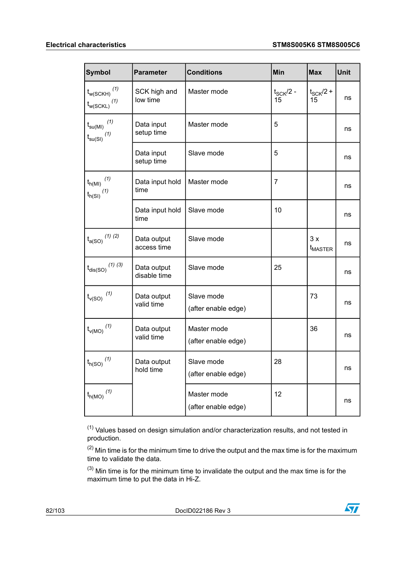| <b>Symbol</b>                                                                                            | <b>Parameter</b>            | <b>Conditions</b>                  | Min                 | <b>Max</b>                | Unit |
|----------------------------------------------------------------------------------------------------------|-----------------------------|------------------------------------|---------------------|---------------------------|------|
| (1)<br>$t_{w(SCKH)}$<br>$t_{\rm w(SCKL)}$ $^{(1)}$                                                       | SCK high and<br>low time    | Master mode                        | $t_{SCK}/2$ -<br>15 | $t_{SCK}/2 +$<br>15       | ns   |
| $\mathfrak{t}_{\mathsf{su}(\mathsf{MI})}$ $^{(1)}$<br>$\mathfrak{t}_{\mathsf{su}(\mathsf{SI})}$ $^{(1)}$ | Data input<br>setup time    | Master mode                        | 5                   |                           | ns   |
|                                                                                                          | Data input<br>setup time    | Slave mode                         | 5                   |                           | ns   |
| $(\mathcal{1})$<br>$t_{h(Ml)}$<br>$\mathfrak{t}_{\mathsf{h}(\mathbb{S}\mathsf{I})}$ $^{(1)}$             | Data input hold<br>time     | Master mode                        | 7                   |                           | ns   |
|                                                                                                          | Data input hold<br>time     | Slave mode                         | 10                  |                           | ns   |
| $\mathfrak{t}_{\mathsf{a}(\mathrm{SO})}$ $^{(1)$ $^{(2)}$                                                | Data output<br>access time  | Slave mode                         |                     | 3x<br>$t_{\text{MASTER}}$ | ns   |
| $t_{\rm dis(SO)}$ $^{(1)\ (3)}$                                                                          | Data output<br>disable time | Slave mode                         | 25                  |                           | ns   |
| $t_{\rm v(SO)}$ $^{(1)}$                                                                                 | Data output<br>valid time   | Slave mode<br>(after enable edge)  |                     | 73                        | ns   |
| $t_{\rm v(MO)}^{\phantom{\rm u}}{}^{\rm (1)}$                                                            | Data output<br>valid time   | Master mode<br>(after enable edge) |                     | 36                        | ns   |
| $t_{h(SO)}$ $^{\left( 1\right) }$                                                                        | Data output<br>hold time    | Slave mode<br>(after enable edge)  | 28                  |                           | ns   |
| $\mathfrak{t}_{\mathsf{h}(\mathsf{MO})}$ $^{(1)}$                                                        |                             | Master mode<br>(after enable edge) | 12                  |                           | ns   |

<span id="page-81-2"></span><span id="page-81-1"></span><span id="page-81-0"></span> $(1)$  Values based on design simulation and/or characterization results, and not tested in production.

 $(2)$  Min time is for the minimum time to drive the output and the max time is for the maximum time to validate the data.

 $(3)$  Min time is for the minimum time to invalidate the output and the max time is for the maximum time to put the data in Hi-Z.

82/103 DocID022186 Rev 3

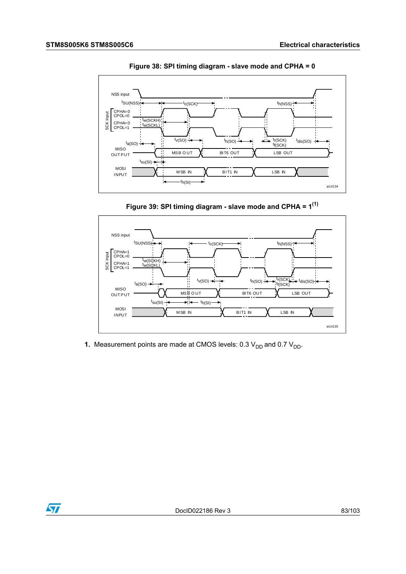

**Figure 38: SPI timing diagram - slave mode and CPHA = 0**

**Figure 39: SPI timing diagram - slave mode and CPHA = 1 (1)**



**1.** Measurement points are made at CMOS levels:  $0.3 V_{DD}$  and  $0.7 V_{DD}$ .

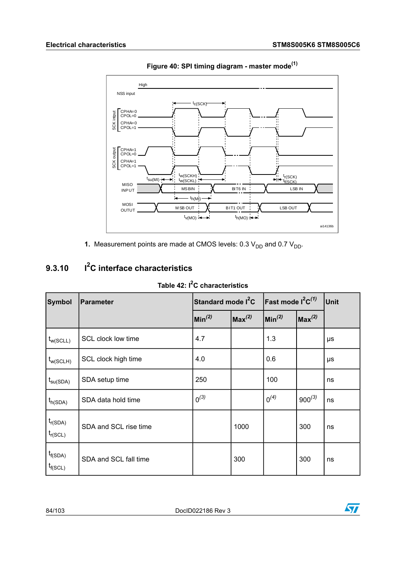<span id="page-83-0"></span>

**Figure 40: SPI timing diagram - master mode(1)**

**1.** Measurement points are made at CMOS levels:  $0.3 V_{DD}$  and  $0.7 V_{DD}$ .

# **I 2 9.3.10 C interface characteristics**

**Table 42: I <sup>2</sup>C characteristics**

| Symbol                          | Parameter             | Standard mode l <sup>2</sup> C |                                             | <b>Fast mode <math>I^2C^{(1)}</math></b> |                    | Unit |
|---------------------------------|-----------------------|--------------------------------|---------------------------------------------|------------------------------------------|--------------------|------|
|                                 |                       | $\ln^{(2)}$                    | $ {\mathsf M}{\mathsf a}{\mathsf x}^{(2)} $ | $ \mathsf{Min}^{(2)} $                   | $\sqrt{Max^{(2)}}$ |      |
| $t_{w(SCLL)}$                   | SCL clock low time    | 4.7                            |                                             | 1.3                                      |                    | μs   |
| $t_{w(SCLH)}$                   | SCL clock high time   | 4.0                            |                                             | 0.6                                      |                    | μs   |
| $t_{\mathsf{su}(\mathsf{SDA})}$ | SDA setup time        | 250                            |                                             | 100                                      |                    | ns   |
| $t_{h(SDA)}$                    | SDA data hold time    | $0^{(3)}$                      |                                             | $0^{(4)}$                                | $900^{(3)}$        | ns   |
| $t_{r(SDA)}$<br>$t_{r(SCL)}$    | SDA and SCL rise time |                                | 1000                                        |                                          | 300                | ns   |
| $t_{f(SDA)}$<br>$t_{f(SCL)}$    | SDA and SCL fall time |                                | 300                                         |                                          | 300                | ns   |

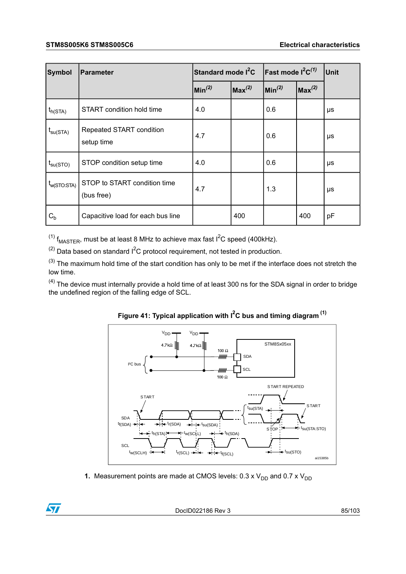| Symbol                          | <b>Parameter</b>                           | Standard mode l <sup>2</sup> C |                         | <b>Fast mode <math>I^2C^{(1)}</math></b> |                    | Unit |
|---------------------------------|--------------------------------------------|--------------------------------|-------------------------|------------------------------------------|--------------------|------|
|                                 |                                            | Min <sup>(2)</sup>             | $ {\bf Max}^{\rm (2)} $ | $\mathsf{Min}^{(2)}$                     | Max <sup>(2)</sup> |      |
| $t_{h(STA)}$                    | START condition hold time                  | 4.0                            |                         | 0.6                                      |                    | μs   |
| $t_{\mathsf{su}(\mathsf{STA})}$ | Repeated START condition<br>setup time     | 4.7                            |                         | 0.6                                      |                    | μs   |
| $t_{\text{su(STO)}}$            | STOP condition setup time                  | 4.0                            |                         | 0.6                                      |                    | μs   |
| $t_{w(STO:STA)}$                | STOP to START condition time<br>(bus free) | 4.7                            |                         | 1.3                                      |                    | μs   |
| $C_{b}$                         | Capacitive load for each bus line          |                                | 400                     |                                          | 400                | рF   |

<span id="page-84-2"></span><span id="page-84-1"></span><span id="page-84-0"></span> $^{(1)}$  f<sub>MASTER</sub>, must be at least 8 MHz to achieve max fast I<sup>2</sup>C speed (400kHz).

 $^{(2)}$  Data based on standard  $1^2C$  protocol requirement, not tested in production.

<span id="page-84-3"></span> $(3)$  The maximum hold time of the start condition has only to be met if the interface does not stretch the low time.

 $(4)$  The device must internally provide a hold time of at least 300 ns for the SDA signal in order to bridge the undefined region of the falling edge of SCL.





**1.** Measurement points are made at CMOS levels:  $0.3 \times V_{DD}$  and  $0.7 \times V_{DD}$ 

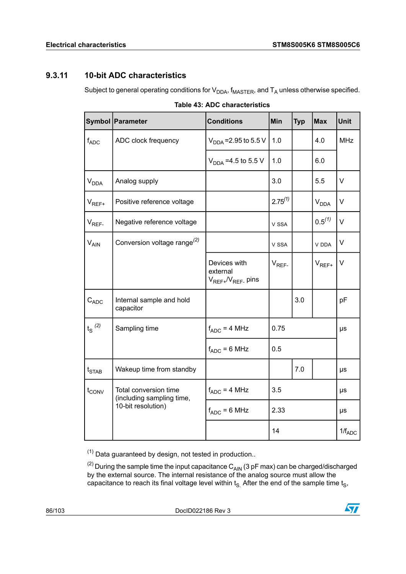## **9.3.11 10-bit ADC characteristics**

Subject to general operating conditions for  $V_{DDA}$ ,  $f_{MASTER}$ , and  $T_A$  unless otherwise specified.

|                                 | Symbol   Parameter                                 | <b>Conditions</b>                                    | Min          | <b>Typ</b> | <b>Max</b>  | <b>Unit</b> |
|---------------------------------|----------------------------------------------------|------------------------------------------------------|--------------|------------|-------------|-------------|
| $f_{ADC}$                       | ADC clock frequency                                | $V_{\text{DNA}}$ = 2.95 to 5.5 V                     | 1.0          |            | 4.0         | <b>MHz</b>  |
|                                 |                                                    | $V_{DDA} = 4.5$ to 5.5 V                             | 1.0          |            | 6.0         |             |
| $V_{DDA}$                       | Analog supply                                      |                                                      | 3.0          |            | 5.5         | $\vee$      |
| $V_{REF+}$                      | Positive reference voltage                         |                                                      | $2.75^{(1)}$ |            | $V_{DDA}$   | V           |
| $V_{REF}$                       | Negative reference voltage                         |                                                      | V SSA        |            | $0.5^{(1)}$ | V           |
| $V_{AIN}$                       | Conversion voltage range <sup>(2)</sup>            |                                                      | V SSA        |            | V DDA       | V           |
|                                 |                                                    | Devices with<br>external<br>$V_{REF+}/V_{REF-}$ pins | $V_{REF}$    |            | $V_{REF+}$  | $\vee$      |
| $C_{ADC}$                       | Internal sample and hold<br>capacitor              |                                                      |              | 3.0        |             | pF          |
| $t_{\rm S}$ $^{(2)}$            | Sampling time                                      | $f_{ADC} = 4 MHz$                                    | 0.75         |            | μs          |             |
|                                 |                                                    | $f_{ADC} = 6 MHz$                                    | 0.5          |            |             |             |
| $t_{\scriptstyle{\text{STAB}}}$ | Wakeup time from standby                           |                                                      |              | 7.0        |             | μs          |
| $t_{\text{CONV}}$               | Total conversion time<br>(including sampling time, | $f_{ADC} = 4 MHz$                                    | 3.5          |            | μs          |             |
|                                 | 10-bit resolution)                                 | $f_{ADC} = 6 MHz$                                    | 2.33         |            | μs          |             |
|                                 |                                                    |                                                      | 14           |            |             | $1/f_{ADC}$ |

| Table 43: ADC characteristics |  |
|-------------------------------|--|
|-------------------------------|--|

<span id="page-85-1"></span><span id="page-85-0"></span> $(1)$  Data guaranteed by design, not tested in production..

 $^{(2)}$  During the sample time the input capacitance  $\textsf{C}_\textsf{AIN}$  (3 pF max) can be charged/discharged by the external source. The internal resistance of the analog source must allow the capacitance to reach its final voltage level within t<sub>S.</sub> After the end of the sample time t<sub>S</sub>,

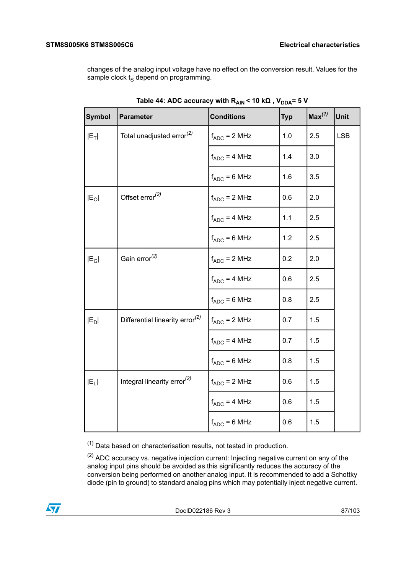changes of the analog input voltage have no effect on the conversion result. Values for the sample clock  $t<sub>S</sub>$  depend on programming.

| <b>Symbol</b> | Parameter                                   | <b>Conditions</b> | <b>Typ</b> | Max <sup>(1)</sup> | <b>Unit</b> |
|---------------|---------------------------------------------|-------------------|------------|--------------------|-------------|
| $ E_T $       | Total unadjusted error <sup>(2)</sup>       | $f_{ADC}$ = 2 MHz | 1.0        | 2.5                | <b>LSB</b>  |
|               |                                             | $f_{ADC} = 4 MHz$ | 1.4        | 3.0                |             |
|               |                                             | $f_{ADC} = 6 MHz$ | 1.6        | 3.5                |             |
| $ E_O $       | Offset error <sup>(2)</sup>                 | $f_{ADC}$ = 2 MHz | 0.6        | 2.0                |             |
|               |                                             | $f_{ADC} = 4 MHz$ | 1.1        | 2.5                |             |
|               |                                             | $f_{ADC} = 6 MHz$ | 1.2        | 2.5                |             |
| $ E_G $       | Gain $error(2)$                             | $f_{ADC} = 2 MHz$ | 0.2        | 2.0                |             |
|               |                                             | $f_{ADC} = 4 MHz$ | 0.6        | 2.5                |             |
|               |                                             | $f_{ADC} = 6 MHz$ | 0.8        | 2.5                |             |
| $ E_D $       | Differential linearity error <sup>(2)</sup> | $f_{ADC}$ = 2 MHz | 0.7        | 1.5                |             |
|               |                                             | $f_{ADC} = 4 MHz$ | 0.7        | 1.5                |             |
|               |                                             | $f_{ADC} = 6 MHz$ | 0.8        | 1.5                |             |
| $ E_L $       | Integral linearity error <sup>(2)</sup>     | $f_{ADC} = 2 MHz$ | 0.6        | 1.5                |             |
|               |                                             | $f_{ADC} = 4 MHz$ | 0.6        | 1.5                |             |
|               |                                             | $f_{ADC} = 6 MHz$ | 0.6        | 1.5                |             |

| Table 44: ADC accuracy with R <sub>AIN</sub> < 10 kΩ , V <sub>DDA</sub> = 5 V |  |  |  |
|-------------------------------------------------------------------------------|--|--|--|
|-------------------------------------------------------------------------------|--|--|--|

<span id="page-86-1"></span><span id="page-86-0"></span> $(1)$  Data based on characterisation results, not tested in production.

 $(2)$  ADC accuracy vs. negative injection current: Injecting negative current on any of the analog input pins should be avoided as this significantly reduces the accuracy of the conversion being performed on another analog input. It is recommended to add a Schottky diode (pin to ground) to standard analog pins which may potentially inject negative current.

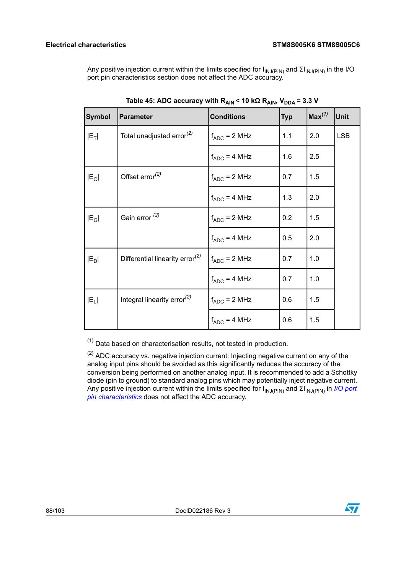Any positive injection current within the limits specified for I<sub>INJ(PIN)</sub> and ΣI<sub>INJ(PIN)</sub> in the I/O port pin characteristics section does not affect the ADC accuracy.

| <b>Symbol</b>     | <b>Parameter</b>                            | <b>Conditions</b> | <b>Typ</b> | Max <sup>(1)</sup> | Unit       |
|-------------------|---------------------------------------------|-------------------|------------|--------------------|------------|
| $ E_T $           | Total unadjusted error <sup>(2)</sup>       | $f_{ADC}$ = 2 MHz | 1.1        | 2.0                | <b>LSB</b> |
|                   |                                             | $f_{ADC} = 4 MHz$ | 1.6        | 2.5                |            |
| $ E_O $           | Offset error $(2)$                          | $f_{ADC}$ = 2 MHz | 0.7        | 1.5                |            |
|                   |                                             | $f_{ADC} = 4 MHz$ | 1.3        | 2.0                |            |
| $ E_G $           | Gain error <sup>(2)</sup>                   | $f_{ADC}$ = 2 MHz | 0.2        | 1.5                |            |
|                   |                                             | $f_{ADC} = 4 MHz$ | 0.5        | 2.0                |            |
| $ E_D $           | Differential linearity error <sup>(2)</sup> | $f_{ADC}$ = 2 MHz | 0.7        | 1.0                |            |
|                   |                                             | $f_{ADC} = 4 MHz$ | 0.7        | 1.0                |            |
| IE <sub>L</sub> I | Integral linearity error <sup>(2)</sup>     | $f_{ADC}$ = 2 MHz | 0.6        | 1.5                |            |
|                   |                                             | $f_{ADC} = 4 MHz$ | 0.6        | 1.5                |            |

<span id="page-87-1"></span><span id="page-87-0"></span> $(1)$  Data based on characterisation results, not tested in production.

 $(2)$  ADC accuracy vs. negative injection current: Injecting negative current on any of the analog input pins should be avoided as this significantly reduces the accuracy of the conversion being performed on another analog input. It is recommended to add a Schottky diode (pin to ground) to standard analog pins which may potentially inject negative current. Any positive injection current within the limits specified for I<sub>INJ(PIN)</sub> and ΣI<sub>INJ(PIN)</sub> in *I/O [port](#page-71-0) pin [characteristics](#page-71-0)* does not affect the ADC accuracy.

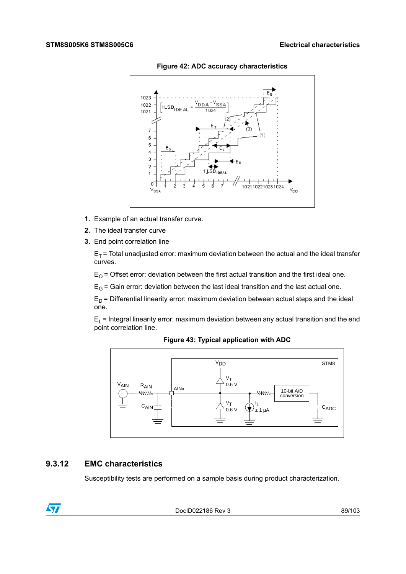

**Figure 42: ADC accuracy characteristics**

- **1.** Example of an actual transfer curve.
- **2.** The ideal transfer curve
- **3.** End point correlation line

 $E_T$  = Total unadjusted error: maximum deviation between the actual and the ideal transfer curves.

 $E_{\Omega}$  = Offset error: deviation between the first actual transition and the first ideal one.

 $E_G$  = Gain error: deviation between the last ideal transition and the last actual one.

 $E_D$  = Differential linearity error: maximum deviation between actual steps and the ideal one.

 $E_1$  = Integral linearity error: maximum deviation between any actual transition and the end point correlation line.



**Figure 43: Typical application with ADC**

## **9.3.12 EMC characteristics**

Susceptibility tests are performed on a sample basis during product characterization.



DocID022186 Rev 3 89/103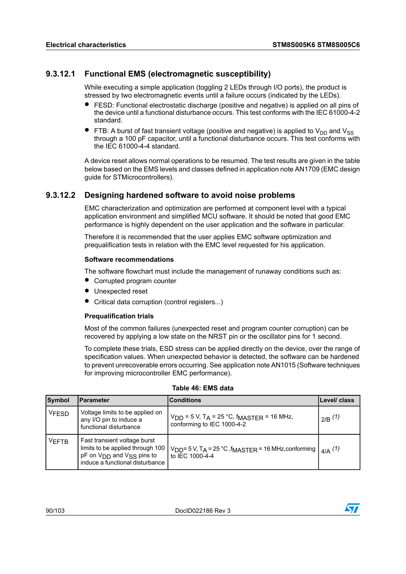### **9.3.12.1 Functional EMS (electromagnetic susceptibility)**

While executing a simple application (toggling 2 LEDs through I/O ports), the product is stressed by two electromagnetic events until a failure occurs (indicated by the LEDs).

- FESD: Functional electrostatic discharge (positive and negative) is applied on all pins of the device until a functional disturbance occurs. This test conforms with the IEC 61000-4-2 standard.
- FTB: A burst of fast transient voltage (positive and negative) is applied to  $V_{DD}$  and  $V_{SS}$ through a 100 pF capacitor, until a functional disturbance occurs. This test conforms with the IEC 61000-4-4 standard.

A device reset allows normal operations to be resumed. The test results are given in the table below based on the EMS levels and classes defined in application note AN1709 (EMC design guide for STMicrocontrollers).

### **9.3.12.2 Designing hardened software to avoid noise problems**

EMC characterization and optimization are performed at component level with a typical application environment and simplified MCU software. It should be noted that good EMC performance is highly dependent on the user application and the software in particular.

Therefore it is recommended that the user applies EMC software optimization and prequalification tests in relation with the EMC level requested for his application.

#### **Software recommendations**

The software flowchart must include the management of runaway conditions such as:

- Corrupted program counter
- Unexpected reset
- Critical data corruption (control registers...)

#### **Prequalification trials**

Most of the common failures (unexpected reset and program counter corruption) can be recovered by applying a low state on the NRST pin or the oscillator pins for 1 second.

To complete these trials, ESD stress can be applied directly on the device, over the range of specification values. When unexpected behavior is detected, the software can be hardened to prevent unrecoverable errors occurring. See application note AN1015 (Software techniques for improving microcontroller EMC performance).

| Symbol       | Parameter                                                                                                                                                        | <b>Conditions</b>                                                                                   | Level/ class |
|--------------|------------------------------------------------------------------------------------------------------------------------------------------------------------------|-----------------------------------------------------------------------------------------------------|--------------|
| <b>VFESD</b> | Voltage limits to be applied on<br>any I/O pin to induce a<br>functional disturbance                                                                             | $V_{DD}$ = 5 V, T <sub>A</sub> = 25 °C, f <sub>MASTFR</sub> = 16 MHz,<br>conforming to IEC 1000-4-2 | $_{2/B}$ (1) |
| <b>VEFTB</b> | Fast transient voltage burst<br>limits to be applied through 100 $\vert$<br>pF on V <sub>DD</sub> and V <sub>SS</sub> pins to<br>induce a functional disturbance | $V_{DD}$ = 5 V, T <sub>A</sub> = 25 °C, f <sub>MASTER</sub> = 16 MHz, conforming<br>to IEC 1000-4-4 | $_{4/A}$ (1) |

#### **Table 46: EMS data**

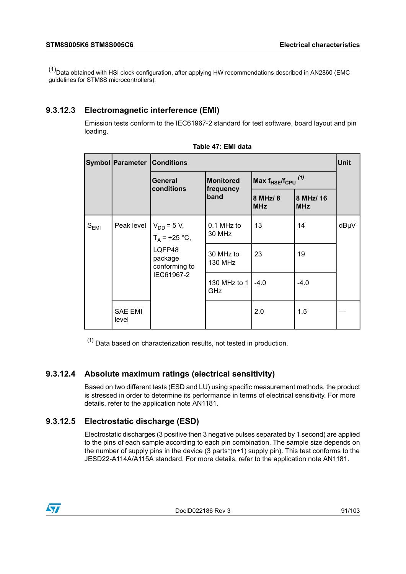<span id="page-90-0"></span> $(1)$ Data obtained with HSI clock configuration, after applying HW recommendations described in AN2860 (EMC guidelines for STM8S microcontrollers).

## **9.3.12.3 Electromagnetic interference (EMI)**

Emission tests conform to the IEC61967-2 standard for test software, board layout and pin loading.

|            | <b>Symbol Parameter Conditions</b> | <b>Unit</b>                 |                               |                           |                         |      |  |
|------------|------------------------------------|-----------------------------|-------------------------------|---------------------------|-------------------------|------|--|
|            |                                    | General<br>conditions       | <b>Monitored</b><br>frequency | Max $f_{HSE}/f_{CPU}$ (1) |                         |      |  |
|            |                                    |                             | band                          | 8 MHz/ 8<br><b>MHz</b>    | 8 MHz/ 16<br><b>MHz</b> |      |  |
| $S_{EMI}$  | Peak level $V_{DD} = 5 V$ ,        | $T_A$ = +25 °C,             | 0.1 MHz to<br>30 MHz          | 13                        | 14                      | dBµV |  |
|            | LQFP48<br>package<br>conforming to | 30 MHz to<br><b>130 MHz</b> | 23                            | 19                        |                         |      |  |
| IEC61967-2 | 130 MHz to 1<br>GHz                | $-4.0$                      | $-4.0$                        |                           |                         |      |  |
|            | <b>SAE EMI</b><br>level            |                             |                               | 2.0                       | 1.5                     |      |  |

| Table 47: EMI data |
|--------------------|
|--------------------|

<span id="page-90-1"></span> $(1)$  Data based on characterization results, not tested in production.

### **9.3.12.4 Absolute maximum ratings (electrical sensitivity)**

Based on two different tests (ESD and LU) using specific measurement methods, the product is stressed in order to determine its performance in terms of electrical sensitivity. For more details, refer to the application note AN1181.

### **9.3.12.5 Electrostatic discharge (ESD)**

Electrostatic discharges (3 positive then 3 negative pulses separated by 1 second) are applied to the pins of each sample according to each pin combination. The sample size depends on the number of supply pins in the device (3 parts\*(n+1) supply pin). This test conforms to the JESD22-A114A/A115A standard. For more details, refer to the application note AN1181.

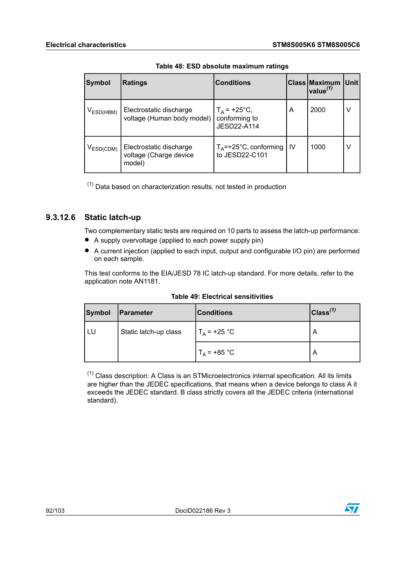| <b>Symbol</b>  | <b>Ratings</b>                                              | <b>Conditions</b>                              |     | <b>Class Maximum</b><br>value $^{(1)}$ | <b>Unit</b> |
|----------------|-------------------------------------------------------------|------------------------------------------------|-----|----------------------------------------|-------------|
| $V_{ESD(HBM)}$ | Electrostatic discharge<br>voltage (Human body model)       | $T_A$ = +25°C,<br>conforming to<br>JESD22-A114 | A   | 2000                                   | v           |
| $V_{ESD(CDM)}$ | Electrostatic discharge<br>voltage (Charge device<br>model) | $T_A$ =+25°C, conforming<br>to JESD22-C101     | -lv | 1000                                   | v           |

**Table 48: ESD absolute maximum ratings**

<span id="page-91-0"></span> $(1)$  Data based on characterization results, not tested in production

## **9.3.12.6 Static latch-up**

Two complementary static tests are required on 10 parts to assess the latch-up performance:

- A supply overvoltage (applied to each power supply pin)<br>• A current injection (applied to each input output and con
- <sup>A</sup> current injection (applied to each input, output and configurable I/O pin) are performed on each sample.

This test conforms to the EIA/JESD 78 IC latch-up standard. For more details, refer to the application note AN1181.

<span id="page-91-1"></span>

| <b>Symbol</b> | Parameter             | <b>Conditions</b> | $ {\mathsf{Class}}^{(1)} $ |
|---------------|-----------------------|-------------------|----------------------------|
|               | Static latch-up class | $T_A$ = +25 °C    | A                          |
|               |                       | $T_A$ = +85 °C    | $\overline{A}$             |

|  | Table 49: Electrical sensitivities |
|--|------------------------------------|
|  |                                    |

 $(1)$  Class description: A Class is an STMicroelectronics internal specification. All its limits are higher than the JEDEC specifications, that means when a device belongs to class A it exceeds the JEDEC standard. B class strictly covers all the JEDEC criteria (international standard).

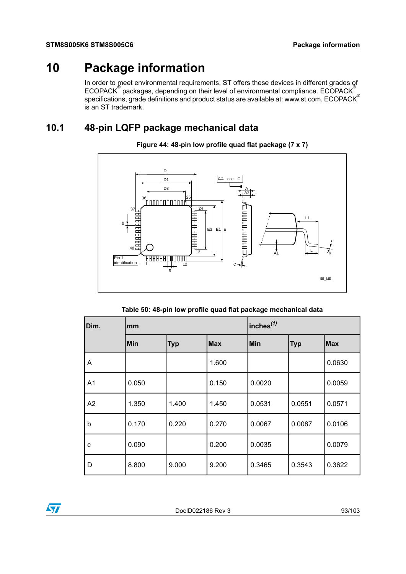# **10 Package information**

In order to meet environmental requirements, ST offers these devices in different grades of  $\mathsf{ECOPACK}^\circ$  packages, depending on their level of environmental compliance.  $\mathsf{ECOPACK}^\circ$ specifications, grade definitions and product status are available at: www.st.com. ECOPACK® is an ST trademark.

# **10.1 48-pin LQFP package mechanical data**



**Figure 44: 48-pin low profile quad flat package (7 x 7)**

| Table 50: 48-pin low profile quad flat package mechanical data |  |  |  |  |  |
|----------------------------------------------------------------|--|--|--|--|--|
|----------------------------------------------------------------|--|--|--|--|--|

| Dim.           | mm    |            |            | $ $ inches $^{(1)}$ |            |            |
|----------------|-------|------------|------------|---------------------|------------|------------|
|                | Min   | <b>Typ</b> | <b>Max</b> | Min                 | <b>Typ</b> | <b>Max</b> |
| A              |       |            | 1.600      |                     |            | 0.0630     |
| A <sub>1</sub> | 0.050 |            | 0.150      | 0.0020              |            | 0.0059     |
| A <sub>2</sub> | 1.350 | 1.400      | 1.450      | 0.0531              | 0.0551     | 0.0571     |
| $\mathsf b$    | 0.170 | 0.220      | 0.270      | 0.0067              | 0.0087     | 0.0106     |
| C              | 0.090 |            | 0.200      | 0.0035              |            | 0.0079     |
| D              | 8.800 | 9.000      | 9.200      | 0.3465              | 0.3543     | 0.3622     |

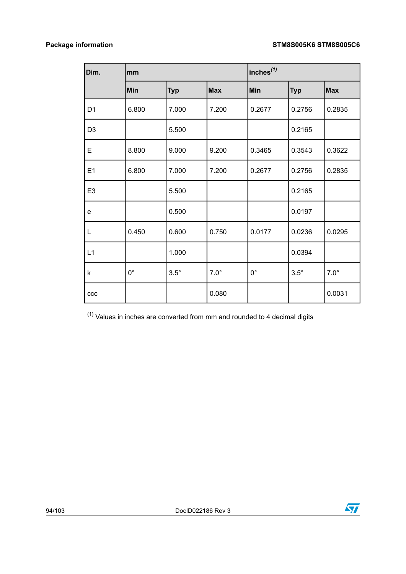| Dim.                              | mm          |             |             | inches <sup>(1)</sup> |             |             |
|-----------------------------------|-------------|-------------|-------------|-----------------------|-------------|-------------|
|                                   | Min         | <b>Typ</b>  | <b>Max</b>  | Min                   | <b>Typ</b>  | <b>Max</b>  |
| D <sub>1</sub>                    | 6.800       | 7.000       | 7.200       | 0.2677                | 0.2756      | 0.2835      |
| D <sub>3</sub>                    |             | 5.500       |             |                       | 0.2165      |             |
| Е                                 | 8.800       | 9.000       | 9.200       | 0.3465                | 0.3543      | 0.3622      |
| E1                                | 6.800       | 7.000       | 7.200       | 0.2677                | 0.2756      | 0.2835      |
| E <sub>3</sub>                    |             | 5.500       |             |                       | 0.2165      |             |
| $\mathsf{e}% _{t}\left( t\right)$ |             | 0.500       |             |                       | 0.0197      |             |
| L                                 | 0.450       | 0.600       | 0.750       | 0.0177                | 0.0236      | 0.0295      |
| L1                                |             | 1.000       |             |                       | 0.0394      |             |
| k                                 | $0^{\circ}$ | $3.5^\circ$ | $7.0^\circ$ | $0^{\circ}$           | $3.5^\circ$ | $7.0^\circ$ |
| ccc                               |             |             | 0.080       |                       |             | 0.0031      |

<span id="page-93-0"></span> $(1)$  Values in inches are converted from mm and rounded to 4 decimal digits

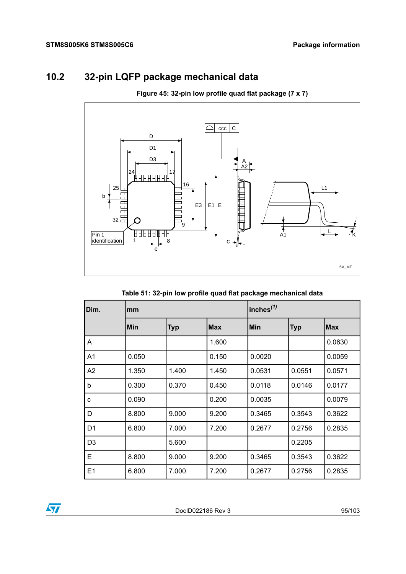# **10.2 32-pin LQFP package mechanical data**

**Figure 45: 32-pin low profile quad flat package (7 x 7)**



**Table 51: 32-pin low profile quad flat package mechanical data**

| Dim.           | mm    |            |            | inches <sup>(1)</sup> |            |            |
|----------------|-------|------------|------------|-----------------------|------------|------------|
|                | Min   | <b>Typ</b> | <b>Max</b> | <b>Min</b>            | <b>Typ</b> | <b>Max</b> |
| A              |       |            | 1.600      |                       |            | 0.0630     |
| A <sub>1</sub> | 0.050 |            | 0.150      | 0.0020                |            | 0.0059     |
| A2             | 1.350 | 1.400      | 1.450      | 0.0531                | 0.0551     | 0.0571     |
| b              | 0.300 | 0.370      | 0.450      | 0.0118                | 0.0146     | 0.0177     |
| C              | 0.090 |            | 0.200      | 0.0035                |            | 0.0079     |
| D              | 8.800 | 9.000      | 9.200      | 0.3465                | 0.3543     | 0.3622     |
| D <sub>1</sub> | 6.800 | 7.000      | 7.200      | 0.2677                | 0.2756     | 0.2835     |
| D <sub>3</sub> |       | 5.600      |            |                       | 0.2205     |            |
| E              | 8.800 | 9.000      | 9.200      | 0.3465                | 0.3543     | 0.3622     |
| E1             | 6.800 | 7.000      | 7.200      | 0.2677                | 0.2756     | 0.2835     |

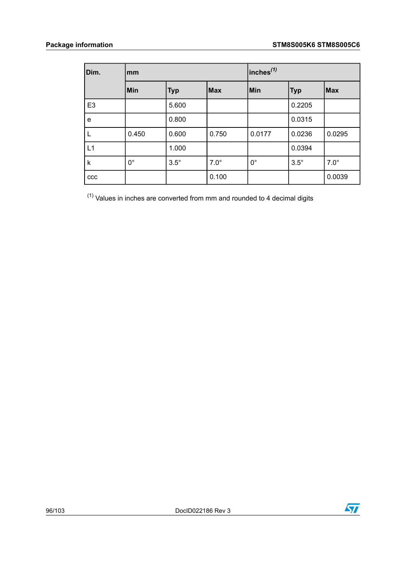| Dim.           | mm          |             |             | $ $ inches $^{(1)}$ |             |             |
|----------------|-------------|-------------|-------------|---------------------|-------------|-------------|
|                | Min         | <b>Typ</b>  | <b>Max</b>  | Min                 | <b>Typ</b>  | <b>Max</b>  |
| E <sub>3</sub> |             | 5.600       |             |                     | 0.2205      |             |
| e              |             | 0.800       |             |                     | 0.0315      |             |
|                | 0.450       | 0.600       | 0.750       | 0.0177              | 0.0236      | 0.0295      |
| L1             |             | 1.000       |             |                     | 0.0394      |             |
| k              | $0^{\circ}$ | $3.5^\circ$ | $7.0^\circ$ | $0^{\circ}$         | $3.5^\circ$ | $7.0^\circ$ |
| CCC            |             |             | 0.100       |                     |             | 0.0039      |

<span id="page-95-0"></span> $(1)$  Values in inches are converted from mm and rounded to 4 decimal digits

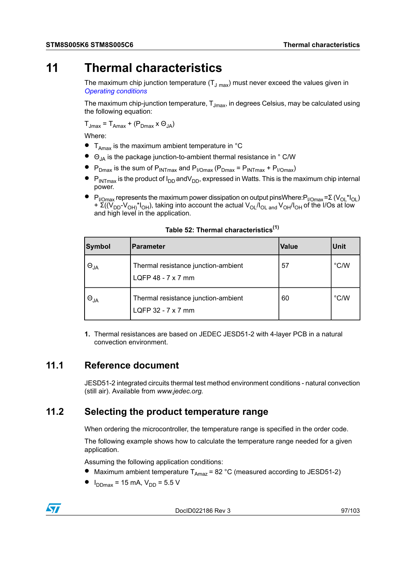# **11 Thermal characteristics**

The maximum chip junction temperature  $(T_{J \text{ max}})$  must never exceed the values given in *Operating [conditions](#page-51-0)*

The maximum chip-junction temperature,  $T_{Jmax}$ , in degrees Celsius, may be calculated using the following equation:

 $T_{Jmax} = T_{Amax} + (P_{Dmax} \times \Theta_{JA})$ 

Where:

- $\bullet$  T<sub>Amax</sub> is the maximum ambient temperature in  $\degree$ C
- $\bullet$   $\Theta_{JA}$  is the package junction-to-ambient thermal resistance in  $\degree$  C/W
- $\blacktriangleright$  P<sub>Dmax</sub> is the sum of P<sub>INTmax</sub> and P<sub>I/Omax</sub> (P<sub>Dmax</sub> = P<sub>INTmax</sub> + P<sub>I/Omax</sub>)
- $\bullet$  P<sub>INTmax</sub> is the product of I<sub>DD</sub> andV<sub>DD</sub>, expressed in Watts. This is the maximum chip internal power.
- $P_{UOmax}$  represents the maximum power dissipation on output pinsWhere: $P_{UOmax}$ =Σ ( $V_{O1}$ \* $I_{O1}$ ) +  $\widetilde{\Sigma}((\widetilde{V}_{DD}-V_{OH})^{\dagger}I_{OH})$ , taking into account the actual  $V_{OL}/I_{OL}$  and  $V_{OH}/I_{OH}$  of the I/Os at low and high level in the application.

| Symbol        | Parameter                                                 | <b>Value</b> | Unit          |
|---------------|-----------------------------------------------------------|--------------|---------------|
| $\Theta_{JA}$ | Thermal resistance junction-ambient<br>LQFP 48 - 7 x 7 mm | 57           | $\degree$ C/W |
| $\Theta_{JA}$ | Thermal resistance junction-ambient<br>LQFP 32 - 7 x 7 mm | 60           | $\degree$ C/W |

#### **Table 52: Thermal characteristics(1)**

**1.** Thermal resistances are based on JEDEC JESD51-2 with 4-layer PCB in a natural convection environment.

# **11.1 Reference document**

JESD51-2 integrated circuits thermal test method environment conditions - natural convection (still air). Available from *www.jedec.org.*

# **11.2 Selecting the product temperature range**

When ordering the microcontroller, the temperature range is specified in the order code.

The following example shows how to calculate the temperature range needed for a given application.

Assuming the following application conditions:

- Maximum ambient temperature  $T_{Amax}$  = 82 °C (measured according to JESD51-2)
- $I_{DDmax}$  = 15 mA,  $V_{DD}$  = 5.5 V



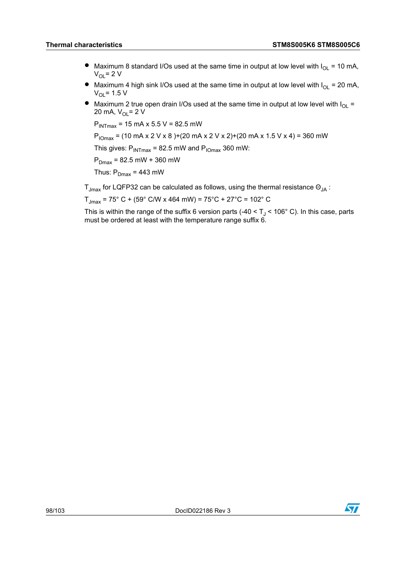- Maximum 8 standard I/Os used at the same time in output at low level with  $I_{OL} = 10$  mA,  $V_{\Omega}$  = 2 V
- Maximum 4 high sink I/Os used at the same time in output at low level with  $I_{OL} = 20$  mA,  $V_{OL}$ = 1.5 V
- Maximum 2 true open drain I/Os used at the same time in output at low level with  $I_{\text{O}}$  = 20 mA,  $V_{\text{OL}} = 2 V$

 $P_{INTmax}$  = 15 mA x 5.5 V = 82.5 mW

 $P_{10\text{max}}$  = (10 mA x 2 V x 8 )+(20 mA x 2 V x 2)+(20 mA x 1.5 V x 4) = 360 mW

This gives:  $P_{INTmax}$  = 82.5 mW and  $P_{IOMax}$  360 mW:

 $P_{Dmax}$  = 82.5 mW + 360 mW

Thus:  $P_{Dmax}$  = 443 mW

 $T_{Jmax}$  for LQFP32 can be calculated as follows, using the thermal resistance  $\Theta_{IA}$  :

 $T_{\text{Jmax}}$  = 75° C + (59° C/W x 464 mW) = 75°C + 27°C = 102° C

This is within the range of the suffix 6 version parts (-40 <  $T<sub>1</sub>$  < 106° C). In this case, parts must be ordered at least with the temperature range suffix 6.

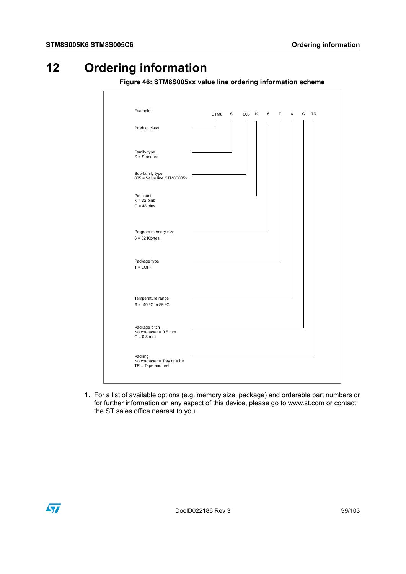# **12 Ordering information**

**Figure 46: STM8S005xx value line ordering information scheme**

| Example:                                            |                                                     |  |
|-----------------------------------------------------|-----------------------------------------------------|--|
|                                                     | C<br><b>TR</b><br>STM8<br>S<br>005 K<br>6<br>T<br>6 |  |
|                                                     |                                                     |  |
| Product class                                       |                                                     |  |
|                                                     |                                                     |  |
|                                                     |                                                     |  |
|                                                     |                                                     |  |
| Family type<br>$S = Standard$                       |                                                     |  |
|                                                     |                                                     |  |
|                                                     |                                                     |  |
| Sub-family type                                     |                                                     |  |
| 005 = Value line STM8S005x                          |                                                     |  |
|                                                     |                                                     |  |
| Pin count                                           |                                                     |  |
| $K = 32 \text{ pins}$                               |                                                     |  |
| $C = 48$ pins                                       |                                                     |  |
|                                                     |                                                     |  |
|                                                     |                                                     |  |
|                                                     |                                                     |  |
| Program memory size                                 |                                                     |  |
| $6 = 32$ Kbytes                                     |                                                     |  |
|                                                     |                                                     |  |
|                                                     |                                                     |  |
| Package type                                        |                                                     |  |
| $T = LQFP$                                          |                                                     |  |
|                                                     |                                                     |  |
|                                                     |                                                     |  |
|                                                     |                                                     |  |
|                                                     |                                                     |  |
| Temperature range                                   |                                                     |  |
| 6 = -40 °C to 85 °C                                 |                                                     |  |
|                                                     |                                                     |  |
|                                                     |                                                     |  |
| Package pitch                                       |                                                     |  |
| No character = $0.5$ mm                             |                                                     |  |
| $C = 0.8$ mm                                        |                                                     |  |
|                                                     |                                                     |  |
|                                                     |                                                     |  |
| Packing                                             |                                                     |  |
| No character = Tray or tube<br>$TR = Tape$ and reel |                                                     |  |
|                                                     |                                                     |  |
|                                                     |                                                     |  |
|                                                     |                                                     |  |

**1.** For a list of available options (e.g. memory size, package) and orderable part numbers or for further information on any aspect of this device, please go to www.st.com or contact the ST sales office nearest to you.

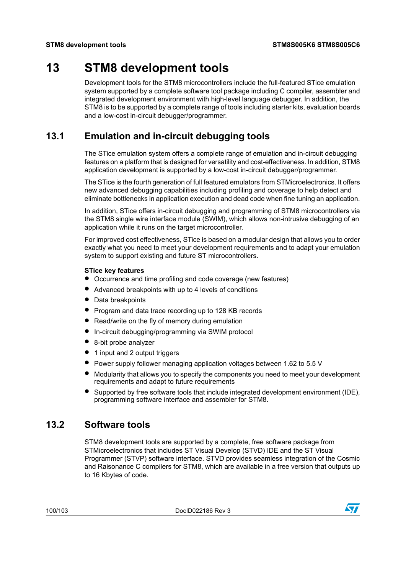# **13 STM8 development tools**

Development tools for the STM8 microcontrollers include the full-featured STice emulation system supported by a complete software tool package including C compiler, assembler and integrated development environment with high-level language debugger. In addition, the STM8 is to be supported by a complete range of tools including starter kits, evaluation boards and a low-cost in-circuit debugger/programmer.

# **13.1 Emulation and in-circuit debugging tools**

The STice emulation system offers a complete range of emulation and in-circuit debugging features on a platform that is designed for versatility and cost-effectiveness. In addition, STM8 application development is supported by a low-cost in-circuit debugger/programmer.

The STice is the fourth generation of full featured emulators from STMicroelectronics. It offers new advanced debugging capabilities including profiling and coverage to help detect and eliminate bottlenecks in application execution and dead code when fine tuning an application.

In addition, STice offers in-circuit debugging and programming of STM8 microcontrollers via the STM8 single wire interface module (SWIM), which allows non-intrusive debugging of an application while it runs on the target microcontroller.

For improved cost effectiveness, STice is based on a modular design that allows you to order exactly what you need to meet your development requirements and to adapt your emulation system to support existing and future ST microcontrollers.

### **STice key features**

- Occurrence and time profiling and code coverage (new features)
- Advanced breakpoints with up to <sup>4</sup> levels of conditions
- Data breakpoints
- Program and data trace recording up to <sup>128</sup> KB records
- Read/write on the fly of memory during emulation
- In-circuit debugging/programming via SWIM protocol
- 8-bit probe analyzer
- 1 input and 2 output triggers
- Power supply follower managing application voltages between 1.62 to 5.5 <sup>V</sup>
- Modularity that allows you to specify the components you need to meet your development requirements and adapt to future requirements
- Supported by free software tools that include integrated development environment (IDE), programming software interface and assembler for STM8.

# **13.2 Software tools**

STM8 development tools are supported by a complete, free software package from STMicroelectronics that includes ST Visual Develop (STVD) IDE and the ST Visual Programmer (STVP) software interface. STVD provides seamless integration of the Cosmic and Raisonance C compilers for STM8, which are available in a free version that outputs up to 16 Kbytes of code.

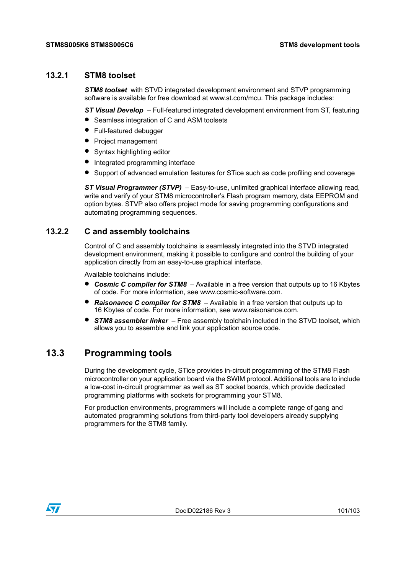### **13.2.1 STM8 toolset**

*STM8 toolset* with STVD integrated development environment and STVP programming software is available for free download at www.st.com/mcu. This package includes:

*ST Visual Develop* – Full-featured integrated development environment from ST, featuring

- Seamless integration of <sup>C</sup> and ASM toolsets
- Full-featured debugger
- Project management
- Syntax highlighting editor
- Integrated programming interface
- Support of advanced emulation features for STice such as code profiling and coverage

*ST Visual Programmer (STVP)* – Easy-to-use, unlimited graphical interface allowing read, write and verify of your STM8 microcontroller's Flash program memory, data EEPROM and option bytes. STVP also offers project mode for saving programming configurations and automating programming sequences.

### **13.2.2 C and assembly toolchains**

Control of C and assembly toolchains is seamlessly integrated into the STVD integrated development environment, making it possible to configure and control the building of your application directly from an easy-to-use graphical interface.

Available toolchains include:

- *Cosmic <sup>C</sup> compiler for STM8* Available in <sup>a</sup> free version that outputs up to <sup>16</sup> Kbytes of code. For more information, see www.cosmic-software.com.
- *Raisonance <sup>C</sup> compiler for STM8* Available in <sup>a</sup> free version that outputs up to 16 Kbytes of code. For more information, see www.raisonance.com.
- *STM8 assembler linker* Free assembly toolchain included in the STVD toolset, which allows you to assemble and link your application source code.

# **13.3 Programming tools**

During the development cycle, STice provides in-circuit programming of the STM8 Flash microcontroller on your application board via the SWIM protocol. Additional tools are to include a low-cost in-circuit programmer as well as ST socket boards, which provide dedicated programming platforms with sockets for programming your STM8.

For production environments, programmers will include a complete range of gang and automated programming solutions from third-party tool developers already supplying programmers for the STM8 family.

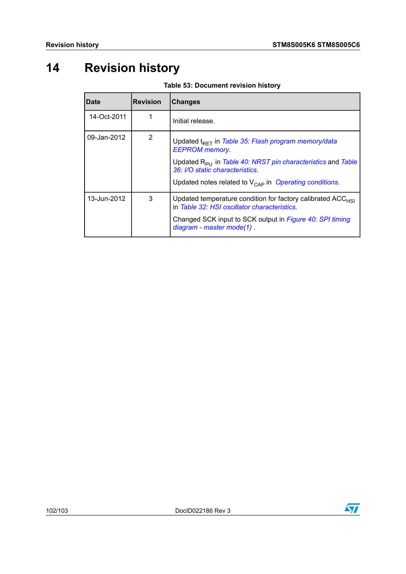# **14 Revision history**

**Table 53: Document revision history**

| Date        | <b>Revision</b> | <b>Changes</b>                                                                                                   |
|-------------|-----------------|------------------------------------------------------------------------------------------------------------------|
| 14-Oct-2011 |                 | Initial release.                                                                                                 |
| 09-Jan-2012 | 2               | Updated t <sub>RFT</sub> in Table 35: Flash program memory/data<br><b>EEPROM</b> memory                          |
|             |                 | Updated R <sub>PU</sub> in Table 40: NRST pin characteristics and Table<br>36: I/O static characteristics.       |
|             |                 | Updated notes related to $V_{\text{CAP}}$ in Operating conditions.                                               |
| 13-Jun-2012 | 3               | Updated temperature condition for factory calibrated $ACC_{HSI}$<br>in Table 32: HSI oscillator characteristics. |
|             |                 | Changed SCK input to SCK output in Figure 40: SPI timing<br>diagram - master mode(1)                             |